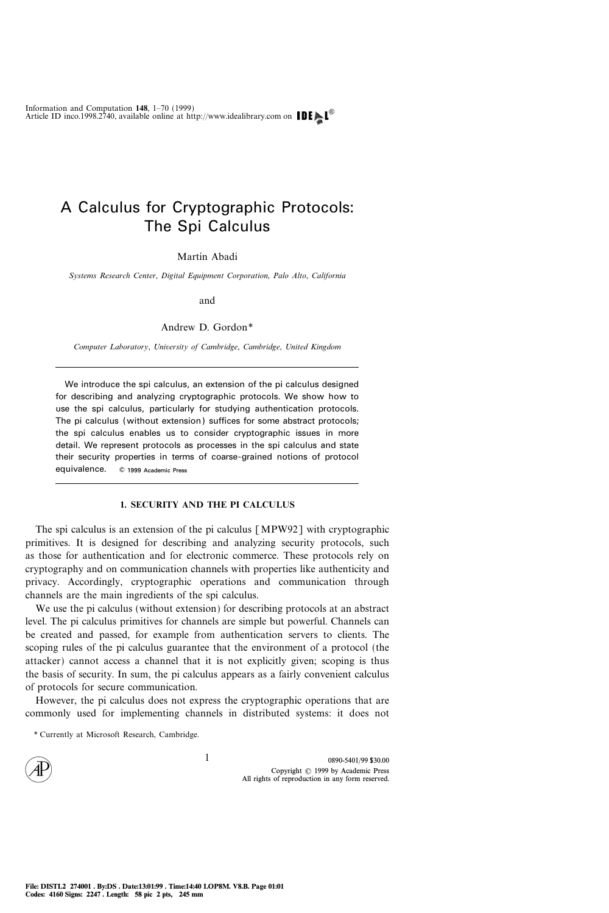# A Calculus for Cryptographic Protocols: The Spi Calculus

Martín Abadi

Systems Research Center, Digital Equipment Corporation, Palo Alto, California

and

# Andrew D. Gordon\*

Computer Laboratory, University of Cambridge, Cambridge, United Kingdom

We introduce the spi calculus, an extension of the pi calculus designed for describing and analyzing cryptographic protocols. We show how to use the spi calculus, particularly for studying authentication protocols. The pi calculus (without extension) suffices for some abstract protocols; the spi calculus enables us to consider cryptographic issues in more detail. We represent protocols as processes in the spi calculus and state their security properties in terms of coarse-grained notions of protocol equivalence. © 1999 Academic Press

## 1. SECURITY AND THE PI CALCULUS

The spi calculus is an extension of the pi calculus [MPW92] with cryptographic primitives. It is designed for describing and analyzing security protocols, such as those for authentication and for electronic commerce. These protocols rely on cryptography and on communication channels with properties like authenticity and privacy. Accordingly, cryptographic operations and communication through channels are the main ingredients of the spi calculus.

We use the pi calculus (without extension) for describing protocols at an abstract level. The pi calculus primitives for channels are simple but powerful. Channels can be created and passed, for example from authentication servers to clients. The scoping rules of the pi calculus guarantee that the environment of a protocol (the attacker) cannot access a channel that it is not explicitly given; scoping is thus the basis of security. In sum, the pi calculus appears as a fairly convenient calculus of protocols for secure communication.

However, the pi calculus does not express the cryptographic operations that are commonly used for implementing channels in distributed systems: it does not

<sup>\*</sup> Currently at Microsoft Research, Cambridge.

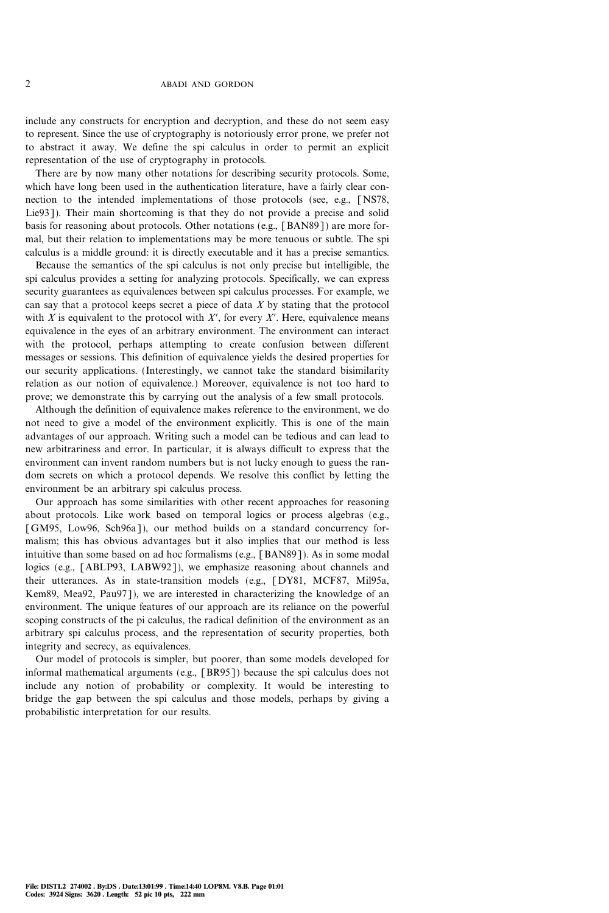include any constructs for encryption and decryption, and these do not seem easy to represent. Since the use of cryptography is notoriously error prone, we prefer not to abstract it away. We define the spi calculus in order to permit an explicit representation of the use of cryptography in protocols.

There are by now many other notations for describing security protocols. Some, which have long been used in the authentication literature, have a fairly clear connection to the intended implementations of those protocols (see, e.g., [NS78, Lie93]). Their main shortcoming is that they do not provide a precise and solid basis for reasoning about protocols. Other notations (e.g., [BAN89]) are more formal, but their relation to implementations may be more tenuous or subtle. The spi calculus is a middle ground: it is directly executable and it has a precise semantics.

Because the semantics of the spi calculus is not only precise but intelligible, the spi calculus provides a setting for analyzing protocols. Specifically, we can express security guarantees as equivalences between spi calculus processes. For example, we can say that a protocol keeps secret a piece of data  $X$  by stating that the protocol with X is equivalent to the protocol with  $X'$ , for every  $X'$ . Here, equivalence means equivalence in the eyes of an arbitrary environment. The environment can interact with the protocol, perhaps attempting to create confusion between different messages or sessions. This definition of equivalence yields the desired properties for our security applications. (Interestingly, we cannot take the standard bisimilarity relation as our notion of equivalence.) Moreover, equivalence is not too hard to prove; we demonstrate this by carrying out the analysis of a few small protocols.

Although the definition of equivalence makes reference to the environment, we do not need to give a model of the environment explicitly. This is one of the main advantages of our approach. Writing such a model can be tedious and can lead to new arbitrariness and error. In particular, it is always difficult to express that the environment can invent random numbers but is not lucky enough to guess the random secrets on which a protocol depends. We resolve this conflict by letting the environment be an arbitrary spi calculus process.

Our approach has some similarities with other recent approaches for reasoning about protocols. Like work based on temporal logics or process algebras (e.g., [GM95, Low96, Sch96a]), our method builds on a standard concurrency formalism; this has obvious advantages but it also implies that our method is less intuitive than some based on ad hoc formalisms (e.g., [BAN89]). As in some modal logics (e.g., [ABLP93, LABW92]), we emphasize reasoning about channels and their utterances. As in state-transition models (e.g., [DY81, MCF87, Mil95a, Kem89, Mea92, Pau97]), we are interested in characterizing the knowledge of an environment. The unique features of our approach are its reliance on the powerful scoping constructs of the pi calculus, the radical definition of the environment as an arbitrary spi calculus process, and the representation of security properties, both integrity and secrecy, as equivalences.

Our model of protocols is simpler, but poorer, than some models developed for informal mathematical arguments (e.g., [BR95]) because the spi calculus does not include any notion of probability or complexity. It would be interesting to bridge the gap between the spi calculus and those models, perhaps by giving a probabilistic interpretation for our results.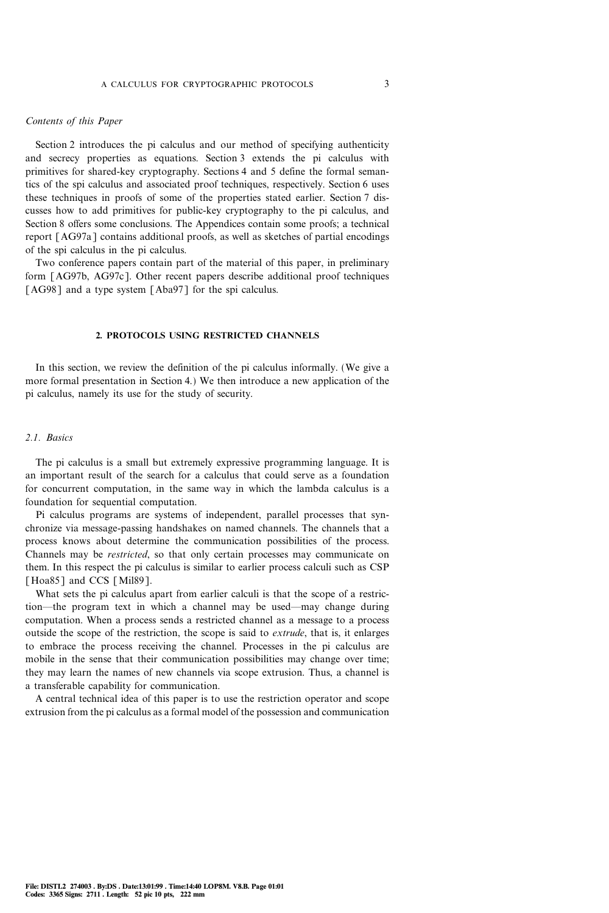#### Contents of this Paper

Section 2 introduces the pi calculus and our method of specifying authenticity and secrecy properties as equations. Section 3 extends the pi calculus with primitives for shared-key cryptography. Sections 4 and 5 define the formal semantics of the spi calculus and associated proof techniques, respectively. Section 6 uses these techniques in proofs of some of the properties stated earlier. Section 7 discusses how to add primitives for public-key cryptography to the pi calculus, and Section 8 offers some conclusions. The Appendices contain some proofs; a technical report [AG97a] contains additional proofs, as well as sketches of partial encodings of the spi calculus in the pi calculus.

Two conference papers contain part of the material of this paper, in preliminary form [AG97b, AG97c]. Other recent papers describe additional proof techniques [AG98] and a type system [Aba97] for the spi calculus.

# 2. PROTOCOLS USING RESTRICTED CHANNELS

In this section, we review the definition of the pi calculus informally. (We give a more formal presentation in Section 4.) We then introduce a new application of the pi calculus, namely its use for the study of security.

#### 2.1. Basics

The pi calculus is a small but extremely expressive programming language. It is an important result of the search for a calculus that could serve as a foundation for concurrent computation, in the same way in which the lambda calculus is a foundation for sequential computation.

Pi calculus programs are systems of independent, parallel processes that synchronize via message-passing handshakes on named channels. The channels that a process knows about determine the communication possibilities of the process. Channels may be restricted, so that only certain processes may communicate on them. In this respect the pi calculus is similar to earlier process calculi such as CSP [Hoa85] and CCS [Mil89].

What sets the pi calculus apart from earlier calculi is that the scope of a restriction—the program text in which a channel may be used—may change during computation. When a process sends a restricted channel as a message to a process outside the scope of the restriction, the scope is said to *extrude*, that is, it enlarges to embrace the process receiving the channel. Processes in the pi calculus are mobile in the sense that their communication possibilities may change over time; they may learn the names of new channels via scope extrusion. Thus, a channel is a transferable capability for communication.

A central technical idea of this paper is to use the restriction operator and scope extrusion from the pi calculus as a formal model of the possession and communication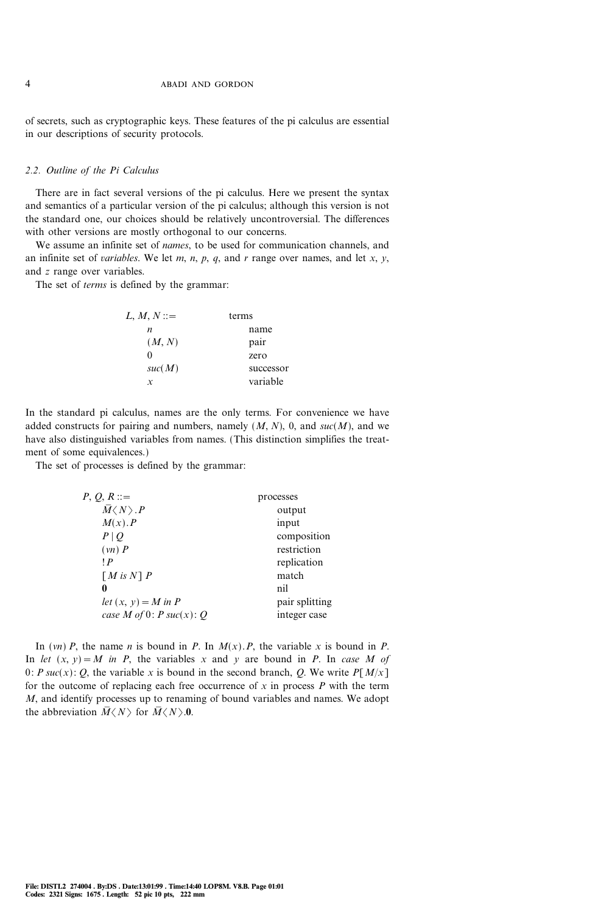of secrets, such as cryptographic keys. These features of the pi calculus are essential in our descriptions of security protocols.

## 2.2. Outline of the Pi Calculus

There are in fact several versions of the pi calculus. Here we present the syntax and semantics of a particular version of the pi calculus; although this version is not the standard one, our choices should be relatively uncontroversial. The differences with other versions are mostly orthogonal to our concerns.

We assume an infinite set of *names*, to be used for communication channels, and an infinite set of *variables*. We let *m*, *n*, *p*, *q*, and *r* range over names, and let *x*, *y*, and z range over variables.

The set of *terms* is defined by the grammar:

| $L, M, N ::=$ | terms     |
|---------------|-----------|
| n             | name      |
| (M, N)        | pair      |
| 0             | zero      |
| suc(M)        | successor |
| x             | variable  |
|               |           |

In the standard pi calculus, names are the only terms. For convenience we have added constructs for pairing and numbers, namely  $(M, N)$ , 0, and suc $(M)$ , and we have also distinguished variables from names. (This distinction simplifies the treatment of some equivalences.)

The set of processes is defined by the grammar:

| $P, Q, R ::=$                                | processes      |
|----------------------------------------------|----------------|
| $M \langle N \rangle P$                      | output         |
| $M(x)$ . $P$                                 | input          |
| $P \mid Q$                                   | composition    |
| $(vn)$ $P$                                   | restriction    |
| P                                            | replication    |
| $\left\lceil M \text{ is } N \right\rceil P$ | match          |
| 0                                            | nil            |
| let $(x, y) = M$ in P                        | pair splitting |
| case M of 0: P suc(x): Q                     | integer case   |
|                                              |                |

In (vn) P, the name n is bound in P. In  $M(x)$ . P, the variable x is bound in P. In let  $(x, y) = M$  in P, the variables x and y are bound in P. In case M of 0: P suc(x): Q, the variable x is bound in the second branch, Q. We write  $P[M/x]$ for the outcome of replacing each free occurrence of x in process  $P$  with the term M, and identify processes up to renaming of bound variables and names. We adopt the abbreviation  $\overline{M} \langle N \rangle$  for  $\overline{M} \langle N \rangle$ .0.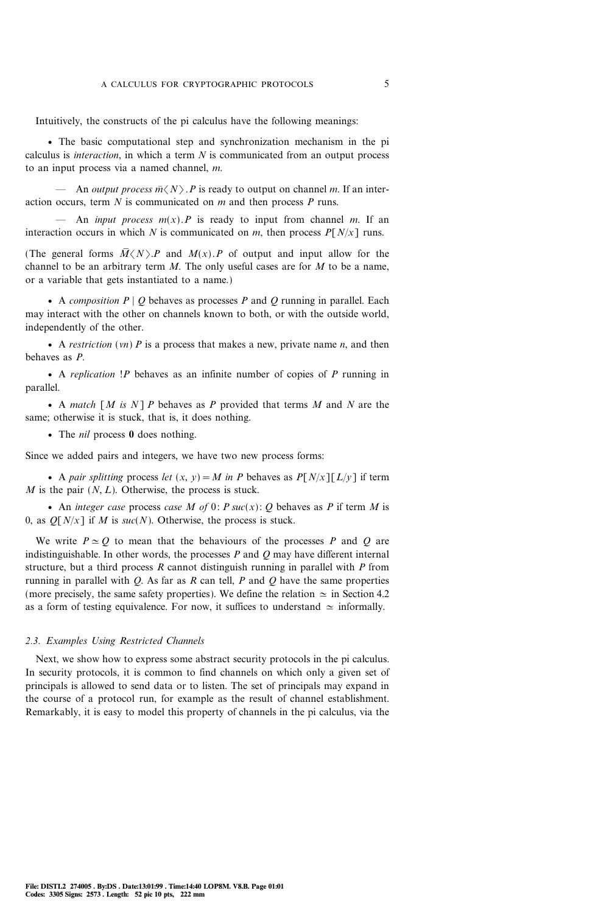Intuitively, the constructs of the pi calculus have the following meanings:

v The basic computational step and synchronization mechanism in the pi calculus is *interaction*, in which a term  $N$  is communicated from an output process to an input process via a named channel, m.

An *output process*  $\overline{m} \langle N \rangle$ *. P* is ready to output on channel *m*. If an interaction occurs, term  $N$  is communicated on  $m$  and then process  $P$  runs.

An *input process*  $m(x)$ . P is ready to input from channel m. If an interaction occurs in which N is communicated on m, then process  $P[N/x]$  runs.

(The general forms  $M \langle N \rangle$ ). P and  $M(x)$ . P of output and input allow for the channel to be an arbitrary term  $M$ . The only useful cases are for  $M$  to be a name, or a variable that gets instantiated to a name.)

• A composition  $P \mid Q$  behaves as processes P and Q running in parallel. Each may interact with the other on channels known to both, or with the outside world, independently of the other.

• A restriction ( $vn$ ) P is a process that makes a new, private name n, and then behaves as P.

• A replication  $P$  behaves as an infinite number of copies of  $P$  running in parallel.

• A match  $[M \text{ is } N]$  P behaves as P provided that terms M and N are the same; otherwise it is stuck, that is, it does nothing.

 $\bullet$  The nil process  $\mathbf 0$  does nothing.

Since we added pairs and integers, we have two new process forms:

• A pair splitting process let  $(x, y) = M$  in P behaves as  $P[N/x][L/y]$  if term M is the pair  $(N, L)$ . Otherwise, the process is stuck.

• An *integer case* process *case* M of 0: P suc(x): Q behaves as P if term M is 0, as  $O[N/x]$  if M is suc(N). Otherwise, the process is stuck.

We write  $P \simeq Q$  to mean that the behaviours of the processes P and Q are indistinguishable. In other words, the processes  $P$  and  $Q$  may have different internal structure, but a third process  $R$  cannot distinguish running in parallel with  $P$  from running in parallel with  $Q$ . As far as  $R$  can tell,  $P$  and  $Q$  have the same properties (more precisely, the same safety properties). We define the relation  $\simeq$  in Section 4.2 as a form of testing equivalence. For now, it suffices to understand  $\simeq$  informally.

## 2.3. Examples Using Restricted Channels

Next, we show how to express some abstract security protocols in the pi calculus. In security protocols, it is common to find channels on which only a given set of principals is allowed to send data or to listen. The set of principals may expand in the course of a protocol run, for example as the result of channel establishment. Remarkably, it is easy to model this property of channels in the pi calculus, via the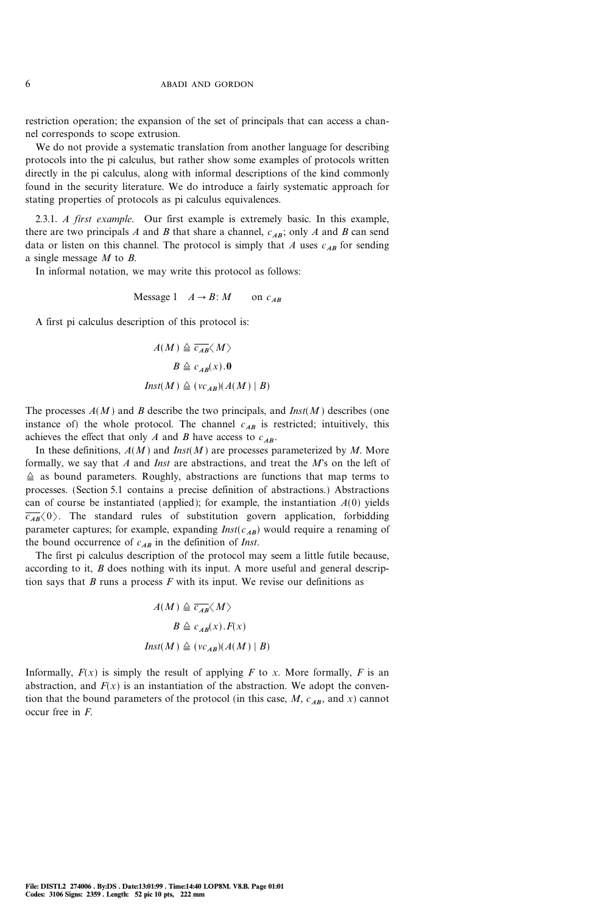restriction operation; the expansion of the set of principals that can access a channel corresponds to scope extrusion.

We do not provide a systematic translation from another language for describing protocols into the pi calculus, but rather show some examples of protocols written directly in the pi calculus, along with informal descriptions of the kind commonly found in the security literature. We do introduce a fairly systematic approach for stating properties of protocols as pi calculus equivalences.

2.3.1. A first example. Our first example is extremely basic. In this example, there are two principals A and B that share a channel,  $c_{AB}$ ; only A and B can send data or listen on this channel. The protocol is simply that A uses  $c_{AB}$  for sending a single message  $M$  to  $B$ .

In informal notation, we may write this protocol as follows:

$$
Message 1 \quad A \to B: M \quad \text{on } c_{AB}
$$

A first pi calculus description of this protocol is:

$$
A(M) \triangleq \overline{c_{AB}} \langle M \rangle
$$
  

$$
B \triangleq c_{AB}(x).0
$$
  

$$
Inst(M) \triangleq (vc_{AB})(A(M) | B)
$$

The processes  $A(M)$  and B describe the two principals, and  $Inst(M)$  describes (one instance of) the whole protocol. The channel  $c_{AB}$  is restricted; intuitively, this achieves the effect that only A and B have access to  $c_{AB}$ .

In these definitions,  $A(M)$  and  $Inst(M)$  are processes parameterized by M. More formally, we say that A and Inst are abstractions, and treat the  $M$ 's on the left of  $\triangleq$  as bound parameters. Roughly, abstractions are functions that map terms to processes. (Section 5.1 contains a precise definition of abstractions.) Abstractions can of course be instantiated (applied); for example, the instantiation  $A(0)$  yields  $\overline{c_{AB}}\langle 0 \rangle$ . The standard rules of substitution govern application, forbidding parameter captures; for example, expanding  $Inst(c_{AB})$  would require a renaming of the bound occurrence of  $c_{AB}$  in the definition of *Inst*.

The first pi calculus description of the protocol may seem a little futile because, according to it, B does nothing with its input. A more useful and general description says that  $B$  runs a process  $F$  with its input. We revise our definitions as

$$
A(M) \triangleq \overline{c_{AB}} \langle M \rangle
$$
  

$$
B \triangleq c_{AB}(x).F(x)
$$
  

$$
Inst(M) \triangleq (vc_{AB})(A(M) | B)
$$

Informally,  $F(x)$  is simply the result of applying F to x. More formally, F is an abstraction, and  $F(x)$  is an instantiation of the abstraction. We adopt the convention that the bound parameters of the protocol (in this case,  $M$ ,  $c_{AB}$ , and x) cannot occur free in F.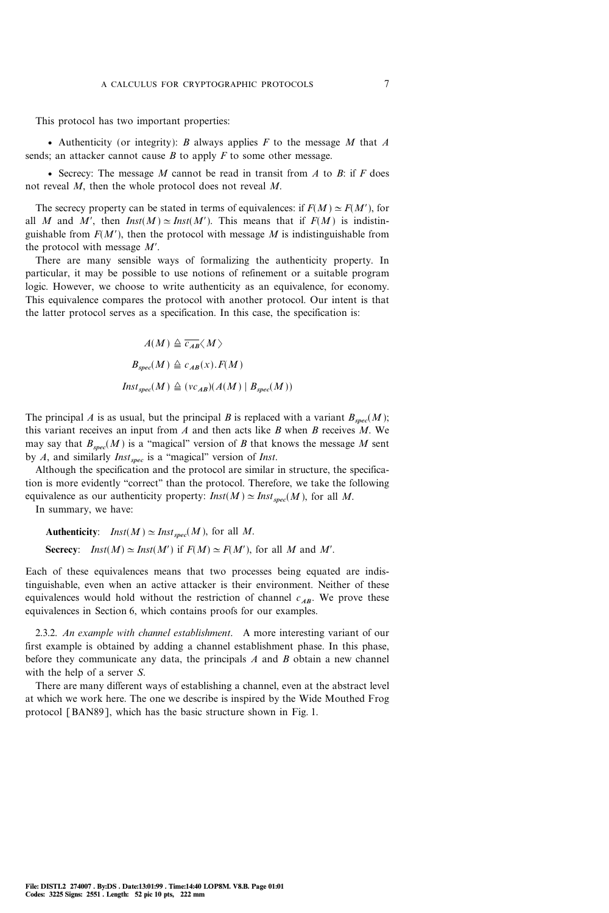This protocol has two important properties:

• Authenticity (or integrity): B always applies  $F$  to the message  $M$  that  $A$ sends; an attacker cannot cause  $B$  to apply  $F$  to some other message.

• Secrecy: The message  $M$  cannot be read in transit from  $A$  to  $B$ : if  $F$  does not reveal M, then the whole protocol does not reveal M.

The secrecy property can be stated in terms of equivalences: if  $F(M) \simeq F(M')$ , for all M and M', then  $Inst(M) \simeq Inst(M')$ . This means that if  $F(M)$  is indistinguishable from  $F(M')$ , then the protocol with message M is indistinguishable from the protocol with message  $M'$ .

There are many sensible ways of formalizing the authenticity property. In particular, it may be possible to use notions of refinement or a suitable program logic. However, we choose to write authenticity as an equivalence, for economy. This equivalence compares the protocol with another protocol. Our intent is that the latter protocol serves as a specification. In this case, the specification is:

$$
A(M) \triangleq \overline{c_{AB}} \langle M \rangle
$$
  
\n
$$
B_{spec}(M) \triangleq c_{AB}(x).F(M)
$$
  
\n
$$
Inst_{spec}(M) \triangleq (vc_{AB})(A(M) | B_{spec}(M))
$$

The principal A is as usual, but the principal B is replaced with a variant  $B_{\text{spec}}(M)$ ; this variant receives an input from  $A$  and then acts like  $B$  when  $B$  receives  $M$ . We may say that  $B_{spec}(M)$  is a "magical" version of B that knows the message M sent by  $A$ , and similarly  $Inst_{spec}$  is a "magical" version of Inst.

Although the specification and the protocol are similar in structure, the specification is more evidently "correct" than the protocol. Therefore, we take the following equivalence as our authenticity property:  $Inst(M) \simeq Inst_{spec}(M)$ , for all M.

In summary, we have:

**Authorticity:** 
$$
Inst(M) \simeq Inst_{spec}(M)
$$
, for all *M*.  
**Secrecy:**  $Inst(M) \simeq Inst(M')$  if  $F(M) \simeq F(M')$ , for all *M* and *M'*.

Each of these equivalences means that two processes being equated are indistinguishable, even when an active attacker is their environment. Neither of these equivalences would hold without the restriction of channel  $c_{AB}$ . We prove these equivalences in Section 6, which contains proofs for our examples.

2.3.2. An example with channel establishment. A more interesting variant of our first example is obtained by adding a channel establishment phase. In this phase, before they communicate any data, the principals  $A$  and  $B$  obtain a new channel with the help of a server S.

There are many different ways of establishing a channel, even at the abstract level at which we work here. The one we describe is inspired by the Wide Mouthed Frog protocol [BAN89], which has the basic structure shown in Fig. 1.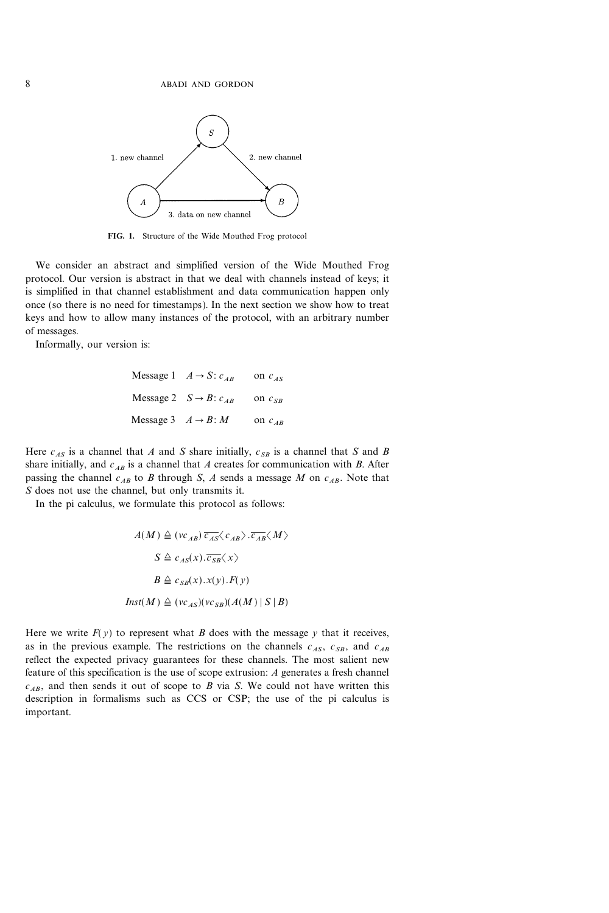

FIG. 1. Structure of the Wide Mouthed Frog protocol

We consider an abstract and simplified version of the Wide Mouthed Frog protocol. Our version is abstract in that we deal with channels instead of keys; it is simplified in that channel establishment and data communication happen only once (so there is no need for timestamps). In the next section we show how to treat keys and how to allow many instances of the protocol, with an arbitrary number of messages.

Informally, our version is:

| Message 1 $A \rightarrow S$ : $c_{AB}$ | on $c_{AS}$ |
|----------------------------------------|-------------|
| Message 2 $S \rightarrow B$ : $c_{AB}$ | on $c_{SB}$ |
| Message 3 $A \rightarrow B$ : M        | on $c_{AB}$ |

Here  $c_{AS}$  is a channel that A and S share initially,  $c_{SB}$  is a channel that S and B share initially, and  $c_{AB}$  is a channel that A creates for communication with B. After passing the channel  $c_{AB}$  to B through S, A sends a message M on  $c_{AB}$ . Note that S does not use the channel, but only transmits it.

In the pi calculus, we formulate this protocol as follows:

$$
A(M) \triangleq (vc_{AB}) \overline{c_{AS}} \langle c_{AB} \rangle \cdot \overline{c_{AB}} \langle M \rangle
$$
  

$$
S \triangleq c_{AS}(x) \cdot \overline{c_{SB}} \langle x \rangle
$$
  

$$
B \triangleq c_{SB}(x) \cdot x(y) \cdot F(y)
$$
  

$$
Inst(M) \triangleq (vc_{AS})(vc_{SB})(A(M) | S | B)
$$

Here we write  $F(y)$  to represent what B does with the message y that it receives, as in the previous example. The restrictions on the channels  $c_{AS}$ ,  $c_{SB}$ , and  $c_{AB}$ reflect the expected privacy guarantees for these channels. The most salient new feature of this specification is the use of scope extrusion: A generates a fresh channel  $c_{AB}$ , and then sends it out of scope to B via S. We could not have written this description in formalisms such as CCS or CSP; the use of the pi calculus is important.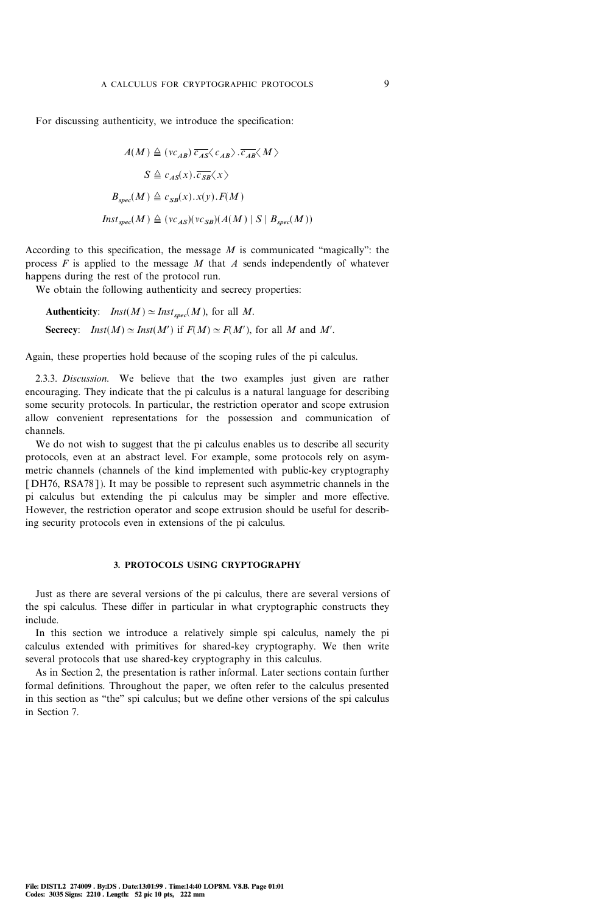For discussing authenticity, we introduce the specification:

$$
A(M) \triangleq (vc_{AB}) \overline{c_{AS}} \langle c_{AB} \rangle \cdot \overline{c_{AB}} \langle M \rangle
$$
  

$$
S \triangleq c_{AS}(x) \cdot \overline{c_{SB}} \langle x \rangle
$$
  

$$
B_{spec}(M) \triangleq c_{SB}(x) \cdot x(y) \cdot F(M)
$$
  

$$
Inst_{spec}(M) \triangleq (vc_{AS})(vc_{SB})(A(M) | S | B_{spec}(M))
$$

According to this specification, the message  $M$  is communicated "magically": the process  $F$  is applied to the message  $M$  that  $A$  sends independently of whatever happens during the rest of the protocol run.

We obtain the following authenticity and secrecy properties:

**Authorticity:** 
$$
Inst(M) \simeq Inst_{spec}(M)
$$
, for all *M*.  
**Secrecy:**  $Inst(M) \simeq Inst(M')$  if  $F(M) \simeq F(M')$ , for all *M* and *M'*.

Again, these properties hold because of the scoping rules of the pi calculus.

2.3.3. Discussion. We believe that the two examples just given are rather encouraging. They indicate that the pi calculus is a natural language for describing some security protocols. In particular, the restriction operator and scope extrusion allow convenient representations for the possession and communication of channels.

We do not wish to suggest that the pi calculus enables us to describe all security protocols, even at an abstract level. For example, some protocols rely on asymmetric channels (channels of the kind implemented with public-key cryptography [DH76, RSA78]). It may be possible to represent such asymmetric channels in the pi calculus but extending the pi calculus may be simpler and more effective. However, the restriction operator and scope extrusion should be useful for describing security protocols even in extensions of the pi calculus.

## 3. PROTOCOLS USING CRYPTOGRAPHY

Just as there are several versions of the pi calculus, there are several versions of the spi calculus. These differ in particular in what cryptographic constructs they include.

In this section we introduce a relatively simple spi calculus, namely the pi calculus extended with primitives for shared-key cryptography. We then write several protocols that use shared-key cryptography in this calculus.

As in Section 2, the presentation is rather informal. Later sections contain further formal definitions. Throughout the paper, we often refer to the calculus presented in this section as "the" spi calculus; but we define other versions of the spi calculus in Section 7.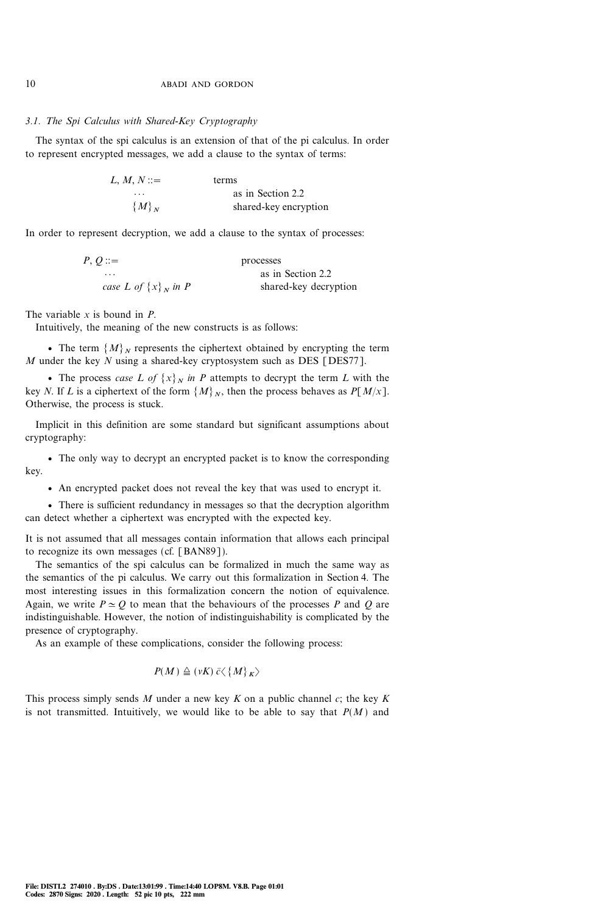3.1. The Spi Calculus with Shared-Key Cryptography

The syntax of the spi calculus is an extension of that of the pi calculus. In order to represent encrypted messages, we add a clause to the syntax of terms:

| L, $M, N ::=$ | terms                 |
|---------------|-----------------------|
| $\cdots$      | as in Section 2.2     |
| ${M}_N$       | shared-key encryption |

In order to represent decryption, we add a clause to the syntax of processes:

| $P, Q ::=$                          | processes             |
|-------------------------------------|-----------------------|
| $\cdots$                            | as in Section 2.2     |
| case L of $\{x\}$ <sub>N</sub> in P | shared-key decryption |

The variable  $x$  is bound in  $P$ .

Intuitively, the meaning of the new constructs is as follows:

• The term  $\{M\}_{N}$  represents the ciphertext obtained by encrypting the term M under the key  $N$  using a shared-key cryptosystem such as DES [DES77].

• The process case L of  $\{x\}_N$  in P attempts to decrypt the term L with the key N. If L is a ciphertext of the form  $\{M\}_N$ , then the process behaves as  $P[M/x]$ . Otherwise, the process is stuck.

Implicit in this definition are some standard but significant assumptions about cryptography:

• The only way to decrypt an encrypted packet is to know the corresponding key.

• An encrypted packet does not reveal the key that was used to encrypt it.

v There is sufficient redundancy in messages so that the decryption algorithm can detect whether a ciphertext was encrypted with the expected key.

It is not assumed that all messages contain information that allows each principal to recognize its own messages (cf. [BAN89]).

The semantics of the spi calculus can be formalized in much the same way as the semantics of the pi calculus. We carry out this formalization in Section 4. The most interesting issues in this formalization concern the notion of equivalence. Again, we write  $P \simeq Q$  to mean that the behaviours of the processes P and Q are indistinguishable. However, the notion of indistinguishability is complicated by the presence of cryptography.

As an example of these complications, consider the following process:

$$
P(M) \triangleq (vK) \bar{c} \langle \{M\}_K \rangle
$$

This process simply sends M under a new key K on a public channel  $c$ ; the key K is not transmitted. Intuitively, we would like to be able to say that  $P(M)$  and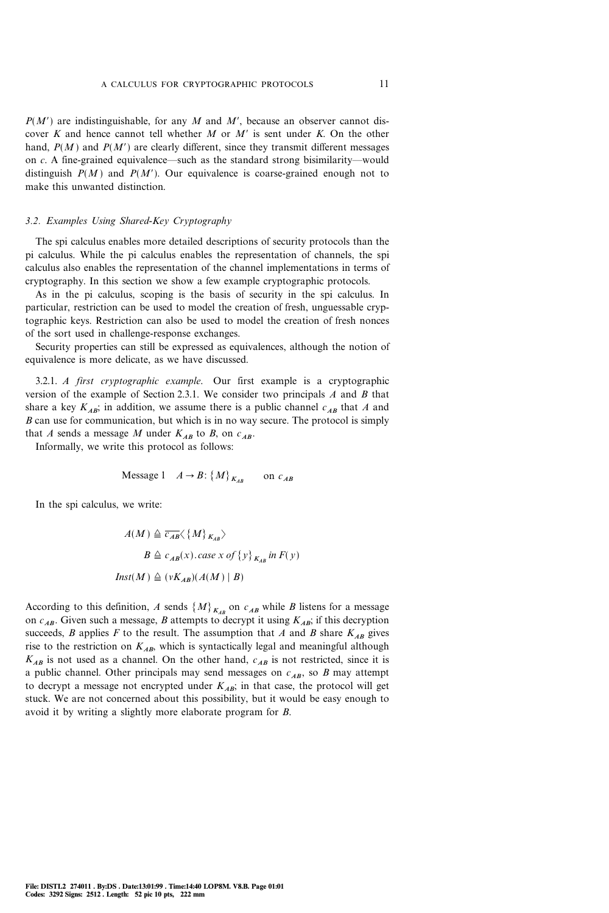$P(M')$  are indistinguishable, for any M and M', because an observer cannot discover K and hence cannot tell whether  $M$  or  $M'$  is sent under K. On the other hand,  $P(M)$  and  $P(M')$  are clearly different, since they transmit different messages on c. A fine-grained equivalence—such as the standard strong bisimilarity—would distinguish  $P(M)$  and  $P(M')$ . Our equivalence is coarse-grained enough not to make this unwanted distinction.

## 3.2. Examples Using Shared-Key Cryptography

The spi calculus enables more detailed descriptions of security protocols than the pi calculus. While the pi calculus enables the representation of channels, the spi calculus also enables the representation of the channel implementations in terms of cryptography. In this section we show a few example cryptographic protocols.

As in the pi calculus, scoping is the basis of security in the spi calculus. In particular, restriction can be used to model the creation of fresh, unguessable cryptographic keys. Restriction can also be used to model the creation of fresh nonces of the sort used in challenge-response exchanges.

Security properties can still be expressed as equivalences, although the notion of equivalence is more delicate, as we have discussed.

3.2.1. A first cryptographic example. Our first example is a cryptographic version of the example of Section 2.3.1. We consider two principals  $A$  and  $B$  that share a key  $K_{AB}$ ; in addition, we assume there is a public channel  $c_{AB}$  that A and B can use for communication, but which is in no way secure. The protocol is simply that A sends a message M under  $K_{AB}$  to B, on  $c_{AB}$ .

Informally, we write this protocol as follows:

Message 1 
$$
A \rightarrow B
$$
:  $\{M\}_{K_{AB}}$  on  $c_{AB}$ 

In the spi calculus, we write:

$$
A(M) \triangleq \overline{c_{AB}} \langle \{M\}_{K_{AB}} \rangle
$$
  

$$
B \triangleq c_{AB}(x).case \ x \ of \{y\}_{K_{AB}} in \ F(y)
$$
  

$$
Inst(M) \triangleq (vK_{AB})(A(M) | B)
$$

According to this definition, A sends  $\{M\}_{K_{AB}}$  on  $c_{AB}$  while B listens for a message on  $c_{AB}$ . Given such a message, B attempts to decrypt it using  $K_{AB}$ ; if this decryption succeeds, B applies F to the result. The assumption that A and B share  $K_{AB}$  gives rise to the restriction on  $K_{AB}$ , which is syntactically legal and meaningful although  $K_{AB}$  is not used as a channel. On the other hand,  $c_{AB}$  is not restricted, since it is a public channel. Other principals may send messages on  $c_{AB}$ , so B may attempt to decrypt a message not encrypted under  $K_{AB}$ ; in that case, the protocol will get stuck. We are not concerned about this possibility, but it would be easy enough to avoid it by writing a slightly more elaborate program for B.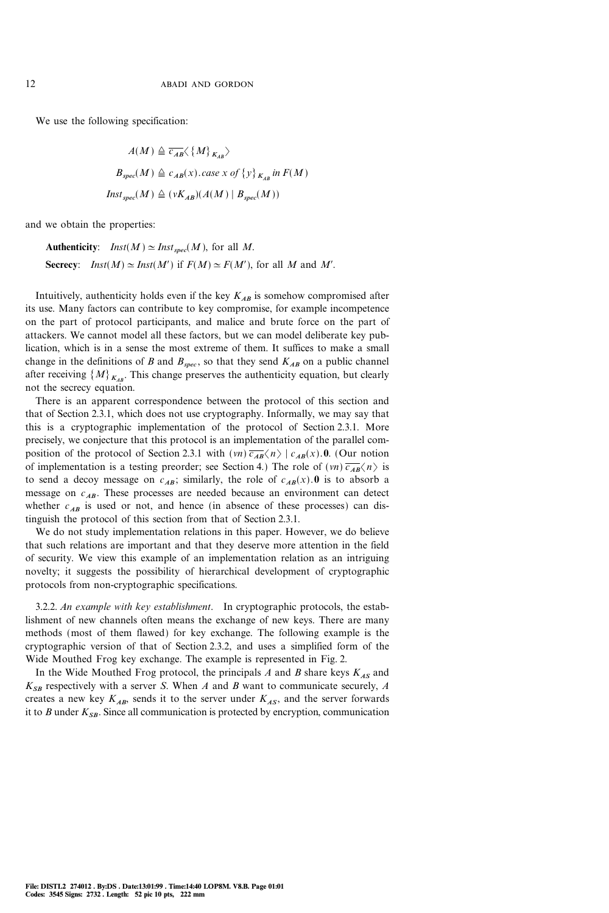We use the following specification:

$$
A(M) \triangleq \overline{c_{AB}} \langle \{M\}_{K_{AB}} \rangle
$$
  
\n
$$
B_{spec}(M) \triangleq c_{AB}(x).case \ x \ of \{y\}_{K_{AB}} in F(M)
$$
  
\n
$$
Inst_{spec}(M) \triangleq (vK_{AB})(A(M) | B_{spec}(M))
$$

and we obtain the properties:

Authenticity:  $Inst(M) \simeq Inst_{spec}(M)$ , for all M. Secrecy:  $Inst(M) \simeq Inst(M')$  if  $F(M) \simeq F(M')$ , for all M and M'.

Intuitively, authenticity holds even if the key  $K_{AB}$  is somehow compromised after its use. Many factors can contribute to key compromise, for example incompetence on the part of protocol participants, and malice and brute force on the part of attackers. We cannot model all these factors, but we can model deliberate key publication, which is in a sense the most extreme of them. It suffices to make a small change in the definitions of B and  $B_{spec}$ , so that they send  $K_{AB}$  on a public channel after receiving  $\{M\}_{K,\rho}$ . This change preserves the authenticity equation, but clearly not the secrecy equation.

There is an apparent correspondence between the protocol of this section and that of Section 2.3.1, which does not use cryptography. Informally, we may say that this is a cryptographic implementation of the protocol of Section 2.3.1. More precisely, we conjecture that this protocol is an implementation of the parallel composition of the protocol of Section 2.3.1 with  $(wn) \overline{c_{AB}} \langle n \rangle | c_{AB}(x)$ . (Our notion of implementation is a testing preorder; see Section 4.) The role of  $(m) \overline{c_{AB}} \langle n \rangle$  is to send a decoy message on  $c_{AB}$ ; similarly, the role of  $c_{AB}(x)$ . 0 is to absorb a message on  $c_{AB}$ . These processes are needed because an environment can detect whether  $c_{AB}$  is used or not, and hence (in absence of these processes) can distinguish the protocol of this section from that of Section 2.3.1.

We do not study implementation relations in this paper. However, we do believe that such relations are important and that they deserve more attention in the field of security. We view this example of an implementation relation as an intriguing novelty; it suggests the possibility of hierarchical development of cryptographic protocols from non-cryptographic specifications.

3.2.2. An example with key establishment. In cryptographic protocols, the establishment of new channels often means the exchange of new keys. There are many methods (most of them flawed) for key exchange. The following example is the cryptographic version of that of Section 2.3.2, and uses a simplified form of the Wide Mouthed Frog key exchange. The example is represented in Fig. 2.

In the Wide Mouthed Frog protocol, the principals A and B share keys  $K_{AS}$  and  $K_{SB}$  respectively with a server S. When A and B want to communicate securely, A creates a new key  $K_{AB}$ , sends it to the server under  $K_{AS}$ , and the server forwards it to B under  $K_{SB}$ . Since all communication is protected by encryption, communication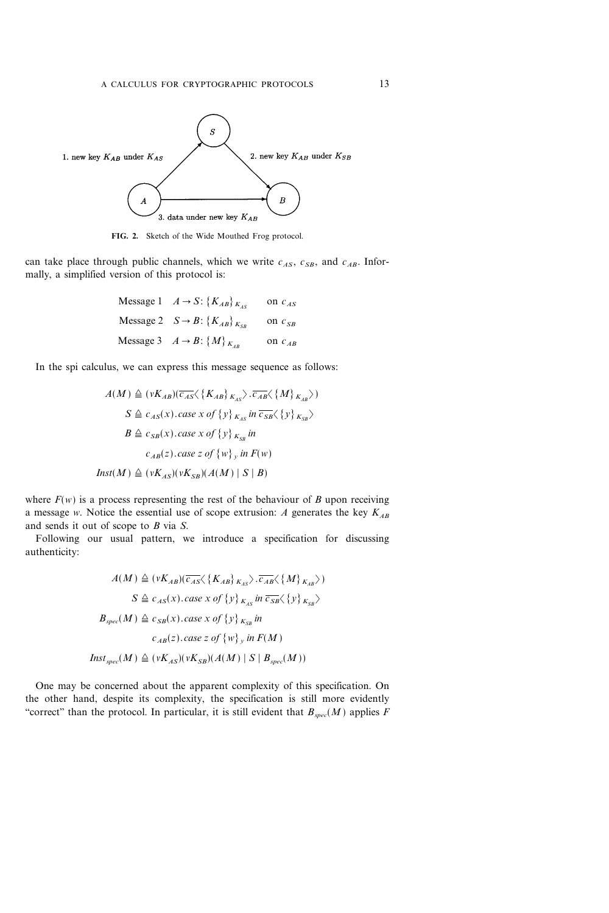

FIG. 2. Sketch of the Wide Mouthed Frog protocol.

can take place through public channels, which we write  $c_{AS}$ ,  $c_{SB}$ , and  $c_{AB}$ . Informally, a simplified version of this protocol is:

| Message 1 $A \rightarrow S: {K_{AB}}_{K_{AS}}$   | on $c_{AS}$ |
|--------------------------------------------------|-------------|
| Message 2 $S \rightarrow B: \{K_{AB}\}_{K_{SR}}$ | on $c_{SB}$ |
| Message 3 $A \rightarrow B: \{M\}_{K_{AB}}$      | on $c_{AB}$ |

In the spi calculus, we can express this message sequence as follows:

$$
A(M) \triangleq (vK_{AB})(\overline{c_{AS}}\langle \{K_{AB}\}_{K_{AS}}\rangle \cdot \overline{c_{AB}}\langle \{M\}_{K_{AB}}\rangle)
$$
  
\n
$$
S \triangleq c_{AS}(x) \cdot case \ x \ of \{y\}_{K_{AS}} \ in \ \overline{c_{SB}}\langle \{y\}_{K_{SB}}\rangle
$$
  
\n
$$
B \triangleq c_{SB}(x) \cdot case \ x \ of \{y\}_{K_{SB}} \ in
$$
  
\n
$$
c_{AB}(z) \cdot case \ z \ of \{w\}_{y} \ in \ F(w)
$$
  
\n
$$
Inst(M) \triangleq (vK_{AS})(vK_{SB})(A(M) \mid S \mid B)
$$

where  $F(w)$  is a process representing the rest of the behaviour of B upon receiving a message w. Notice the essential use of scope extrusion: A generates the key  $K_{AB}$ and sends it out of scope to B via S.

Following our usual pattern, we introduce a specification for discussing authenticity:

$$
A(M) \triangleq (vK_{AB})(\overline{c}_{AS} \langle \{K_{AB}\}_{K_{AS}} \rangle \cdot \overline{c_{AB}} \langle \{M\}_{K_{AB}} \rangle)
$$
  
\n
$$
S \triangleq c_{AS}(x) \cdot case \ x \ of \{y\}_{K_{AS}} \ in \ \overline{c_{SB}} \langle \{y\}_{K_{SB}} \rangle
$$
  
\n
$$
B_{spec}(M) \triangleq c_{SB}(x) \cdot case \ x \ of \{y\}_{K_{SB}} \ in
$$
  
\n
$$
c_{AB}(z) \cdot case \ z \ of \{w\}_{y} \ in \ F(M)
$$
  
\n
$$
Inst_{spec}(M) \triangleq (vK_{AS})(vK_{SB})(A(M) \ | \ S \ | \ B_{spec}(M))
$$

One may be concerned about the apparent complexity of this specification. On the other hand, despite its complexity, the specification is still more evidently "correct" than the protocol. In particular, it is still evident that  $B_{spec}(M)$  applies F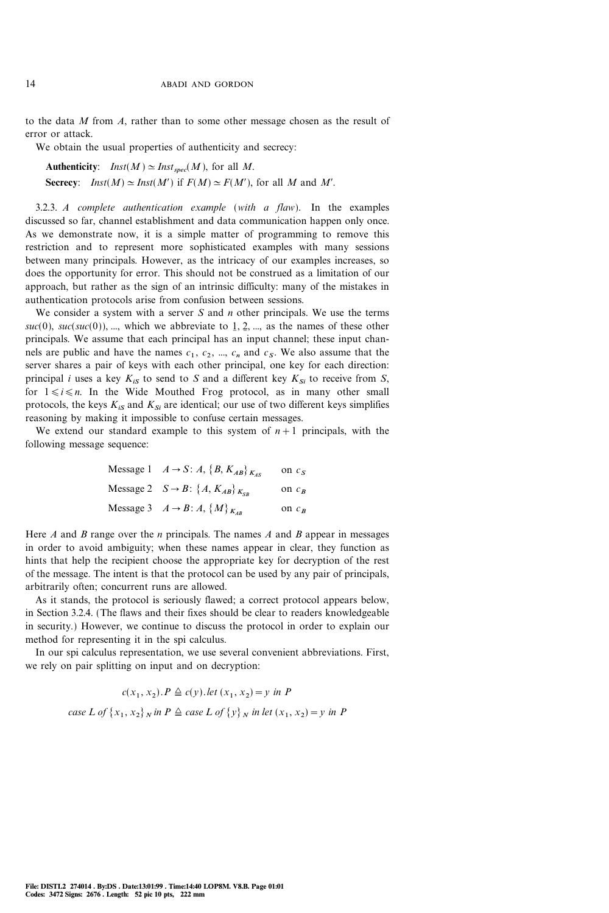to the data M from  $A$ , rather than to some other message chosen as the result of error or attack.

We obtain the usual properties of authenticity and secrecy:

**Authenticity:**  $Inst(M) \simeq Inst_{spec}(M)$ , for all M. Secrecy: *Inst*(*M*)  $\simeq$  *Inst*(*M'*) if  $F(M) \simeq F(M')$ , for all M and M'.

3.2.3. A complete authentication example (with a flaw). In the examples discussed so far, channel establishment and data communication happen only once. As we demonstrate now, it is a simple matter of programming to remove this restriction and to represent more sophisticated examples with many sessions between many principals. However, as the intricacy of our examples increases, so does the opportunity for error. This should not be construed as a limitation of our approach, but rather as the sign of an intrinsic difficulty: many of the mistakes in authentication protocols arise from confusion between sessions.

We consider a system with a server  $S$  and  $n$  other principals. We use the terms  $suc(0)$ ,  $suc(suc(0))$ , ..., which we abbreviate to 1, 2, ..., as the names of these other principals. We assume that each principal has an input channel; these input channels are public and have the names  $c_1$ ,  $c_2$ , ...,  $c_n$  and  $c_s$ . We also assume that the server shares a pair of keys with each other principal, one key for each direction: principal i uses a key  $K_{iS}$  to send to S and a different key  $K_{Si}$  to receive from S, for  $1 \le i \le n$ . In the Wide Mouthed Frog protocol, as in many other small protocols, the keys  $K_{iS}$  and  $K_{Si}$  are identical; our use of two different keys simplifies reasoning by making it impossible to confuse certain messages.

We extend our standard example to this system of  $n+1$  principals, with the following message sequence:

| Message 1 $A \rightarrow S: A, \{B, K_{AB}\}_{K_{AS}}$ | on $c_s$ |
|--------------------------------------------------------|----------|
| Message 2 $S \rightarrow B: \{A, K_{AB}\}_{K_{SR}}$    | on $c_B$ |
| Message 3 $A \rightarrow B: A, \{M\}_{K_{AB}}$         | on $c_B$ |

Here  $A$  and  $B$  range over the *n* principals. The names  $A$  and  $B$  appear in messages in order to avoid ambiguity; when these names appear in clear, they function as hints that help the recipient choose the appropriate key for decryption of the rest of the message. The intent is that the protocol can be used by any pair of principals, arbitrarily often; concurrent runs are allowed.

As it stands, the protocol is seriously flawed; a correct protocol appears below, in Section 3.2.4. (The flaws and their fixes should be clear to readers knowledgeable in security.) However, we continue to discuss the protocol in order to explain our method for representing it in the spi calculus.

In our spi calculus representation, we use several convenient abbreviations. First, we rely on pair splitting on input and on decryption:

$$
c(x_1, x_2).P \triangleq c(y).let (x_1, x_2) = y in P
$$
  
*case L of* { $x_1, x_2$ }<sub>N</sub> in P  $\triangleq$  *case L of* { $y$ }<sub>N</sub> in let ( $x_1, x_2$ ) = y in P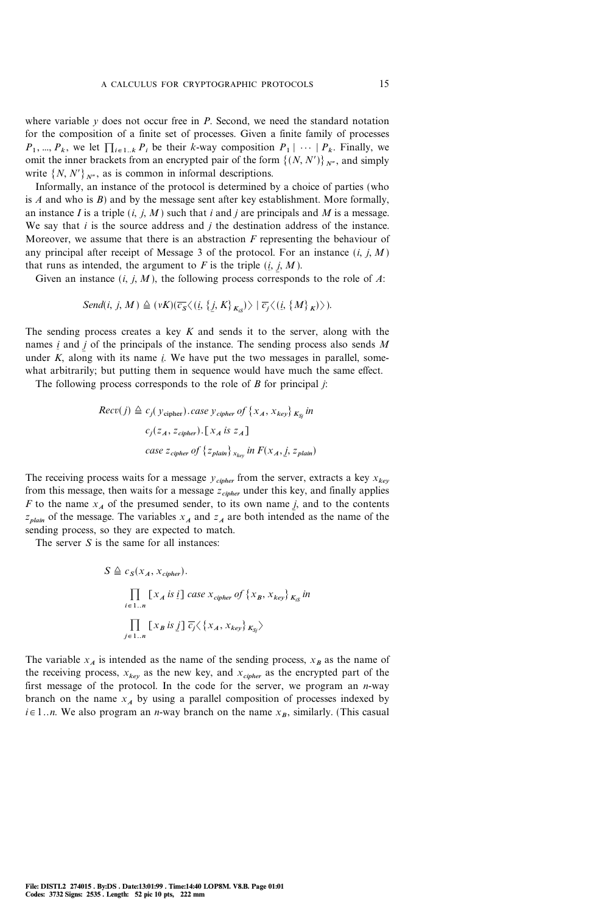where variable  $y$  does not occur free in P. Second, we need the standard notation for the composition of a finite set of processes. Given a finite family of processes  $P_1, ..., P_k$ , we let  $\prod_{i \in 1..k} P_i$  be their k-way composition  $P_1 \cup \cdots \cup P_k$ . Finally, we omit the inner brackets from an encrypted pair of the form  $\{(N, N')\}_{N''}$ , and simply write  $\{N, N'\}_{N''}$ , as is common in informal descriptions.

Informally, an instance of the protocol is determined by a choice of parties (who is  $A$  and who is  $B$ ) and by the message sent after key establishment. More formally, an instance I is a triple  $(i, j, M)$  such that i and j are principals and M is a message. We say that  $i$  is the source address and  $j$  the destination address of the instance. Moreover, we assume that there is an abstraction  $F$  representing the behaviour of any principal after receipt of Message 3 of the protocol. For an instance  $(i, j, M)$ that runs as intended, the argument to F is the triple  $(i, j, M)$ .

֚֚ Given an instance  $(i, j, M)$ , the following process corresponds to the role of A:

Send(i, j, M) 
$$
\triangleq
$$
 ( $\nu K$ )( $\overline{c_S} \langle (i, \{j, K\}_{K_S}) \rangle | \overline{c_j} \langle (i, \{M\}_{K}) \rangle$ ).

The sending process creates a key  $K$  and sends it to the server, along with the names  $i$  and  $j$  of the principals of the instance. The sending process also sends  $M$ ֚֚֚֡֡֓֡֡֓֡֡֡֡֬ .<br>י under  $K$ , along with its name  $i$ . We have put the two messages in parallel, some- what arbitrarily; but putting them in sequence would have much the same effect.

The following process corresponds to the role of  $B$  for principal  $j$ :

$$
Recv(j) \triangleq c_j(y_{\text{cipher}}).case \ y_{\text{cipher}} \ of \{x_A, x_{\text{key}}\}_{K_{Sj}} \ in
$$

$$
c_j(z_A, z_{\text{cipher}}).[x_A \text{ is } z_A]
$$

$$
case \ z_{\text{cipher}} \ of \{z_{\text{plain}}\}_{x_{\text{key}}} \ in \ F(x_A, \underline{j}, z_{\text{plain}})
$$

The receiving process waits for a message  $y_{\text{cipher}}$  from the server, extracts a key  $x_{\text{key}}$ from this message, then waits for a message  $z_{\text{cipher}}$  under this key, and finally applies F to the name  $x_A$  of the presumed sender, to its own name j, and to the contents ĺ  $z_{plain}$  of the message. The variables  $x_A$  and  $z_A$  are both intended as the name of the sending process, so they are expected to match.

The server  $S$  is the same for all instances:

$$
S \triangleq c_S(x_A, x_{cipher}).
$$
  
\n
$$
\prod_{i \in 1..n} [x_A \text{ is } i] \text{ case } x_{cipher} \text{ of } \{x_B, x_{key}\}_{K_{iS}} \text{ in}
$$
  
\n
$$
\prod_{j \in 1..n} [x_B \text{ is } j] \overline{c_j} \langle \{x_A, x_{key}\}_{K_{Sj}} \rangle
$$

The variable  $x_A$  is intended as the name of the sending process,  $x_B$  as the name of the receiving process,  $x_{key}$  as the new key, and  $x_{cipher}$  as the encrypted part of the first message of the protocol. In the code for the server, we program an  $n$ -way branch on the name  $x_A$  by using a parallel composition of processes indexed by  $i \in 1...n$ . We also program an *n*-way branch on the name  $x_B$ , similarly. (This casual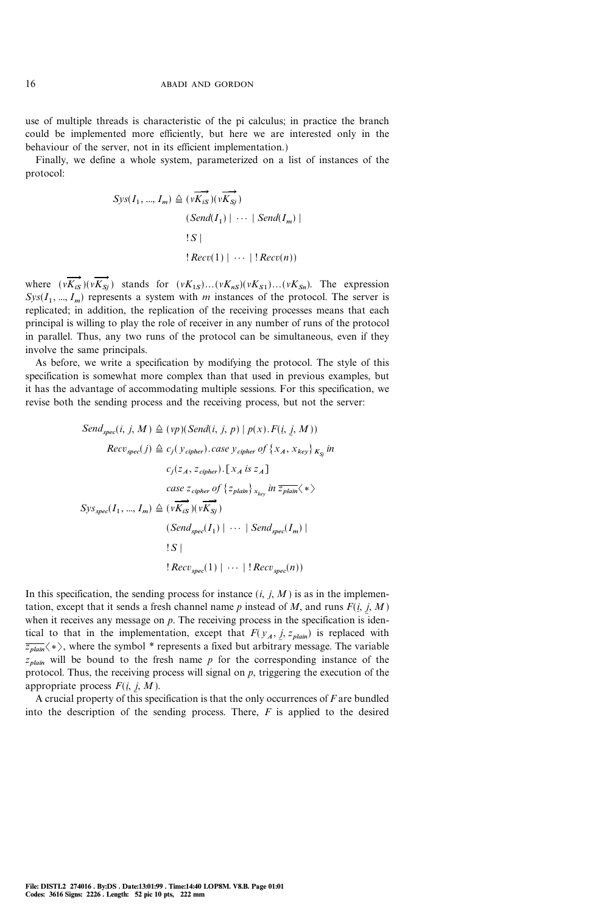use of multiple threads is characteristic of the pi calculus; in practice the branch could be implemented more efficiently, but here we are interested only in the behaviour of the server, not in its efficient implementation.)

Finally, we define a whole system, parameterized on a list of instances of the protocol:

$$
Sys(I_1, ..., I_m) \triangleq (\overrightarrow{vK_{is}})(\overrightarrow{vK_{sj}})
$$
  
\n
$$
(Send(I_1) | \cdots | Send(I_m) |
$$
  
\n
$$
! S |
$$
  
\n
$$
! Rev(1) | \cdots | ! Recv(n))
$$

where  $(\overrightarrow{vK_{is}})(\overrightarrow{vK_{sj}})$  stands for  $(vK_{1s})...(vK_{ns})(vK_{s1})...(vK_{sn})$ . The expression  $Sys(I_1, ..., I_m)$  represents a system with m instances of the protocol. The server is replicated; in addition, the replication of the receiving processes means that each principal is willing to play the role of receiver in any number of runs of the protocol in parallel. Thus, any two runs of the protocol can be simultaneous, even if they involve the same principals.

As before, we write a specification by modifying the protocol. The style of this specification is somewhat more complex than that used in previous examples, but it has the advantage of accommodating multiple sessions. For this specification, we revise both the sending process and the receiving process, but not the server:

Send<sub>spec</sub>(i, j, M) 
$$
\triangleq
$$
 (vp)(Send(i, j, p) | p(x).F(i, j, M))  
\nRecv<sub>spec</sub>(j)  $\triangleq c_j$  (y<sub>cipher</sub>).case y<sub>cipher</sub> of {x<sub>A</sub>, x<sub>key</sub>}<sub>K<sub>Sj</sub></sub> in  
\n $c_j$ (z<sub>A</sub>, z<sub>cipher</sub>). [x<sub>A</sub> is z<sub>A</sub>]  
\ncase z<sub>cipher</sub> of {z<sub>plain</sub>}<sub>x<sub>key</sub></sub> in z<sub>plain</sub>  $\langle *\rangle$   
\n $Sysspec(I1, ..., Im) \triangleq (v\overrightarrow{K_{is}})(v\overrightarrow{K_{sj}}$ )  
\n(Send<sub>spec</sub>(I<sub>1</sub>) | ... | Send<sub>spec</sub>(I<sub>m</sub>) |  
\n! S |  
\n! Recv<sub>spec</sub>(1) | ... |! Recv<sub>spec</sub>(n))

In this specification, the sending process for instance  $(i, j, M)$  is as in the implementation, except that it sends a fresh channel name p instead of M, and runs  $F(i, j, M)$ ֢֢ׅ֦֧֢ׅ֖֧֚֚֚֚֚֚֚֚֚֚֚֚֚֚֚֚֚֚֚֚֚֬֓֡֓֡֡֝֓֡֡֓ ֖֖֖ׅ֖֧ׅ֪֪ׅ֖֧֪֪ׅ֖֧֪֪ׅ֖֚֚֚֚֚֚֚֚֚֚֚֚֚֚֚֚֚֚֚֚֚֚֚֡֡֡֡֡֡֡֡֬֝֡֡֡֬֝֝֓֞֡֡֓֞֬֞֝֓֞֞֝֓֞֬֝֬֝֞֞ when it receives any message on  $p$ . The receiving process in the specification is identical to that in the implementation, except that  $F(y_A, j, z_{plain})$  is replaced with ֖֚֚֚֚֚֚֚֚֚֚֚֚֚֚֚֚֚֚֚֚֚֚֡֝֡֡֡֡֡  $\overline{z_{plain}}\langle * \rangle$ , where the symbol \* represents a fixed but arbitrary message. The variable  $z_{plain}$  will be bound to the fresh name p for the corresponding instance of the protocol. Thus, the receiving process will signal on  $p$ , triggering the execution of the appropriate process  $F(i, j, M)$ .

֖֖֖֖֖֖֪֪ׅ֪֪֪֪֪֪֪֪֪֪֪֪֪ׅ֚֚֚֚֚֚֚֚֚֚֚֚֚֚֚֚֚֡֝֝֝֝֝֝֝֝֝֓֝֓֝֬֝֓֝֓֝֓ ֖֖֖֖֖֖֧֪֪֪֪֪֪֪֪֪֪֪֪֪֪֪֪֚֚֚֚֚֚֚֚֚֚֚֚֚֚֚֚֚֚֚֚֚֬֝֓֞֡֞֡֞֡֓֞֡֓֞֡֓ A crucial property of this specification is that the only occurrences of  $F$  are bundled into the description of the sending process. There,  $F$  is applied to the desired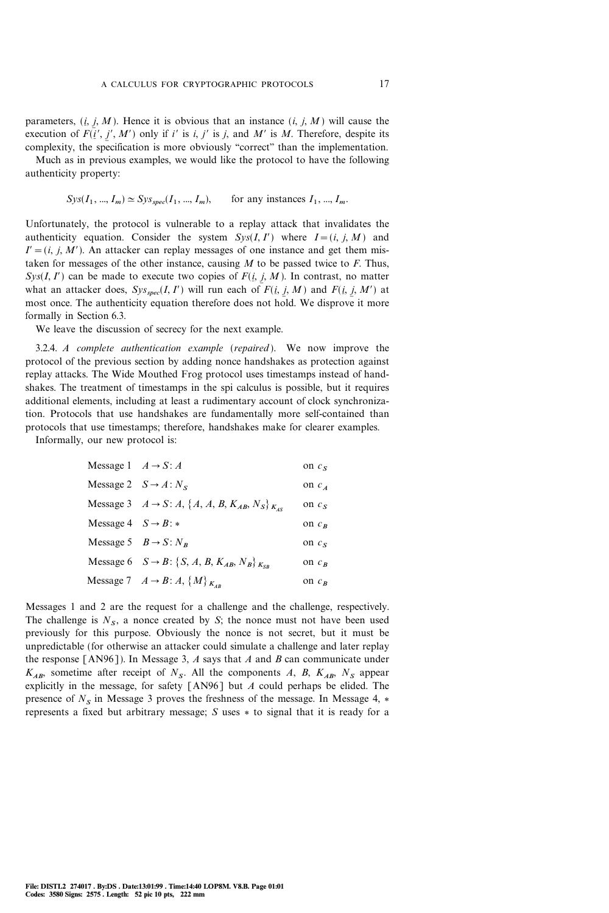Much as in previous examples, we would like the protocol to have the following authenticity property:

$$
Sys(I_1, ..., I_m) \simeq Sys_{spec}(I_1, ..., I_m), \qquad \text{for any instances } I_1, ..., I_m.
$$

Unfortunately, the protocol is vulnerable to a replay attack that invalidates the authenticity equation. Consider the system  $Sys(I, I')$  where  $I=(i, j, M)$  and  $I' = (i, j, M')$ . An attacker can replay messages of one instance and get them mistaken for messages of the other instance, causing  $M$  to be passed twice to  $F$ . Thus,  $Sys(I, I')$  can be made to execute two copies of  $F(i, j, M)$ . In contrast, no matter ֚֚ what an attacker does,  $Sys_{spec}(I, I')$  will run each of  $F(i, j, M')$  and  $F(i, j, M')$  at ֖֖֖֧֚֚֚֚֚֚֚֚֚֚֚֚֚֚֚֚֚֚֚֚֚֚֚֚֚֚֡֬֝֓֡֞֓֡֓֓֞֡֓֓֡֓֓ ֖֖ׅ֚֚֚֚֚֚֚֚֚֚֚֚֚֚֚֚֚֚֚֚֚֚֡֡֡֜֓֡֡ ֚֚֚֚֞ most once. The authenticity equation therefore does not hold. We disprove it more formally in Section 6.3.

We leave the discussion of secrecy for the next example.

3.2.4. A complete authentication example (repaired). We now improve the protocol of the previous section by adding nonce handshakes as protection against replay attacks. The Wide Mouthed Frog protocol uses timestamps instead of handshakes. The treatment of timestamps in the spi calculus is possible, but it requires additional elements, including at least a rudimentary account of clock synchronization. Protocols that use handshakes are fundamentally more self-contained than protocols that use timestamps; therefore, handshakes make for clearer examples.

Informally, our new protocol is:

| Message 1 $A \rightarrow S : A$ |                                                                                    | on $c_s$ |
|---------------------------------|------------------------------------------------------------------------------------|----------|
|                                 | Message 2 $S \rightarrow A : N_S$                                                  | on $c_A$ |
|                                 | Message 3 $A \rightarrow S: A$ , { $A, A, B, K_{AB}, N_S$ } $_{K_{AS}}$            | on $c_s$ |
| Message 4 $S \rightarrow B$ : * |                                                                                    | on $c_R$ |
|                                 | Message 5 $B \rightarrow S: N_B$                                                   | on $c_s$ |
|                                 | Message 6 $S \rightarrow B$ : {S, A, B, $K_{AB}$ , N <sub>B</sub> } <sub>Ksp</sub> | on $c_R$ |
|                                 | Message 7 $A \rightarrow B: A, \{M\}_{K_{AB}}$                                     | on $c_R$ |

Messages 1 and 2 are the request for a challenge and the challenge, respectively. The challenge is  $N<sub>s</sub>$ , a nonce created by S; the nonce must not have been used previously for this purpose. Obviously the nonce is not secret, but it must be unpredictable (for otherwise an attacker could simulate a challenge and later replay the response [AN96]). In Message 3,  $A$  says that  $A$  and  $B$  can communicate under  $K_{AB}$ , sometime after receipt of  $N_S$ . All the components A, B,  $K_{AB}$ ,  $N_S$  appear explicitly in the message, for safety  $[AN96]$  but A could perhaps be elided. The presence of  $N<sub>S</sub>$  in Message 3 proves the freshness of the message. In Message 4,  $*$ represents a fixed but arbitrary message;  $S$  uses  $*$  to signal that it is ready for a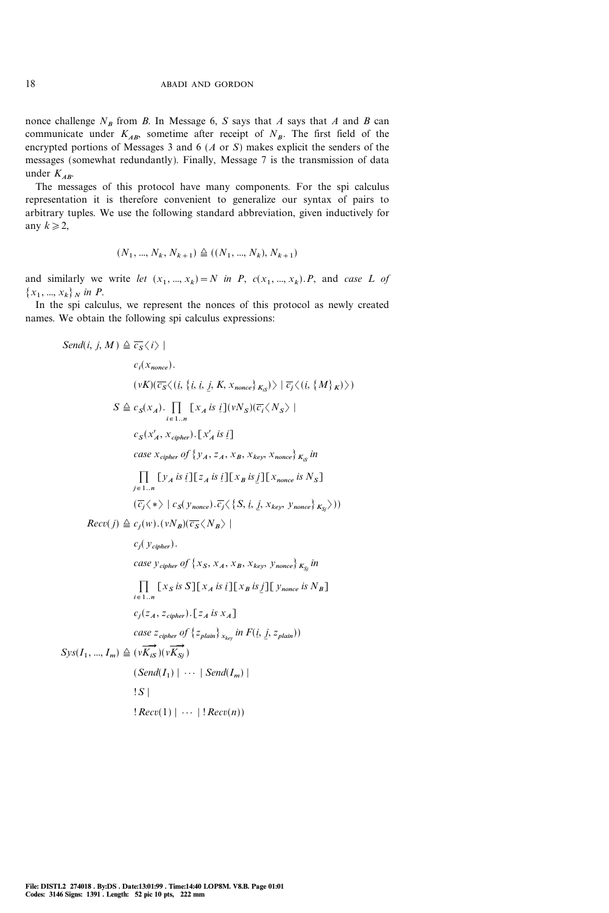nonce challenge  $N_B$  from B. In Message 6, S says that A says that A and B can communicate under  $K_{AB}$ , sometime after receipt of  $N_B$ . The first field of the encrypted portions of Messages 3 and 6 (A or S) makes explicit the senders of the messages (somewhat redundantly). Finally, Message 7 is the transmission of data under  $K_{AB}$ .

The messages of this protocol have many components. For the spi calculus representation it is therefore convenient to generalize our syntax of pairs to arbitrary tuples. We use the following standard abbreviation, given inductively for any  $k \geq 2$ ,

$$
(N_1, ..., N_k, N_{k+1}) \triangleq ((N_1, ..., N_k), N_{k+1})
$$

and similarly we write let  $(x_1, ..., x_k) = N$  in P,  $c(x_1, ..., x_k)$ . P, and case L of  $\{x_1, ..., x_k\}_N$  in P.

In the spi calculus, we represent the nonces of this protocol as newly created names. We obtain the following spi calculus expressions:

Send(i, j, M) 
$$
\triangleq \overline{c_S \langle i \rangle}
$$
  
\n $c_i(x_{none})$ .  
\n $(vK)(\overline{c_S} \langle (i, \{i, i, j, K, x_{none} \} _{K_S}) \rangle | \overline{c_j} \langle (i, \{M\}_K) \rangle)$   
\n $S \triangleq c_S(x_A)$ .  $\prod_{i \in 1..n} [x_A \text{ is } i] (vN_S)(\overline{c_i} \langle N_S \rangle |$   
\n $c_S(x'_A, x_{cipher}) [x'_A \text{ is } i]$   
\n $case x_{cipher} of \{y_A, z_A, x_B, x_{key}, x_{none} \} _{K_S} \text{ in}$   
\n $\prod_{j \in 1..n} [y_A \text{ is } i] [z_A \text{ is } i] [x_B \text{ is } j] [x_{none} \text{ is } N_S]$   
\n $(\overline{c_j} \langle * \rangle | c_S(y_{none}) \cdot \overline{c_j} \langle \{S, i, j, x_{key}, y_{none} \} _{K_S} \rangle)$ )  
\n $Recv(j) \triangleq c_j(w) \cdot (vN_B)(\overline{c_S} \langle N_B \rangle |$   
\n $c_j(y_{other})$ .  
\n $case y_{cipher} of \{x_S, x_A, x_B, x_{key}, y_{none} \} _{K_S} \text{ in}$   
\n $\prod_{i \in 1..n} [x_S \text{ is } S][x_A \text{ is } i] [x_B \text{ is } j] [y_{none} \text{ is } N_B]$   
\n $c_j(z_A, z_{cipher}) \cdot [z_A \text{ is } x_A]$   
\n $case z_{other} of \{z_{plain} \} _{x_{key}} \text{ in } F(i, j, z_{plain}) )$   
\n $Sys(I_1, ..., I_m) \triangleq (vK_{is})(vK_{sj})$   
\n $(Send(I_1) | \cdots | Send(I_m) |$   
\n $1. S |$   
\n $1. Recv(1) | \cdots | Recv(n))$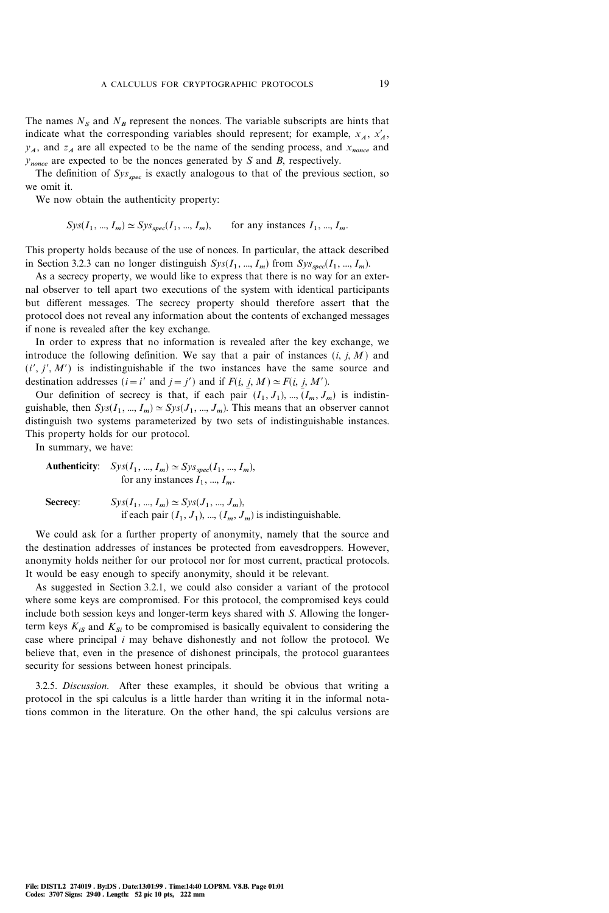The names  $N<sub>S</sub>$  and  $N<sub>B</sub>$  represent the nonces. The variable subscripts are hints that indicate what the corresponding variables should represent; for example,  $x_A$ ,  $x'_A$ ,  $y_A$ , and  $z_A$  are all expected to be the name of the sending process, and  $x_{\text{none}}$  and  $y_{\text{nonce}}$  are expected to be the nonces generated by S and B, respectively.

The definition of  $Sys_{spec}$  is exactly analogous to that of the previous section, so we omit it.

We now obtain the authenticity property:

$$
Sys(I_1, ..., I_m) \simeq Sys_{spec}(I_1, ..., I_m)
$$
, for any instances  $I_1, ..., I_m$ .

This property holds because of the use of nonces. In particular, the attack described in Section 3.2.3 can no longer distinguish  $Sys(I_1, ..., I_m)$  from  $Sys_{spec}(I_1, ..., I_m)$ .

As a secrecy property, we would like to express that there is no way for an external observer to tell apart two executions of the system with identical participants but different messages. The secrecy property should therefore assert that the protocol does not reveal any information about the contents of exchanged messages if none is revealed after the key exchange.

In order to express that no information is revealed after the key exchange, we introduce the following definition. We say that a pair of instances  $(i, j, M)$  and  $(i', j', M')$  is indistinguishable if the two instances have the same source and destination addresses  $(i = i'$  and  $j = j'$ ) and if  $F(i, j, M) \simeq F(i, j, M')$ .

֚֞֘֝֬ ֺ֝֡ İ i Our definition of secrecy is that, if each pair  $(I_1, J_1)$ , ...,  $(I_m, J_m)$  is indistinguishable, then  $Sys(I_1, ..., I_m) \simeq Sys(J_1, ..., J_m)$ . This means that an observer cannot distinguish two systems parameterized by two sets of indistinguishable instances. This property holds for our protocol.

In summary, we have:

**Authorticity:** 
$$
Sys(I_1, ..., I_m) \simeq Sys_{spec}(I_1, ..., I_m)
$$
,  
for any instances  $I_1, ..., I_m$ .

**Secrecy:**  $Sys(I_1, ..., I_m) \simeq Sys(J_1, ..., J_m),$ if each pair  $(I_1, J_1)$ , ...,  $(I_m, J_m)$  is indistinguishable.

We could ask for a further property of anonymity, namely that the source and the destination addresses of instances be protected from eavesdroppers. However, anonymity holds neither for our protocol nor for most current, practical protocols. It would be easy enough to specify anonymity, should it be relevant.

As suggested in Section 3.2.1, we could also consider a variant of the protocol where some keys are compromised. For this protocol, the compromised keys could include both session keys and longer-term keys shared with S. Allowing the longerterm keys  $K_{iS}$  and  $K_{Si}$  to be compromised is basically equivalent to considering the case where principal i may behave dishonestly and not follow the protocol. We believe that, even in the presence of dishonest principals, the protocol guarantees security for sessions between honest principals.

3.2.5. Discussion. After these examples, it should be obvious that writing a protocol in the spi calculus is a little harder than writing it in the informal notations common in the literature. On the other hand, the spi calculus versions are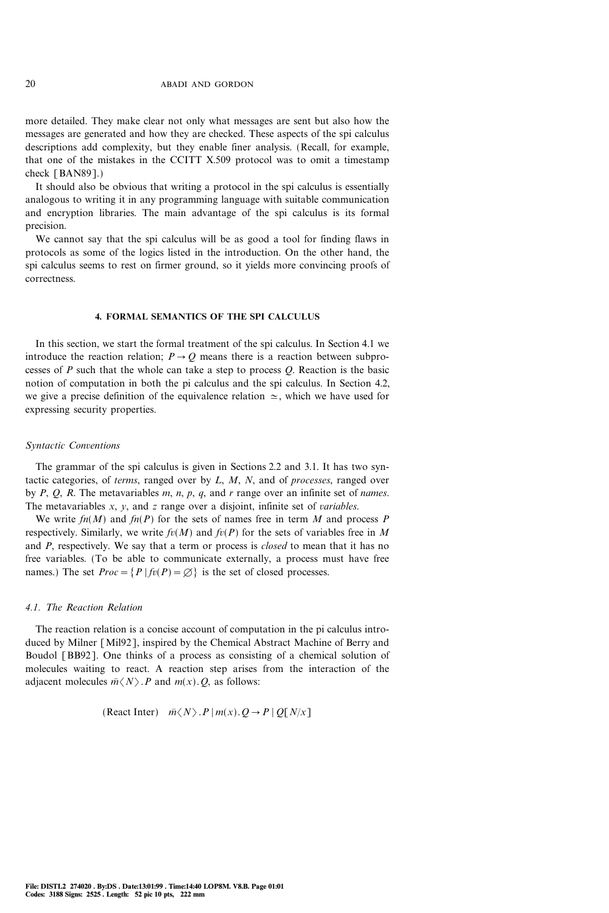more detailed. They make clear not only what messages are sent but also how the messages are generated and how they are checked. These aspects of the spi calculus descriptions add complexity, but they enable finer analysis. (Recall, for example, that one of the mistakes in the CCITT X.509 protocol was to omit a timestamp check [BAN89].)

It should also be obvious that writing a protocol in the spi calculus is essentially analogous to writing it in any programming language with suitable communication and encryption libraries. The main advantage of the spi calculus is its formal precision.

We cannot say that the spi calculus will be as good a tool for finding flaws in protocols as some of the logics listed in the introduction. On the other hand, the spi calculus seems to rest on firmer ground, so it yields more convincing proofs of correctness.

## 4. FORMAL SEMANTICS OF THE SPI CALCULUS

In this section, we start the formal treatment of the spi calculus. In Section 4.1 we introduce the reaction relation;  $P \rightarrow Q$  means there is a reaction between subprocesses of  $P$  such that the whole can take a step to process  $Q$ . Reaction is the basic notion of computation in both the pi calculus and the spi calculus. In Section 4.2, we give a precise definition of the equivalence relation  $\approx$ , which we have used for expressing security properties.

#### Syntactic Conventions

The grammar of the spi calculus is given in Sections 2.2 and 3.1. It has two syntactic categories, of *terms*, ranged over by  $L, M, N$ , and of *processes*, ranged over by P, Q, R. The metavariables m, n, p, q, and r range over an infinite set of names. The metavariables  $x$ ,  $y$ , and  $z$  range over a disjoint, infinite set of *variables*.

We write  $fn(M)$  and  $fn(P)$  for the sets of names free in term M and process P respectively. Similarly, we write  $f(v|M)$  and  $f(v|P)$  for the sets of variables free in M and  $P$ , respectively. We say that a term or process is *closed* to mean that it has no free variables. (To be able to communicate externally, a process must have free names.) The set  $Proc = {P | f v(P) = \emptyset}$  is the set of closed processes.

#### 4.1. The Reaction Relation

The reaction relation is a concise account of computation in the pi calculus introduced by Milner [Mil92], inspired by the Chemical Abstract Machine of Berry and Boudol [BB92]. One thinks of a process as consisting of a chemical solution of molecules waiting to react. A reaction step arises from the interaction of the adjacent molecules  $m \langle N \rangle$ . P and  $m(x)$ . Q, as follows:

(React Inter) 
$$
\bar{m}\langle N\rangle \cdot P | m(x) \cdot Q \rightarrow P | Q[N/x]
$$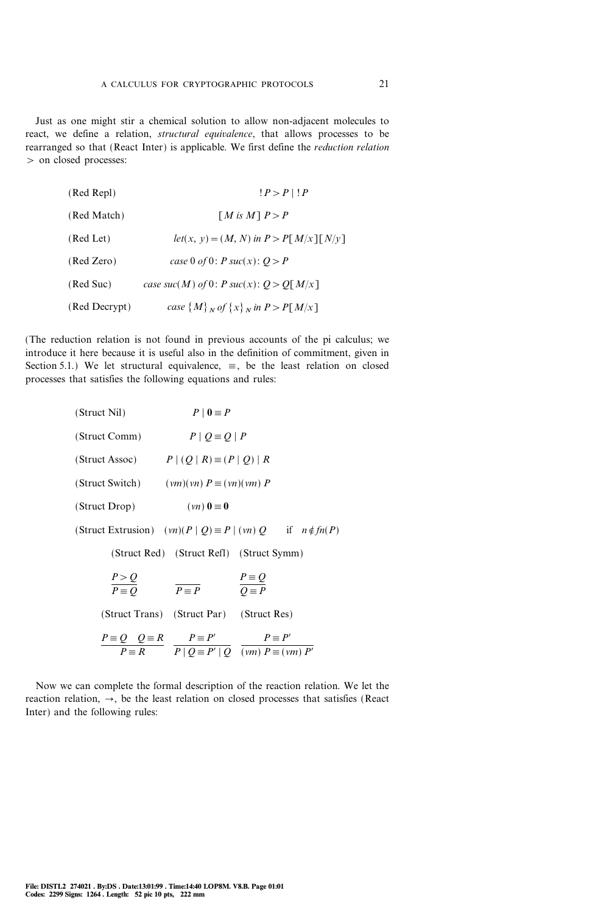Just as one might stir a chemical solution to allow non-adjacent molecules to react, we define a relation, structural equivalence, that allows processes to be rearranged so that (React Inter) is applicable. We first define the *reduction relation* > on closed processes:

> $(Red Repl)$   $!P > P | !P$ (Red Match)  $[M \text{ is } M]$   $P > P$ (Red Let)  $let(x, y) = (M, N)$  in  $P > P[M/x][N/y]$ (Red Zero) case 0 of 0: P suc(x):  $Q > P$ (Red Suc) case suc(M) of 0: P suc(x):  $Q > Q[M/x]$ (Red Decrypt) case  $\{M\}_{N}$  of  $\{x\}_{N}$  in  $P > P[M/x]$

(The reduction relation is not found in previous accounts of the pi calculus; we introduce it here because it is useful also in the definition of commitment, given in Section 5.1.) We let structural equivalence,  $\equiv$ , be the least relation on closed processes that satisfies the following equations and rules:

| (Struct Nil)                                               | $P \mid 0 \equiv P$                                   |                                                                                                   |
|------------------------------------------------------------|-------------------------------------------------------|---------------------------------------------------------------------------------------------------|
| (Struct Comm)                                              | $P \mid Q \equiv Q \mid P$                            |                                                                                                   |
| (Struct Assoc) $P (Q R) \equiv (P Q) R$                    |                                                       |                                                                                                   |
| (Struct Switch) $(\nu m)(\nu n) P \equiv (\nu n)(\nu m) P$ |                                                       |                                                                                                   |
| (Struct Drop)                                              | $(vn)$ $\mathbf{0} \equiv \mathbf{0}$                 |                                                                                                   |
|                                                            |                                                       | (Struct Extrusion) $(vn)(P   Q) \equiv P   (vn) Q$ if $n \notin fn(P)$                            |
|                                                            | (Struct Red) (Struct Refl) (Struct Symm)              |                                                                                                   |
| $rac{P>Q}{P\equiv Q}$                                      | $P \equiv P$                                          | $\frac{P \equiv Q}{Q \equiv P}$                                                                   |
|                                                            | (Struct Trans) (Struct Par) (Struct Res)              |                                                                                                   |
|                                                            | $P \equiv Q$ $Q \equiv R$ $P \equiv P'$ $P \equiv P'$ | $\overline{P \equiv R}$ $\overline{P \mid Q \equiv P' \mid Q}$ $\overline{(vm) P \equiv (vm) P'}$ |

Now we can complete the formal description of the reaction relation. We let the reaction relation,  $\rightarrow$ , be the least relation on closed processes that satisfies (React Inter) and the following rules: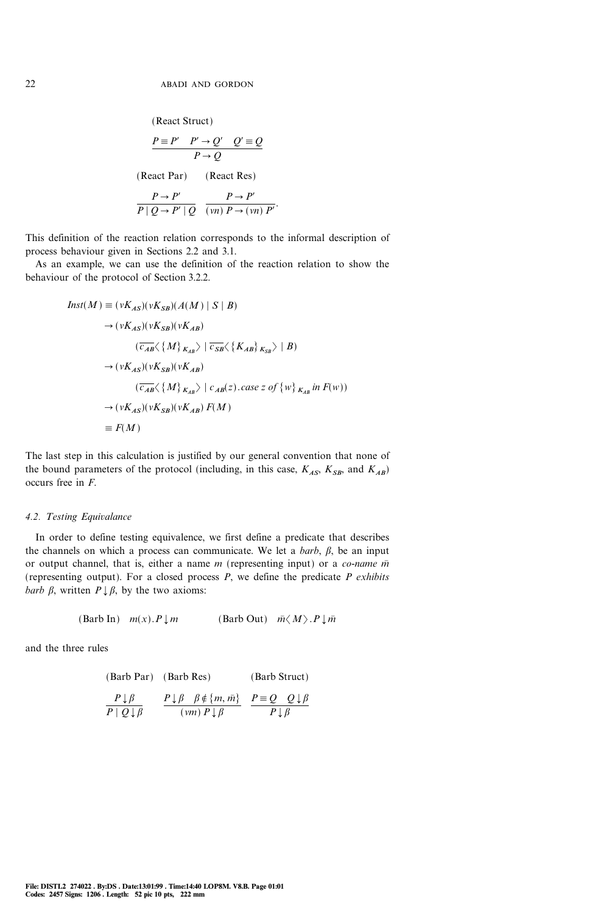(React Struct)

$$
\frac{P \equiv P' \quad P' \to Q' \quad Q' \equiv Q}{P \to Q}
$$

(React Par) (React Res)

$$
\frac{P \to P'}{P \mid Q \to P' \mid Q} \quad \frac{P \to P'}{(vn) \; P \to (vn) \; P'}.
$$

This definition of the reaction relation corresponds to the informal description of process behaviour given in Sections 2.2 and 3.1.

As an example, we can use the definition of the reaction relation to show the behaviour of the protocol of Section 3.2.2.

$$
Inst(M) \equiv (\nu K_{AS})(\nu K_{SB})(A(M) | S | B)
$$
  
\n
$$
\rightarrow (\nu K_{AS})(\nu K_{SB})(\nu K_{AB})
$$
  
\n
$$
(\overline{c_{AB}} \langle \{M\}_{K_{AB}} \rangle | \overline{c_{SB}} \langle \{K_{AB}\}_{K_{SB}} \rangle | B)
$$
  
\n
$$
\rightarrow (\nu K_{AS})(\nu K_{SB})(\nu K_{AB})
$$
  
\n
$$
(\overline{c_{AB}} \langle \{M\}_{K_{AB}} \rangle | c_{AB}(z).case z of \{W\}_{K_{AB}} in F(W))
$$
  
\n
$$
\rightarrow (\nu K_{AS})(\nu K_{SB})(\nu K_{AB}) F(M)
$$
  
\n
$$
\equiv F(M)
$$

The last step in this calculation is justified by our general convention that none of the bound parameters of the protocol (including, in this case,  $K_{AS}$ ,  $K_{SB}$ , and  $K_{AB}$ ) occurs free in F.

#### 4.2. Testing Equivalance

In order to define testing equivalence, we first define a predicate that describes the channels on which a process can communicate. We let a *barb*,  $\beta$ , be an input or output channel, that is, either a name  $m$  (representing input) or a *co-name*  $\overline{m}$ (representing output). For a closed process  $P$ , we define the predicate  $P$  exhibits *barb*  $\beta$ *, written P*  $\downarrow \beta$ , by the two axioms:

(Barb In) 
$$
m(x).P \downarrow m
$$
 (Barb Out)  $\bar{m}\langle M \rangle.P \downarrow \bar{m}$ 

and the three rules

(Barb Par) (Barb Res) (Barb Struct)  
\n
$$
\frac{P \downarrow \beta}{P \mid Q \downarrow \beta} \qquad \frac{P \downarrow \beta \beta \notin \{m, \bar{m}\}}{(vm) P \downarrow \beta} \qquad \frac{P \equiv Q \quad Q \downarrow \beta}{P \downarrow \beta}
$$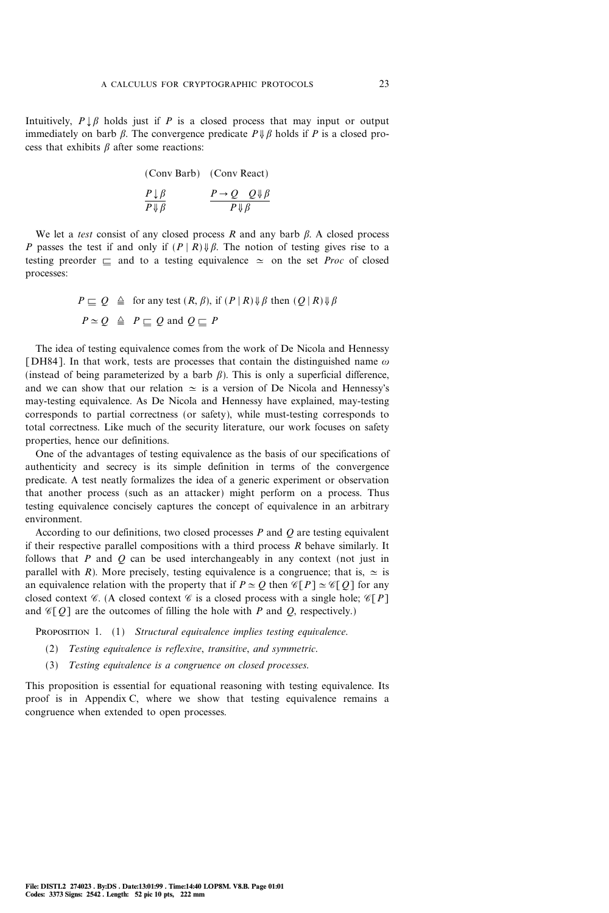Intuitively,  $P \downarrow \beta$  holds just if P is a closed process that may input or output immediately on barb  $\beta$ . The convergence predicate  $P \nparallel \beta$  holds if P is a closed process that exhibits  $\beta$  after some reactions:

(Conv Barb) (Conv React)  
\n
$$
\frac{P \downarrow \beta}{P \Downarrow \beta} \qquad \qquad \frac{P \rightarrow Q \quad Q \Downarrow \beta}{P \Downarrow \beta}
$$

We let a test consist of any closed process  $R$  and any barb  $\beta$ . A closed process P passes the test if and only if  $(P | R) \psi \beta$ . The notion of testing gives rise to a testing preorder  $\equiv$  and to a testing equivalence  $\approx$  on the set *Proc* of closed processes:

$$
P \sqsubseteq Q \triangleq \text{ for any test } (R, \beta), \text{ if } (P \mid R) \Downarrow \beta \text{ then } (Q \mid R) \Downarrow \beta
$$
  

$$
P \simeq Q \triangleq P \sqsubseteq Q \text{ and } Q \sqsubseteq P
$$

The idea of testing equivalence comes from the work of De Nicola and Hennessy [DH84]. In that work, tests are processes that contain the distinguished name  $\omega$ (instead of being parameterized by a barb  $\beta$ ). This is only a superficial difference, and we can show that our relation  $\simeq$  is a version of De Nicola and Hennessy's may-testing equivalence. As De Nicola and Hennessy have explained, may-testing corresponds to partial correctness (or safety), while must-testing corresponds to total correctness. Like much of the security literature, our work focuses on safety properties, hence our definitions.

One of the advantages of testing equivalence as the basis of our specifications of authenticity and secrecy is its simple definition in terms of the convergence predicate. A test neatly formalizes the idea of a generic experiment or observation that another process (such as an attacker) might perform on a process. Thus testing equivalence concisely captures the concept of equivalence in an arbitrary environment.

According to our definitions, two closed processes  $P$  and  $Q$  are testing equivalent if their respective parallel compositions with a third process  $R$  behave similarly. It follows that P and Q can be used interchangeably in any context (not just in parallel with R). More precisely, testing equivalence is a congruence; that is,  $\simeq$  is an equivalence relation with the property that if  $P \simeq Q$  then  $\mathscr{C}[P] \simeq \mathscr{C}[Q]$  for any closed context  $\mathscr C$ . (A closed context  $\mathscr C$  is a closed process with a single hole;  $\mathscr C[P]$ and  $\mathscr{C}[\mathcal{Q}]$  are the outcomes of filling the hole with P and Q, respectively.)

PROPOSITION 1. (1) Structural equivalence implies testing equivalence.

- (2) Testing equivalence is reflexive, transitive, and symmetric.
- (3) Testing equivalence is a congruence on closed processes.

This proposition is essential for equational reasoning with testing equivalence. Its proof is in Appendix C, where we show that testing equivalence remains a congruence when extended to open processes.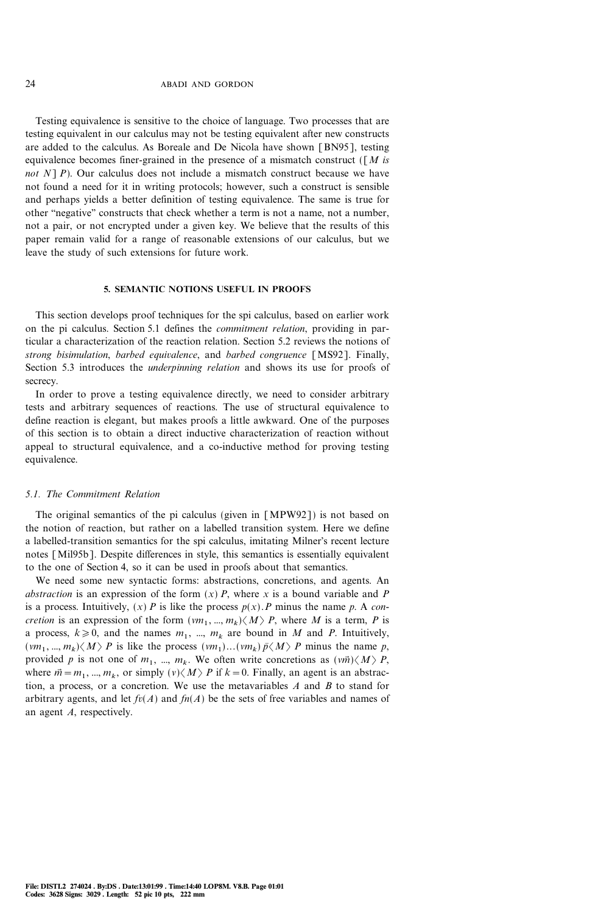Testing equivalence is sensitive to the choice of language. Two processes that are testing equivalent in our calculus may not be testing equivalent after new constructs are added to the calculus. As Boreale and De Nicola have shown [BN95], testing equivalence becomes finer-grained in the presence of a mismatch construct ( $\lceil M \rceil$  is not  $N$ ] P). Our calculus does not include a mismatch construct because we have not found a need for it in writing protocols; however, such a construct is sensible and perhaps yields a better definition of testing equivalence. The same is true for other "negative" constructs that check whether a term is not a name, not a number, not a pair, or not encrypted under a given key. We believe that the results of this paper remain valid for a range of reasonable extensions of our calculus, but we leave the study of such extensions for future work.

### 5. SEMANTIC NOTIONS USEFUL IN PROOFS

This section develops proof techniques for the spi calculus, based on earlier work on the pi calculus. Section 5.1 defines the commitment relation, providing in particular a characterization of the reaction relation. Section 5.2 reviews the notions of strong bisimulation, barbed equivalence, and barbed congruence [MS92]. Finally, Section 5.3 introduces the *underpinning relation* and shows its use for proofs of secrecy.

In order to prove a testing equivalence directly, we need to consider arbitrary tests and arbitrary sequences of reactions. The use of structural equivalence to define reaction is elegant, but makes proofs a little awkward. One of the purposes of this section is to obtain a direct inductive characterization of reaction without appeal to structural equivalence, and a co-inductive method for proving testing equivalence.

## 5.1. The Commitment Relation

The original semantics of the pi calculus (given in [MPW92]) is not based on the notion of reaction, but rather on a labelled transition system. Here we define a labelled-transition semantics for the spi calculus, imitating Milner's recent lecture notes [Mil95b]. Despite differences in style, this semantics is essentially equivalent to the one of Section 4, so it can be used in proofs about that semantics.

We need some new syntactic forms: abstractions, concretions, and agents. An abstraction is an expression of the form  $(x)$  P, where x is a bound variable and P is a process. Intuitively,  $(x)$  P is like the process  $p(x)$ . P minus the name p. A con*cretion* is an expression of the form  $(wm_1, ..., m_k)\langle M\rangle P$ , where M is a term, P is a process,  $k\geq0$ , and the names  $m_1$ , ...,  $m_k$  are bound in M and P. Intuitively,  $(wm_1, ..., m_k)\langle M\rangle P$  is like the process  $(wm_1)...(vm_k)\bar{p}\langle M\rangle P$  minus the name p, provided p is not one of  $m_1$ , ...,  $m_k$ . We often write concretions as  $(v\vec{m})\langle M\rangle P$ , where  $\vec{m}=m_1, ..., m_k$ , or simply  $(v)\langle M\rangle P$  if  $k=0$ . Finally, an agent is an abstraction, a process, or a concretion. We use the metavariables  $A$  and  $B$  to stand for arbitrary agents, and let  $f\nu(A)$  and  $f\nu(A)$  be the sets of free variables and names of an agent A, respectively.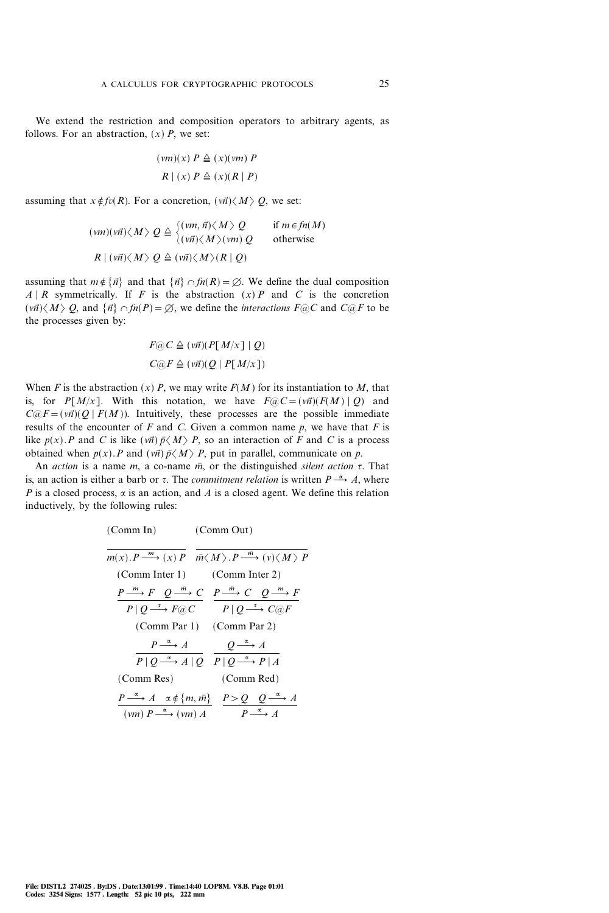We extend the restriction and composition operators to arbitrary agents, as follows. For an abstraction,  $(x)$  P, we set:

$$
(vm)(x) P \triangleq (x)(vm) P
$$
  

$$
R | (x) P \triangleq (x)(R | P)
$$

assuming that  $x \notin fv(R)$ . For a concretion,  $(v\vec{n})\langle M\rangle$  Q, we set:

$$
(vm)(v\vec{n})\langle M \rangle Q \triangleq \begin{cases} (vm, \vec{n})\langle M \rangle Q & \text{if } m \in f_n(M) \\ (v\vec{n})\langle M \rangle (vm) Q & \text{otherwise} \end{cases}
$$
  

$$
R \mid (v\vec{n})\langle M \rangle Q \triangleq (v\vec{n})\langle M \rangle (R \mid Q)
$$

assuming that  $m \notin {\{\vec{n}\}}$  and that  ${\{\vec{n}\}} \cap f_n(R) = \emptyset$ . We define the dual composition  $A \mid R$  symmetrically. If F is the abstraction  $(x)$  P and C is the concretion  $(w\vec{n})\langle M\rangle Q$ , and  $\{\vec{n}\}\cap f\vec{n}(P) = \emptyset$ , we define the *interactions*  $F@C$  and  $C@F$  to be the processes given by:

$$
F@C \triangleq (v\vec{n}) (P[M/x] | Q)
$$
  

$$
C@F \triangleq (v\vec{n}) (Q | P[M/x])
$$

When F is the abstraction  $(x)$  P, we may write  $F(M)$  for its instantiation to M, that is, for  $P[M/x]$ . With this notation, we have  $F@C=(v\vec{n})(F(M) | Q)$  and  $C@F=(\vec{v}\vec{n})(Q \mid F(M))$ . Intuitively, these processes are the possible immediate results of the encounter of  $F$  and  $C$ . Given a common name  $p$ , we have that  $F$  is like  $p(x)$ . P and C is like  $(v\vec{n})\bar{p} \langle M \rangle$  P, so an interaction of F and C is a process obtained when  $p(x)$ . P and  $(\nu \vec{n}) \bar{p} \langle M \rangle$  P, put in parallel, communicate on p.

An *action* is a name  $m$ , a co-name  $\bar{m}$ , or the distinguished *silent action*  $\tau$ . That is, an action is either a barb or  $\tau$ . The *commitment relation* is written  $P \stackrel{\alpha}{\longrightarrow} A$ , where P is a closed process,  $\alpha$  is an action, and A is a closed agent. We define this relation inductively, by the following rules:

(Comm In)

\n(Comm Out)

\n
$$
\overline{m(x).P \xrightarrow{m} (x) P} \quad \overline{m} \langle M \rangle . P \xrightarrow{\overline{m}} (v) \langle M \rangle P
$$
\n(Comm Inter 1)

\n(Comm Inter 2)

\n
$$
\frac{P \xrightarrow{m} F \ Q \xrightarrow{\overline{m}} C}{P | Q \xrightarrow{\tau} F \textcircled{c}} \quad \frac{P \xrightarrow{\overline{m}} C \ Q \xrightarrow{m} F}{P | Q \xrightarrow{\tau} C \textcircled{c}} F
$$
\n(Comm Par 1)

\n(Comm Par 2)

\n
$$
\frac{P \xrightarrow{\alpha} A}{P | Q \xrightarrow{\alpha} A | Q} \quad \frac{Q \xrightarrow{\alpha} A}{P | Q \xrightarrow{\alpha} P | A}
$$
\n(Comm Res)

\n(Comm Red)

\n
$$
\frac{P \xrightarrow{\alpha} A \ \alpha \notin \{m, \overline{m}\}}{(\nu m) P \xrightarrow{\alpha} (\nu m) A} \quad \overline{P \xrightarrow{\alpha} A}
$$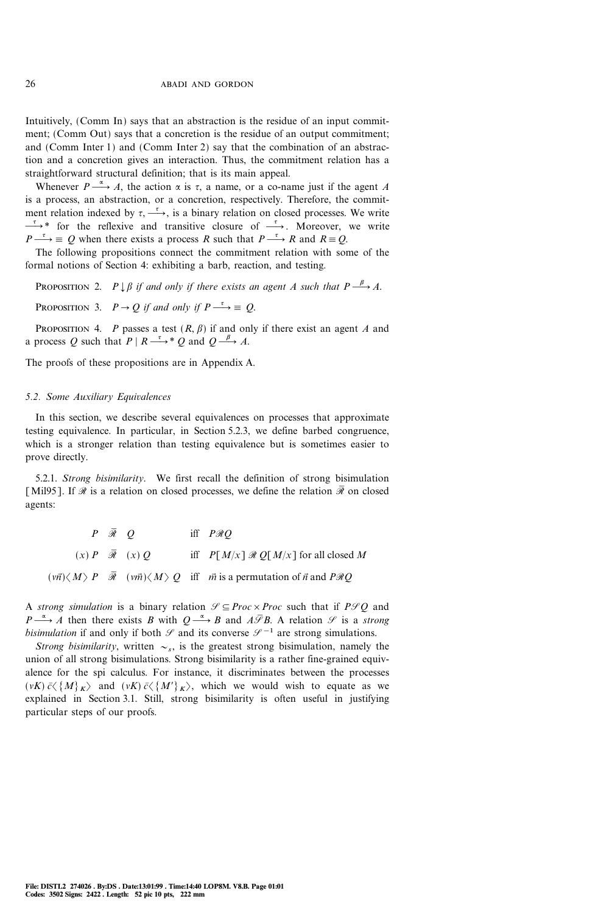Intuitively, (Comm In) says that an abstraction is the residue of an input commitment; (Comm Out) says that a concretion is the residue of an output commitment; and (Comm Inter 1) and (Comm Inter 2) say that the combination of an abstraction and a concretion gives an interaction. Thus, the commitment relation has a straightforward structural definition; that is its main appeal.

Whenever  $P \stackrel{\alpha}{\longrightarrow} A$ , the action  $\alpha$  is  $\tau$ , a name, or a co-name just if the agent A is a process, an abstraction, or a concretion, respectively. Therefore, the commitment relation indexed by  $\tau$ ,  $\stackrel{\tau}{\longrightarrow}$ , is a binary relation on closed processes. We write  $\rightarrow^*$  for the reflexive and transitive closure of  $\rightarrow^*$ . Moreover, we write  $P \stackrel{\tau}{\longrightarrow} \equiv Q$  when there exists a process R such that  $P \stackrel{\tau}{\longrightarrow} R$  and  $R \equiv Q$ .

The following propositions connect the commitment relation with some of the formal notions of Section 4: exhibiting a barb, reaction, and testing.

PROPOSITION 2.  $P \downarrow \beta$  if and only if there exists an agent A such that  $P \stackrel{\beta}{\longrightarrow} A$ .

PROPOSITION 3.  $P \rightarrow Q$  if and only if  $P \stackrel{\tau}{\longrightarrow} \equiv Q$ .

PROPOSITION 4. P passes a test  $(R, \beta)$  if and only if there exist an agent A and a process Q such that  $P | R \longrightarrow^* Q$  and  $Q \longrightarrow A$ .

The proofs of these propositions are in Appendix A.

## 5.2. Some Auxiliary Equivalences

In this section, we describe several equivalences on processes that approximate testing equivalence. In particular, in Section 5.2.3, we define barbed congruence, which is a stronger relation than testing equivalence but is sometimes easier to prove directly.

5.2.1. Strong bisimilarity. We first recall the definition of strong bisimulation [Mil95]. If  $\mathcal{R}$  is a relation on closed processes, we define the relation  $\bar{\mathcal{R}}$  on closed agents:

| $P \bar{M}$ O |                             | iff $P\Re O$                                                                                                                                                                             |
|---------------|-----------------------------|------------------------------------------------------------------------------------------------------------------------------------------------------------------------------------------|
|               | $(x)$ $P \mathcal{R} (x) O$ | iff $P[M/x] \mathcal{R} Q[M/x]$ for all closed M                                                                                                                                         |
|               |                             | $(v\vec{n})\langle M\rangle P \quad \vec{\mathcal{R}} \quad (v\vec{m})\langle M\rangle Q \quad \text{iff} \quad \vec{m} \text{ is a permutation of } \vec{n} \text{ and } P\mathcal{R}Q$ |

A strong simulation is a binary relation  $\mathcal{S} \subseteq Proc \times Proc$  such that if P $\mathcal{S}Q$  and  $P \xrightarrow{\alpha} A$  then there exists B with  $Q \xrightarrow{\alpha} B$  and  $A\overline{S}B$ . A relation  $\mathscr S$  is a strong bisimulation if and only if both  $\mathcal{S}$  and its converse  $\mathcal{S}^{-1}$  are strong simulations.

Strong bisimilarity, written  $\sim$ <sub>s</sub>, is the greatest strong bisimulation, namely the union of all strong bisimulations. Strong bisimilarity is a rather fine-grained equivalence for the spi calculus. For instance, it discriminates between the processes  $(vK) \bar{c} \langle \{M\}_K \rangle$  and  $(vK) \bar{c} \langle \{M'\}_K \rangle$ , which we would wish to equate as we explained in Section 3.1. Still, strong bisimilarity is often useful in justifying particular steps of our proofs.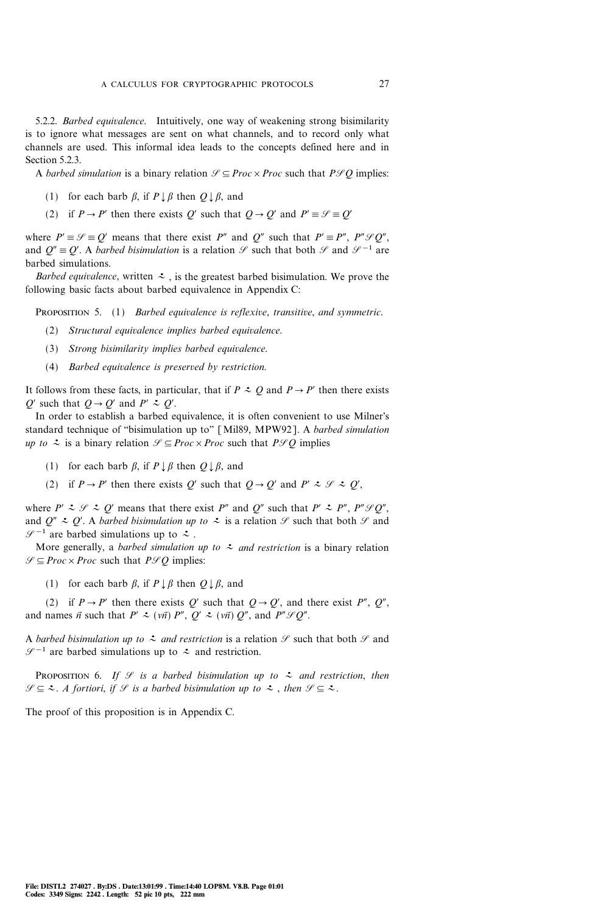5.2.2. Barbed equivalence. Intuitively, one way of weakening strong bisimilarity is to ignore what messages are sent on what channels, and to record only what channels are used. This informal idea leads to the concepts defined here and in Section 5.2.3.

A barbed simulation is a binary relation  $\mathcal{S} \subseteq Proc \times Proc$  such that  $P\mathcal{S}Q$  implies:

- (1) for each barb  $\beta$ , if  $P \downarrow \beta$  then  $Q \downarrow \beta$ , and
- (2) if  $P \rightarrow P'$  then there exists Q' such that  $Q \rightarrow Q'$  and  $P' \equiv \mathcal{S} \equiv Q'$

where  $P' \equiv \mathcal{S} \equiv Q'$  means that there exist P" and Q" such that  $P' \equiv P''$ ,  $P'' \mathcal{S}Q''$ , and  $Q'' = Q'$ . A barbed bisimulation is a relation  $\mathscr S$  such that both  $\mathscr S$  and  $\mathscr S^{-1}$  are barbed simulations.

*Barbed equivalence*, written  $\dot{\sim}$ , is the greatest barbed bisimulation. We prove the following basic facts about barbed equivalence in Appendix C:

PROPOSITION 5. (1) Barbed equivalence is reflexive, transitive, and symmetric.

- (2) Structural equivalence implies barbed equivalence.
- (3) Strong bisimilarity implies barbed equivalence.
- (4) Barbed equivalence is preserved by restriction.

It follows from these facts, in particular, that if  $P \sim Q$  and  $P \rightarrow P'$  then there exists Q' such that  $Q \rightarrow Q'$  and  $P' \sim Q'$ .

In order to establish a barbed equivalence, it is often convenient to use Milner's standard technique of "bisimulation up to" [Mil89, MPW92]. A barbed simulation up to  $\sim$  is a binary relation  $\mathcal{S} \subseteq Proc \times Proc$  such that  $P\mathcal{S}Q$  implies

- (1) for each barb  $\beta$ , if  $P \downarrow \beta$  then  $Q \downarrow \beta$ , and
- (2) if  $P \rightarrow P'$  then there exists Q' such that  $Q \rightarrow Q'$  and  $P' \sim \mathcal{S} \sim Q'$ ,

where  $P' \approx \mathcal{S} \approx Q'$  means that there exist P" and Q" such that  $P' \approx P''$ ,  $P'' \mathcal{S}Q''$ , and  $Q'' \approx Q'$ . A barbed bisimulation up to  $\dot{\sim}$  is a relation  $\mathscr S$  such that both  $\mathscr S$  and  $\mathscr{S}^{-1}$  are barbed simulations up to  $\dot{\sim}$ .

More generally, a barbed simulation up to  $\dot{\sim}$  and restriction is a binary relation  $\mathscr{S} \subseteq \text{Proc} \times \text{Proc}$  such that  $P\mathscr{S}Q$  implies:

(1) for each barb  $\beta$ , if  $P \downarrow \beta$  then  $Q \downarrow \beta$ , and

(2) if  $P \rightarrow P'$  then there exists Q' such that  $Q \rightarrow Q'$ , and there exist P", Q", and names  $\vec{n}$  such that  $P' \sim (v\vec{n}) P''$ ,  $Q' \sim (v\vec{n}) Q''$ , and  $P'' \mathcal{L}Q''$ .

A barbed bisimulation up to  $\dot{\sim}$  and restriction is a relation  $\mathscr S$  such that both  $\mathscr S$  and  $\mathscr{S}^{-1}$  are barbed simulations up to  $\dot{\sim}$  and restriction.

PROPOSITION 6. If  $\mathcal G$  is a barbed bisimulation up to  $\dot{\mathcal Z}$  and restriction, then  $\mathscr{S} \subseteq \mathscr{L}$ . A fortiori, if  $\mathscr{S}$  is a barbed bisimulation up to  $\mathscr{L}$ , then  $\mathscr{S} \subseteq \mathscr{L}$ .

The proof of this proposition is in Appendix C.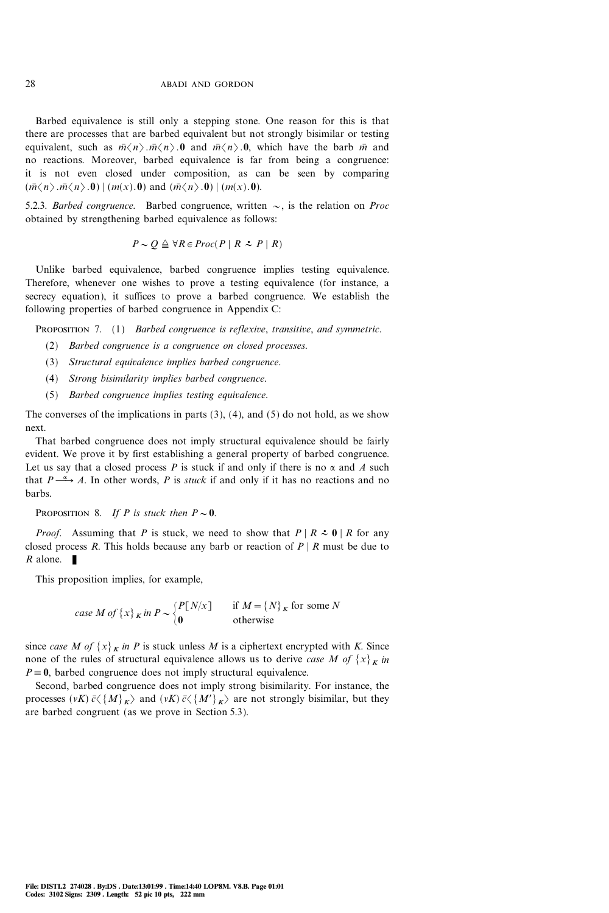Barbed equivalence is still only a stepping stone. One reason for this is that there are processes that are barbed equivalent but not strongly bisimilar or testing equivalent, such as  $\overline{m} \langle n \rangle \cdot \overline{m} \langle n \rangle \cdot 0$  and  $\overline{m} \langle n \rangle \cdot 0$ , which have the barb  $\overline{m}$  and no reactions. Moreover, barbed equivalence is far from being a congruence: it is not even closed under composition, as can be seen by comparing  $(\bar{m}\langle n\rangle \cdot \bar{m}\langle n\rangle \cdot \mathbf{0})|(m(x)\cdot \mathbf{0})$  and  $(\bar{m}\langle n\rangle \cdot \mathbf{0})|(m(x)\cdot \mathbf{0})$ .

5.2.3. Barbed congruence. Barbed congruence, written  $\sim$ , is the relation on Proc obtained by strengthening barbed equivalence as follows:

$$
P \sim Q \triangleq \forall R \in \text{Proc}(P \mid R \sim P \mid R)
$$

Unlike barbed equivalence, barbed congruence implies testing equivalence. Therefore, whenever one wishes to prove a testing equivalence (for instance, a secrecy equation), it suffices to prove a barbed congruence. We establish the following properties of barbed congruence in Appendix C:

PROPOSITION 7. (1) Barbed congruence is reflexive, transitive, and symmetric.

- (2) Barbed congruence is a congruence on closed processes.
- (3) Structural equivalence implies barbed congruence.
- (4) Strong bisimilarity implies barbed congruence.
- (5) Barbed congruence implies testing equivalence.

The converses of the implications in parts  $(3)$ ,  $(4)$ , and  $(5)$  do not hold, as we show next.

That barbed congruence does not imply structural equivalence should be fairly evident. We prove it by first establishing a general property of barbed congruence. Let us say that a closed process P is stuck if and only if there is no  $\alpha$  and A such that  $P \stackrel{\alpha}{\longrightarrow} A$ . In other words, P is *stuck* if and only if it has no reactions and no barbs.

PROPOSITION 8. If P is stuck then  $P \sim 0$ .

*Proof.* Assuming that P is stuck, we need to show that  $P | R \ge 0 | R$  for any closed process R. This holds because any barb or reaction of  $P | R$  must be due to  $R$  alone.  $\blacksquare$ 

This proposition implies, for example,

case M of 
$$
\{x\}_K
$$
 in  $P \sim \begin{cases} P[N/x] & \text{if } M = \{N\}_K \text{ for some } N \\ 0 & \text{otherwise} \end{cases}$ 

since case M of  $\{x\}_K$  in P is stuck unless M is a ciphertext encrypted with K. Since none of the rules of structural equivalence allows us to derive *case* M of  $\{x\}_{\kappa}$  in  $P = 0$ , barbed congruence does not imply structural equivalence.

Second, barbed congruence does not imply strong bisimilarity. For instance, the processes (vK)  $\bar{c} \langle \{M\}_K \rangle$  and (vK)  $\bar{c} \langle \{M'\}_K \rangle$  are not strongly bisimilar, but they are barbed congruent (as we prove in Section 5.3).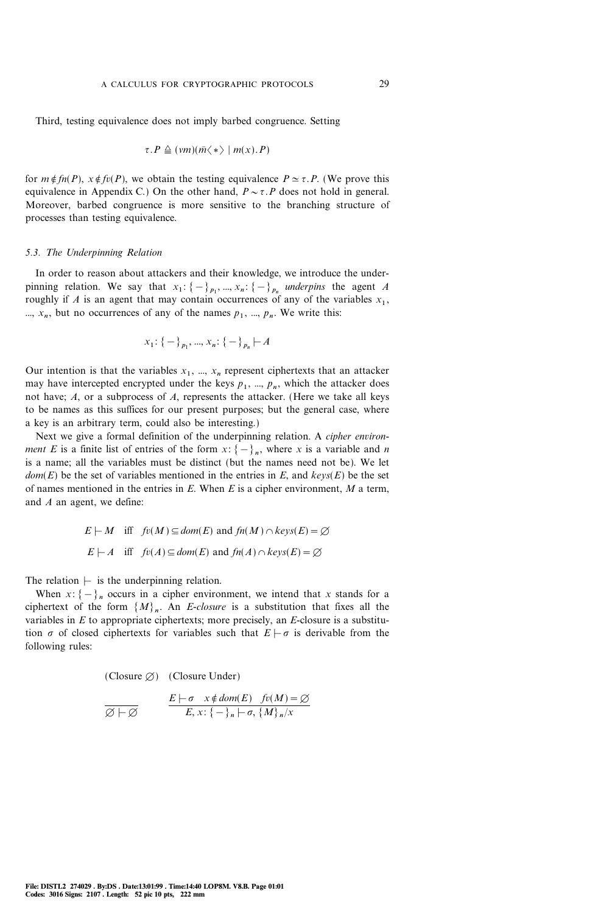Third, testing equivalence does not imply barbed congruence. Setting

$$
\tau.P \triangleq (vm)(\bar{m}\langle \ast \rangle \mid m(x).P)
$$

for  $m \notin fn(P)$ ,  $x \notin fv(P)$ , we obtain the testing equivalence  $P \simeq \tau.P$ . (We prove this equivalence in Appendix C.) On the other hand,  $P \sim \tau.P$  does not hold in general. Moreover, barbed congruence is more sensitive to the branching structure of processes than testing equivalence.

#### 5.3. The Underpinning Relation

In order to reason about attackers and their knowledge, we introduce the underpinning relation. We say that  $x_1$ :  $\{-\}_{p_1}$ , ...,  $x_n$ :  $\{-\}_{p_n}$  underpins the agent A roughly if A is an agent that may contain occurrences of any of the variables  $x_1$ , ...,  $x_n$ , but no occurrences of any of the names  $p_1$ , ...,  $p_n$ . We write this:

$$
x_1: \{-\}_{p_1}, ..., x_n: \{-\}_{p_n} \vdash A
$$

Our intention is that the variables  $x_1$ , ...,  $x_n$  represent ciphertexts that an attacker may have intercepted encrypted under the keys  $p_1$ , ...,  $p_n$ , which the attacker does not have;  $A$ , or a subprocess of  $A$ , represents the attacker. (Here we take all keys to be names as this suffices for our present purposes; but the general case, where a key is an arbitrary term, could also be interesting.)

Next we give a formal definition of the underpinning relation. A *cipher environment E* is a finite list of entries of the form  $x: \{-\}_n$ , where x is a variable and n is a name; all the variables must be distinct (but the names need not be). We let  $dom(E)$  be the set of variables mentioned in the entries in E, and  $keys(E)$  be the set of names mentioned in the entries in  $E$ . When  $E$  is a cipher environment,  $M$  a term, and A an agent, we define:

$$
E \mid M \quad \text{iff} \quad fv(M) \subseteq dom(E) \text{ and } fn(M) \cap keys(E) = \varnothing
$$
\n
$$
E \mid A \quad \text{iff} \quad fv(A) \subseteq dom(E) \text{ and } fn(A) \cap keys(E) = \varnothing
$$

The relation  $\vdash$  is the underpinning relation.

When  $x: \{-\}_n$  occurs in a cipher environment, we intend that x stands for a ciphertext of the form  $\{M\}_n$ . An *E-closure* is a substitution that fixes all the variables in  $E$  to appropriate ciphertexts; more precisely, an  $E$ -closure is a substitution  $\sigma$  of closed ciphertexts for variables such that  $E |_{\sigma} \sigma$  is derivable from the following rules:

(Closure  $\emptyset$ ) (Closure Under)

$$
\overline{\varnothing \mid \varnothing} \qquad \frac{E \mid -\sigma \quad x \notin dom(E) \quad fv(M) = \varnothing}{E, x: \{-\}_n \mid -\sigma, \{M\}_n/x}
$$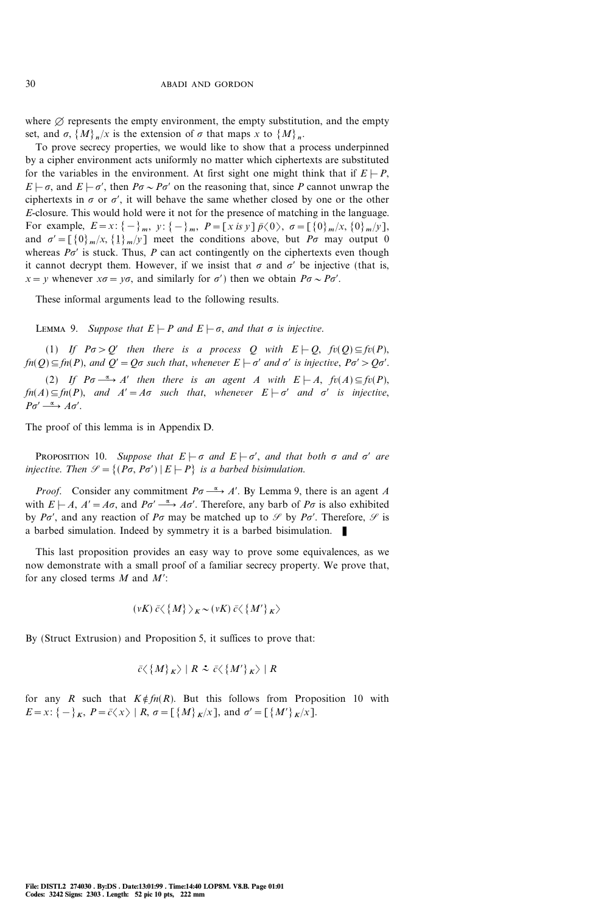where  $\varnothing$  represents the empty environment, the empty substitution, and the empty set, and  $\sigma$ ,  $\{M\}_n$  is the extension of  $\sigma$  that maps x to  $\{M\}_n$ .

To prove secrecy properties, we would like to show that a process underpinned by a cipher environment acts uniformly no matter which ciphertexts are substituted for the variables in the environment. At first sight one might think that if  $E \mid P$ ,  $E \mid \sigma$ , and  $E \mid \sigma'$ , then  $P\sigma \sim P\sigma'$  on the reasoning that, since P cannot unwrap the ciphertexts in  $\sigma$  or  $\sigma'$ , it will behave the same whether closed by one or the other E-closure. This would hold were it not for the presence of matching in the language. For example,  $E = x: \{-\}_m, y: \{-\}_m, P = [x \text{ is } y] \bar{p} \langle 0 \rangle, \sigma = [\{0\}_m / x, \{0\}_m / y],$ and  $\sigma' = [\{0\}_m/x, \{1\}_m/y]$  meet the conditions above, but  $P\sigma$  may output 0 ֖֚֞֘֝֬ whereas  $P\sigma'$  is stuck. Thus, P can act contingently on the ciphertexts even though it cannot decrypt them. However, if we insist that  $\sigma$  and  $\sigma'$  be injective (that is,  $x = y$  whenever  $x\sigma = y\sigma$ , and similarly for  $\sigma'$ ) then we obtain  $P\sigma \sim P\sigma'$ .

These informal arguments lead to the following results.

LEMMA 9. Suppose that  $E \mid P$  and  $E \mid \neg \sigma$ , and that  $\sigma$  is injective.

(1) If  $P\sigma > Q'$  then there is a process Q with  $E \vdash Q$ ,  $fv(Q) \subseteq fv(P)$ ,  $fn(Q) \subseteq fn(P)$ , and  $Q' = Q\sigma$  such that, whenever  $E |_{\sigma'}$  and  $\sigma'$  is injective,  $P\sigma' > Q\sigma'.$ (2) If  $P\sigma \stackrel{\alpha}{\longrightarrow} A'$  then there is an agent A with  $E \mid A$ ,  $fv(A) \subseteq fv(P)$ ,  $fn(A) \subseteq fn(P)$ , and  $A' = A\sigma$  such that, whenever  $E |_{\sigma'}$  and  $\sigma'$  is injective,  $P\sigma' \stackrel{\alpha}{\longrightarrow} A\sigma'.$ 

The proof of this lemma is in Appendix D.

PROPOSITION 10. Suppose that  $E \mid \sigma$  and  $E \mid \sigma'$ , and that both  $\sigma$  and  $\sigma'$  are injective. Then  $\mathscr{S} = \{(P\sigma, P\sigma') | E | P\}$  is a barbed bisimulation.

*Proof.* Consider any commitment  $P\sigma \xrightarrow{\alpha} A'$ . By Lemma 9, there is an agent A with  $E \mid A, A' = A\sigma$ , and  $P\sigma' \stackrel{\alpha}{\longrightarrow} A\sigma'$ . Therefore, any barb of  $P\sigma$  is also exhibited by  $P\sigma'$ , and any reaction of  $P\sigma$  may be matched up to  $\mathscr S$  by  $P\sigma'$ . Therefore,  $\mathscr S$  is a barbed simulation. Indeed by symmetry it is a barbed bisimulation.

This last proposition provides an easy way to prove some equivalences, as we now demonstrate with a small proof of a familiar secrecy property. We prove that, for any closed terms  $M$  and  $M'$ :

$$
(vK)\bar{c}\langle \{M\}\rangle_K \sim (vK)\bar{c}\langle \{M'\}\rangle_K \rangle
$$

By (Struct Extrusion) and Proposition 5, it suffices to prove that:

$$
\bar{c}\langle \{M\}_K\rangle \mid R \stackrel{\star}{\sim} \bar{c}\langle \{M'\}_K\rangle \mid R
$$

for any R such that  $K \notin \mathfrak{fn}(R)$ . But this follows from Proposition 10 with  $E=x: \{-\}_K , P=\bar{c}\langle x\rangle | R, \sigma=[\{M\}_{K}/x],$  and  $\sigma'=[\{M'\}_{K}/x].$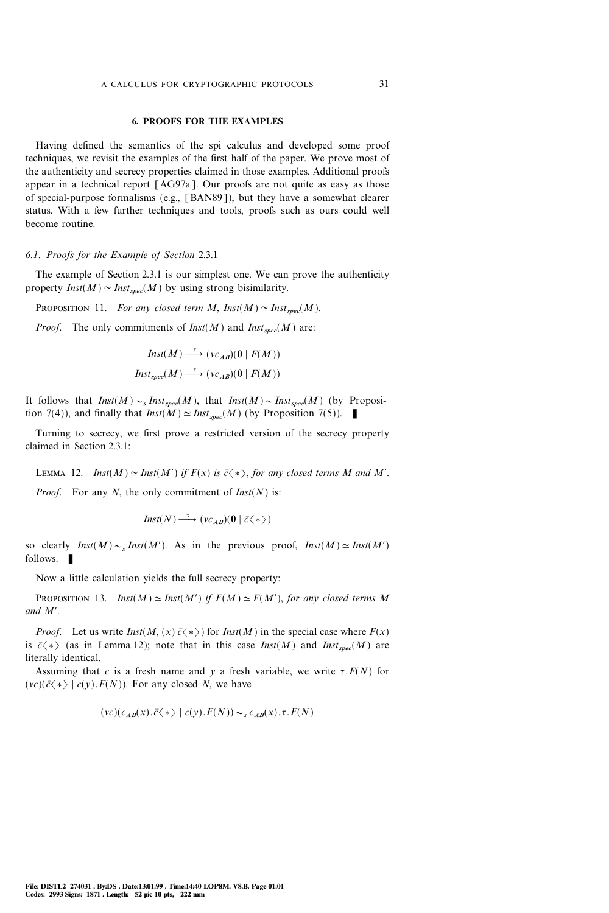#### 6. PROOFS FOR THE EXAMPLES

Having defined the semantics of the spi calculus and developed some proof techniques, we revisit the examples of the first half of the paper. We prove most of the authenticity and secrecy properties claimed in those examples. Additional proofs appear in a technical report [AG97a]. Our proofs are not quite as easy as those of special-purpose formalisms (e.g., [BAN89]), but they have a somewhat clearer status. With a few further techniques and tools, proofs such as ours could well become routine.

## 6.1. Proofs for the Example of Section 2.3.1

The example of Section 2.3.1 is our simplest one. We can prove the authenticity property  $Inst(M) \simeq Inst_{spec}(M)$  by using strong bisimilarity.

PROPOSITION 11. For any closed term M,  $Inst(M) \simeq Inst_{spec}(M)$ .

*Proof.* The only commitments of  $Inst(M)$  and  $Inst_{spec}(M)$  are:

$$
Inst(M) \xrightarrow{\tau} (vc_{AB})(0 \mid F(M))
$$
  

$$
Inst_{spec}(M) \xrightarrow{\tau} (vc_{AB})(0 \mid F(M))
$$

It follows that  $Inst(M) \sim_s Inst_{spec}(M)$ , that  $Inst(M) \sim Inst_{spec}(M)$  (by Proposition 7(4)), and finally that  $Inst(M) \simeq Inst_{spec}(M)$  (by Proposition 7(5)).

Turning to secrecy, we first prove a restricted version of the secrecy property claimed in Section 2.3.1:

LEMMA 12. Inst(M)  $\simeq$  Inst(M') if  $F(x)$  is  $\bar{c}\langle * \rangle$ , for any closed terms M and M'.

*Proof.* For any N, the only commitment of  $Inst(N)$  is:

$$
Inst(N) \stackrel{\tau}{\longrightarrow} (vc_{AB})(0 \mid \bar{c}\langle * \rangle)
$$

so clearly  $Inst(M) \sim_s Inst(M')$ . As in the previous proof,  $Inst(M) \simeq Inst(M')$ follows.  $\blacksquare$ 

Now a little calculation yields the full secrecy property:

PROPOSITION 13. Inst(M)  $\simeq$  Inst(M') if  $F(M) \simeq F(M')$ , for any closed terms M and  $M'$ .

*Proof.* Let us write  $Inst(M, (x) \bar{c} \langle * \rangle)$  for  $Inst(M)$  in the special case where  $F(x)$ is  $\bar{c} \langle * \rangle$  (as in Lemma 12); note that in this case Inst(M) and Inst<sub>spec</sub>(M) are literally identical.

Assuming that c is a fresh name and y a fresh variable, we write  $\tau$ .  $F(N)$  for  $(vc)(\bar{c}\langle\ast\rangle | c(y).F(N))$ . For any closed N, we have

$$
(vc)(c_{AB}(x),\bar{c}\langle\ast\rangle\mid c(y),F(N))\sim_s c_{AB}(x),\tau.F(N)
$$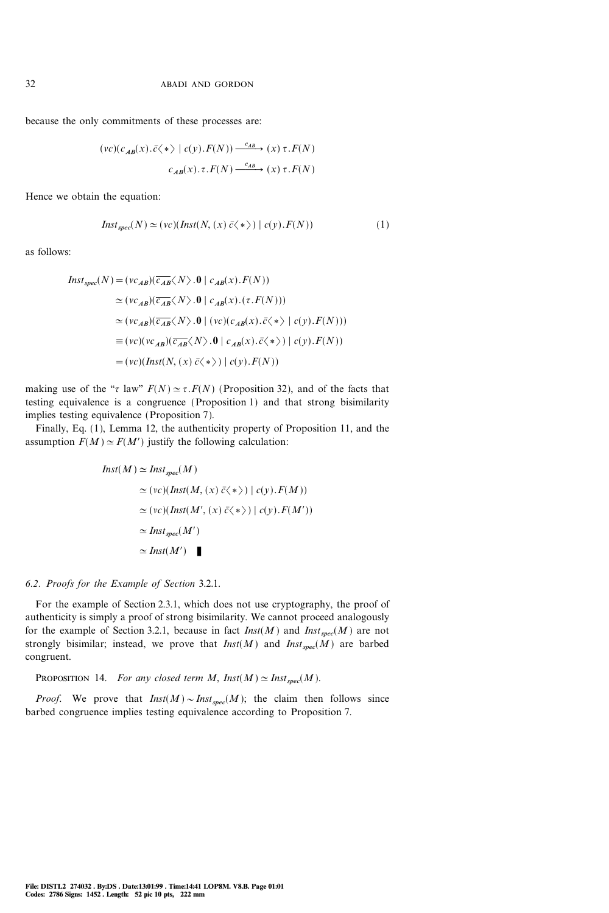because the only commitments of these processes are:

$$
(vc)(c_{AB}(x),\bar{c}\langle\ast\rangle \mid c(y),F(N)) \xrightarrow{c_{AB}} (x) \tau.F(N)
$$

$$
c_{AB}(x),\tau.F(N) \xrightarrow{c_{AB}} (x) \tau.F(N)
$$

Hence we obtain the equation:

$$
Inst_{spec}(N) \simeq (vc)(Inst(N, (x) \bar{c} \langle * \rangle) | c(y).F(N))
$$
\n(1)

as follows:

$$
Inst_{spec}(N) = (vc_{AB})(\overline{c_{AB}}\langle N \rangle \cdot \mathbf{0} \mid c_{AB}(x).F(N))
$$
  
\n
$$
\simeq (vc_{AB})(\overline{c_{AB}}\langle N \rangle \cdot \mathbf{0} \mid c_{AB}(x).(\tau.F(N)))
$$
  
\n
$$
\simeq (vc_{AB})(\overline{c_{AB}}\langle N \rangle \cdot \mathbf{0} \mid (vc)(c_{AB}(x).\overline{c} \langle * \rangle \mid c(y).F(N)))
$$
  
\n
$$
\equiv (vc)(vc_{AB})(\overline{c_{AB}}\langle N \rangle \cdot \mathbf{0} \mid c_{AB}(x).\overline{c} \langle * \rangle) \mid c(y).F(N))
$$
  
\n
$$
= (vc)(Inst(N, (x) \overline{c} \langle * \rangle) \mid c(y).F(N))
$$

making use of the " $\tau$  law"  $F(N) \simeq \tau$ .  $F(N)$  (Proposition 32), and of the facts that testing equivalence is a congruence (Proposition 1) and that strong bisimilarity implies testing equivalence (Proposition 7).

Finally, Eq. (1), Lemma 12, the authenticity property of Proposition 11, and the assumption  $F(M) \simeq F(M')$  justify the following calculation:

$$
Inst(M) \simeq Inst_{spec}(M)
$$
  
\n
$$
\simeq (vc)(Inst(M, (x) \bar{c}\langle * \rangle) | c(y).F(M))
$$
  
\n
$$
\simeq (vc)(Inst(M', (x) \bar{c}\langle * \rangle) | c(y).F(M'))
$$
  
\n
$$
\simeq Inst_{spec}(M')
$$
  
\n
$$
\simeq Inst(M') \blacksquare
$$

6.2. Proofs for the Example of Section 3.2.1.

For the example of Section 2.3.1, which does not use cryptography, the proof of authenticity is simply a proof of strong bisimilarity. We cannot proceed analogously for the example of Section 3.2.1, because in fact  $Inst(M)$  and  $Inst_{spec}(M)$  are not strongly bisimilar; instead, we prove that  $Inst(M)$  and  $Inst_{spec}(M)$  are barbed congruent.

PROPOSITION 14. For any closed term M,  $Inst(M) \simeq Inst_{spec}(M)$ .

*Proof.* We prove that  $Inst(M) \sim Inst_{spec}(M)$ ; the claim then follows since barbed congruence implies testing equivalence according to Proposition 7.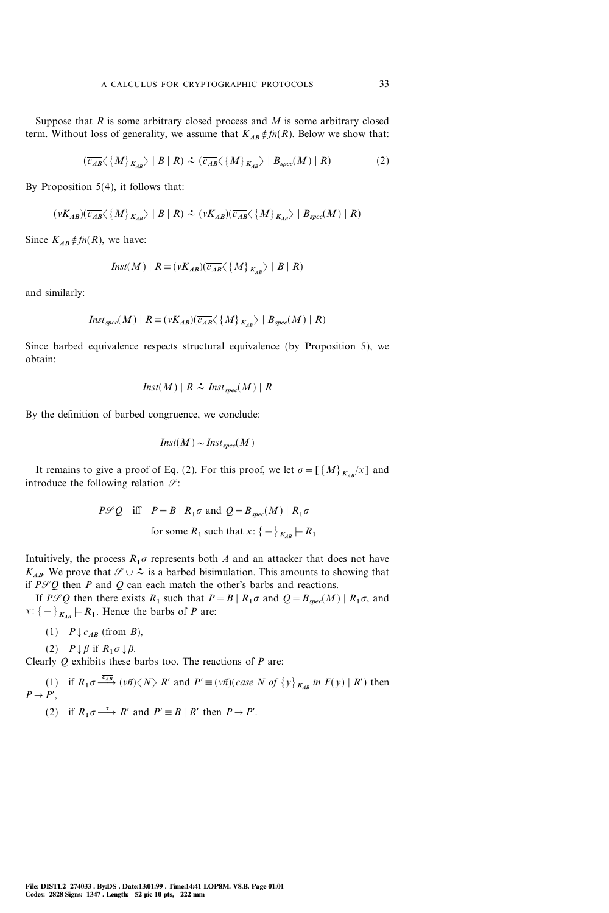Suppose that R is some arbitrary closed process and M is some arbitrary closed term. Without loss of generality, we assume that  $K_{AB} \notin \textit{fn}(R)$ . Below we show that:

$$
(\overline{c_{AB}}\langle\{M\}_{K_{AB}}\rangle \mid B \mid R) \stackrel{\star}{\sim} (\overline{c_{AB}}\langle\{M\}_{K_{AB}}\rangle \mid B_{spec}(M) \mid R) \tag{2}
$$

By Proposition  $5(4)$ , it follows that:

$$
(vK_{AB})(\overline{c_{AB}}\langle\{M\}_{K_{AB}}\rangle \mid B \mid R) \stackrel{\star}{\sim} (vK_{AB})(\overline{c_{AB}}\langle\{M\}_{K_{AB}}\rangle \mid B_{spec}(M) \mid R)
$$

Since  $K_{AB} \notin \text{fn}(R)$ , we have:

$$
Inst(M) | R \equiv (\nu K_{AB})(\overline{c_{AB}}\langle \{M\}_{K_{AB}}\rangle | B | R)
$$

and similarly:

$$
Inst_{spec}(M) | R \equiv (\nu K_{AB})(\overline{c_{AB}}\langle \{M\}_{K_{AB}}\rangle | B_{spec}(M) | R)
$$

Since barbed equivalence respects structural equivalence (by Proposition 5), we obtain:

$$
Inst(M) | R \stackrel{\bullet}{\sim} Inst_{spec}(M) | R
$$

By the definition of barbed congruence, we conclude:

$$
Inst(M) \sim Inst_{spec}(M)
$$

It remains to give a proof of Eq. (2). For this proof, we let  $\sigma = \begin{bmatrix} \{M\}_{K,\rho}/x \end{bmatrix}$  and introduce the following relation  $\mathcal{S}$ :

$$
P\mathcal{G}Q \quad \text{iff} \quad P = B \mid R_1 \sigma \text{ and } Q = B_{\text{spec}}(M) \mid R_1 \sigma
$$
\n
$$
\text{for some } R_1 \text{ such that } x \colon \{-\}_{K_{AB}} \models R_1
$$

Intuitively, the process  $R_1 \sigma$  represents both A and an attacker that does not have  $K_{AB}$ . We prove that  $\mathscr{S} \cup \mathscr{S}$  is a barbed bisimulation. This amounts to showing that if  $P \mathcal{G} Q$  then P and Q can each match the other's barbs and reactions.

If PSQ then there exists R<sub>1</sub> such that  $P = B | R_1 \sigma$  and  $Q = B_{spec}(M) | R_1 \sigma$ , and  $x: \{-\}_{K,n} \mid R_1$ . Hence the barbs of P are:

- (1)  $P \downarrow c_{AB}$  (from B),
- (2)  $P \downarrow \beta$  if  $R_1 \sigma \downarrow \beta$ .

Clearly  $Q$  exhibits these barbs too. The reactions of  $P$  are:

(1) if  $R_1 \sigma \xrightarrow{\overline{c_{AB}}} (v\vec{n}) \langle N \rangle R'$  and  $P' \equiv (v\vec{n}) (case \ N \ of \ \{y\}_{K_{AB}} \ in \ F(y) | R')$  then  $P \rightarrow P'$ .

(2) if  $R_1 \sigma \longrightarrow R'$  and  $P' \equiv B | R'$  then  $P \rightarrow P'$ .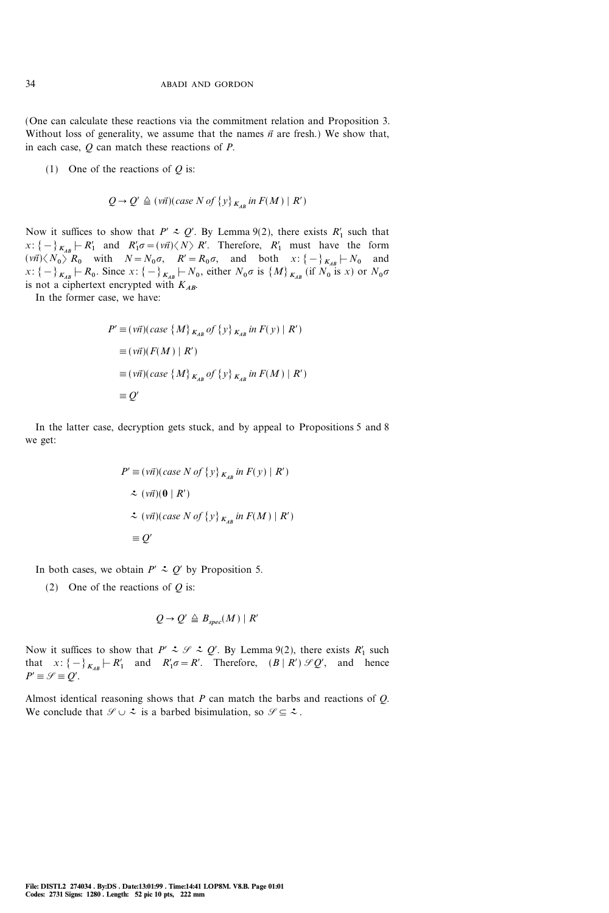(One can calculate these reactions via the commitment relation and Proposition 3. Without loss of generality, we assume that the names  $\vec{n}$  are fresh.) We show that, in each case,  $Q$  can match these reactions of  $P$ .

(1) One of the reactions of  $Q$  is:

$$
Q \to Q' \triangleq (v\vec{n}) (case\ N\ of\ \{y\}_{K_{AB}} in\ F(M) \mid R')
$$

Now it suffices to show that  $P' \sim Q'$ . By Lemma 9(2), there exists  $R'_1$  such that  $x: \{-\}_{K_{AB}} \left\| R_1' \text{ and } R_1' \sigma = (\nu \vec{n}) \langle N \rangle R'.$  Therefore,  $R_1'$  must have the form  $(v\vec{n})\langle N_0 \rangle \overset{\sim}{R}_0$  with  $N=N_0\sigma$ ,  $R'=R_0\sigma$ , and both  $x: \{-\}_{K_{AB}}\left[-N_0 \right]$  and  $x: \{-\}_{K_{AB}} \mapsto R_0$ . Since  $x: \{-\}_{K_{AB}} \mapsto N_0$ , either  $N_0\sigma$  is  $\{M\}_{K_{AB}}$  (if  $N_0$  is x) or  $N_0\sigma$ is not a ciphertext encrypted with  $K_{AB}$ .

In the former case, we have:

$$
P' \equiv (v\vec{n})(case \{M\}_{K_{AB}} of \{y\}_{K_{AB}} in F(y) | R')
$$
  
\n
$$
\equiv (v\vec{n})(F(M) | R')
$$
  
\n
$$
\equiv (v\vec{n})(case \{M\}_{K_{AB}} of \{y\}_{K_{AB}} in F(M) | R')
$$
  
\n
$$
\equiv Q'
$$

In the latter case, decryption gets stuck, and by appeal to Propositions 5 and 8 we get:

$$
P' \equiv (v\vec{n})(case \ N \ of \{y\}_{K_{AB}} \ in \ F(y) \mid R')
$$
  
\n
$$
\therefore (v\vec{n})(0 \mid R')
$$
  
\n
$$
\therefore (v\vec{n})(case \ N \ of \{y\}_{K_{AB}} \ in \ F(M) \mid R')
$$
  
\n
$$
\equiv Q'
$$

In both cases, we obtain  $P' \sim Q'$  by Proposition 5.

(2) One of the reactions of  $Q$  is:

$$
Q \to Q' \triangleq B_{spec}(M) | R'
$$

Now it suffices to show that  $P' \sim \mathcal{S} \sim Q'$ . By Lemma 9(2), there exists  $R'_1$  such that  $x: \{-\}_{K_{AB}} \vdash R'_1$  and  $R'_1 \sigma = R'$ . Therefore,  $(B | R') \mathcal{P} Q'$ , and hence  $P' \equiv \mathscr{S} \equiv O'.$ 

Almost identical reasoning shows that  $P$  can match the barbs and reactions of  $Q$ . We conclude that  $\mathcal{S} \cup \mathcal{S}$  is a barbed bisimulation, so  $\mathcal{S} \subseteq \mathcal{S}$ .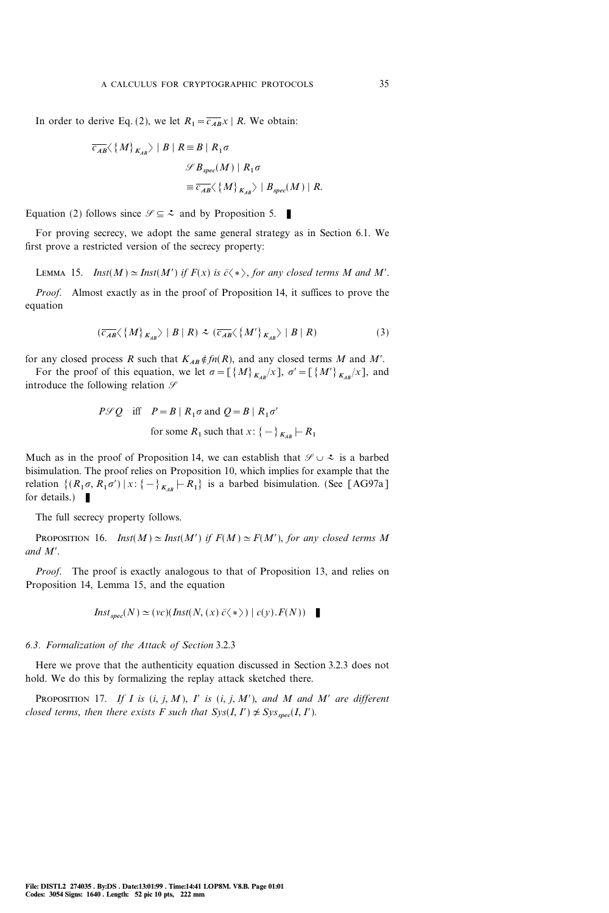In order to derive Eq. (2), we let  $R_1 = \overline{c_{AB}} x \mid R$ . We obtain:

$$
\overline{c_{AB}} \langle \{M\}_{K_{AB}} \rangle | B | R \equiv B | R_1 \sigma
$$
  

$$
\mathcal{L}_{B_{spec}}(M) | R_1 \sigma
$$
  

$$
\equiv \overline{c_{AB}} \langle \{M\}_{K_{AB}} \rangle | B_{spec}(M) | R.
$$

Equation (2) follows since  $\mathcal{S} \subseteq \mathcal{Z}$  and by Proposition 5.

For proving secrecy, we adopt the same general strategy as in Section 6.1. We first prove a restricted version of the secrecy property:

LEMMA 15. Inst(M)  $\simeq$  Inst(M') if  $F(x)$  is  $\bar{c}\langle * \rangle$ , for any closed terms M and M'.

Proof. Almost exactly as in the proof of Proposition 14, it suffices to prove the equation

$$
(\overline{c_{AB}}\langle\{M\}_{K_{AB}}\rangle \mid B \mid R) \stackrel{\bullet}{\sim} (\overline{c_{AB}}\langle\{M'\}_{K_{AB}}\rangle \mid B \mid R)
$$
 (3)

for any closed process R such that  $K_{AB} \notin fn(R)$ , and any closed terms M and M'.

For the proof of this equation, we let  $\sigma = [\{M\}_{K_{AB}}/x]$ ,  $\sigma' = [\{M'\}_{K_{AB}}/x]$ , and introduce the following relation  $\mathscr S$ 

$$
P\mathscr{S}Q \quad \text{iff} \quad P = B \mid R_1 \sigma \text{ and } Q = B \mid R_1 \sigma'
$$
  
for some  $R_1$  such that  $x: \{-\}_{K_{AB}} \vdash R_1$ 

Much as in the proof of Proposition 14, we can establish that  $\mathscr{S} \cup \mathscr{Z}$  is a barbed bisimulation. The proof relies on Proposition 10, which implies for example that the relation  $\{(R_1\sigma, R_1\sigma') | x: \{-\}_{K_{AB}} \vdash R_1\}$  is a barbed bisimulation. (See [AG97a] for details.)  $\blacksquare$ 

The full secrecy property follows.

PROPOSITION 16. Inst(M)  $\simeq$  Inst(M') if  $F(M) \simeq F(M')$ , for any closed terms M and  $M'$ .

Proof. The proof is exactly analogous to that of Proposition 13, and relies on Proposition 14, Lemma 15, and the equation

$$
Inst_{spec}(N) \simeq (vc)(Inst(N, (x) \bar{c}\langle * \rangle) | c(y).F(N)) \quad \blacksquare
$$

## 6.3. Formalization of the Attack of Section 3.2.3

Here we prove that the authenticity equation discussed in Section 3.2.3 does not hold. We do this by formalizing the replay attack sketched there.

PROPOSITION 17. If I is  $(i, j, M)$ , I' is  $(i, j, M')$ , and M and M' are different closed terms, then there exists F such that  $Sys(I, I') \not\cong Sys_{spec}(I, I').$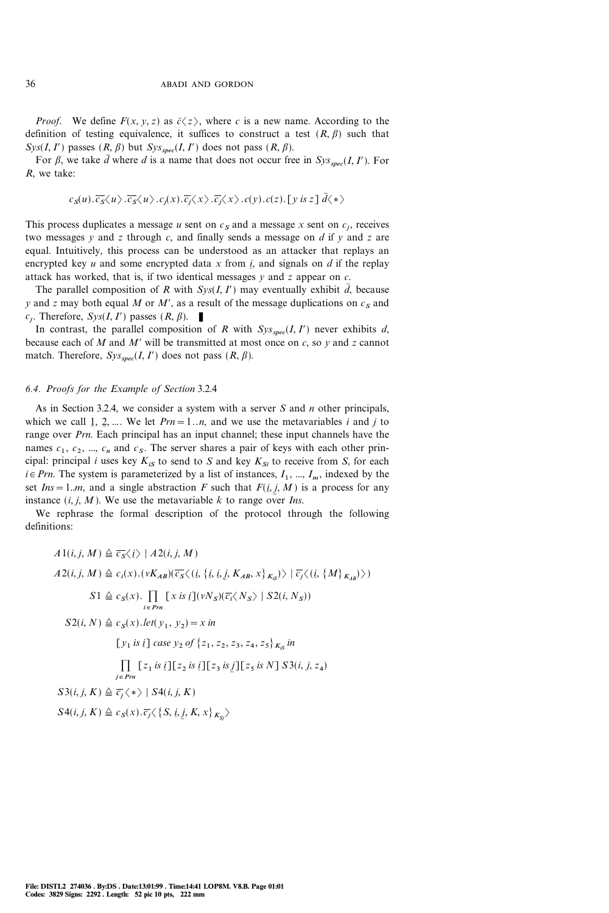*Proof.* We define  $F(x, y, z)$  as  $\bar{c}\langle z \rangle$ , where c is a new name. According to the definition of testing equivalence, it suffices to construct a test  $(R, \beta)$  such that  $Sys(I, I')$  passes  $(R, \beta)$  but  $Sys<sub>spec</sub>(I, I')$  does not pass  $(R, \beta)$ .

For  $\beta$ , we take  $\bar{d}$  where d is a name that does not occur free in  $Sys_{spec}(I, I')$ . For R, we take:

$$
c_S(u).\overline{c_S}\langle u\rangle.\overline{c_S}\langle u\rangle.c_j(x).\overline{c_j}\langle x\rangle.\overline{c_j}\langle x\rangle.c(y).c(z).[y\text{ is }z\text{ ] }\bar{d}\langle *\rangle
$$

This process duplicates a message u sent on  $c_s$  and a message x sent on  $c_i$ , receives two messages y and z through c, and finally sends a message on d if y and z are equal. Intuitively, this process can be understood as an attacker that replays an encrypted key u and some encrypted data x from  $i$ , and signals on d if the replay ֚֞֘ attack has worked, that is, if two identical messages  $y$  and  $z$  appear on  $c$ .

The parallel composition of R with  $Sys(I, I')$  may eventually exhibit  $\overline{d}$ , because y and z may both equal M or M', as a result of the message duplications on  $c_S$  and  $c_j$ . Therefore,  $Sys(I, I')$  passes  $(R, \beta)$ .

In contrast, the parallel composition of R with  $Sys_{spec}(I, I')$  never exhibits d, because each of M and M' will be transmitted at most once on c, so y and z cannot match. Therefore,  $Sys_{spec}(I, I')$  does not pass  $(R, \beta)$ .

#### 6.4. Proofs for the Example of Section 3.2.4

As in Section 3.2.4, we consider a system with a server  $S$  and  $n$  other principals, which we call 1, 2, .... We let  $Prn = 1..n$ , and we use the metavariables *i* and *j* to range over  $Pnn$ . Each principal bas an input abound: these input abounds have the range over Prn. Each principal has an input channel; these input channels have the names  $c_1$ ,  $c_2$ , ...,  $c_n$  and  $c_s$ . The server shares a pair of keys with each other principal: principal *i* uses key  $K_{iS}$  to send to S and key  $K_{Si}$  to receive from S, for each  $i \in Prn$ . The system is parameterized by a list of instances,  $I_1$ , ...,  $I_m$ , indexed by the set Ins = 1..m, and a single abstraction F such that  $F(i, j, M)$  is a process for any ֚֚ instance  $(i, j, M)$ . We use the metavariable k to range over Ins.

We rephrase the formal description of the protocol through the following definitions:

$$
A1(i,j,M) \triangleq \overline{c_S}\langle i \rangle | A2(i,j,M)
$$
  
\n
$$
A2(i,j,M) \triangleq c_i(x) \cdot (vK_{AB})(\overline{c_S}\langle (i, \{i, i, j, K_{AB}, x \}^*_{K_S}) \rangle | \overline{c_j}\langle (i, \{M\}^*_{K_{AB}}) \rangle)
$$
  
\n
$$
S1 \triangleq c_S(x) \cdot \prod_{i \in Prm} [x \text{ is } i] (vN_S)(\overline{c_i} \langle N_S \rangle | S2(i, N_S))
$$
  
\n
$$
S2(i,N) \triangleq c_S(x) \cdot let (y_1, y_2) = x \text{ in}
$$
  
\n
$$
[y_1 \text{ is } i] \text{ case } y_2 \text{ of } \{z_1, z_2, z_3, z_4, z_5\}_{K_S} \text{ in}
$$
  
\n
$$
\prod_{j \in Prm} [z_1 \text{ is } i] [z_2 \text{ is } i] [z_3 \text{ is } j] [z_5 \text{ is } N] S3(i, j, z_4)
$$
  
\n
$$
S3(i, j, K) \triangleq \overline{c_j} \langle * \rangle | S4(i, j, K)
$$
  
\n
$$
S4(i, j, K) \triangleq c_S(x) \cdot \overline{c_j} \langle \{S, i, j, K, x\}_{K_S} \rangle
$$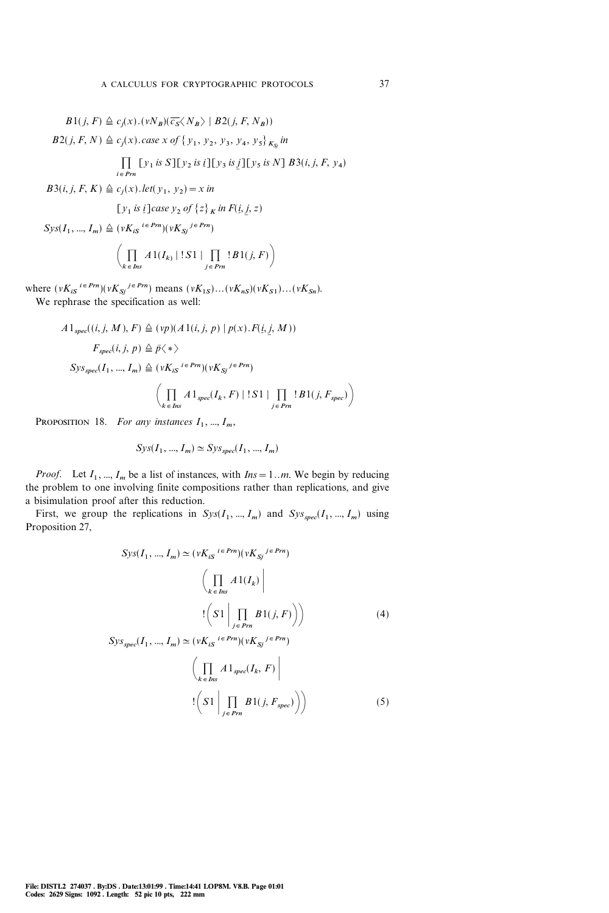$$
B1(j, F) \triangleq c_j(x) \cdot (vN_B)(\overline{c_S} \langle N_B \rangle \mid B2(j, F, N_B))
$$
  
\n
$$
B2(j, F, N) \triangleq c_j(x) \cdot case \ x \ of \{y_1, y_2, y_3, y_4, y_5\}_{K_S} \ in
$$
  
\n
$$
\prod_{i \in Prn} [y_1 \ is \ S][y_2 \ is \ j][y_3 \ is \ j][y_5 \ is \ N] \ B3(i, j, F, y_4)
$$
  
\n
$$
B3(i, j, F, K) \triangleq c_j(x) \cdot let (y_1, y_2) = x \ in
$$
  
\n
$$
[y_1 \ is \ j] case \ y_2 \ of \{z\}_{K} \ in \ F(i, j, z)
$$
  
\n
$$
Sys(I_1, ..., I_m) \triangleq (vK_{is} \ ^{i \in Prn})(vK_{sj} \ ^{j \in Prn})
$$
  
\n
$$
\left(\prod_{k \in Ins} A1(I_k) \mid S1 \mid \prod_{j \in Prn} B1(j, F)\right)
$$

where  $(vK_{iS} \in P^m)(vK_{Sj} \in P^m)$  means  $(vK_{1S})... (vK_{nS})(vK_{S1})... (vK_{Sn})$ . We rephrase the specification as well:

$$
A1_{spec}((i, j, M), F) \triangleq (vp)(A1(i, j, p) | p(x).F(i, j, M))
$$
  
\n
$$
F_{spec}(i, j, p) \triangleq \bar{p}\langle * \rangle
$$
  
\n
$$
Sys_{spec}(I_1, ..., I_m) \triangleq (vK_{is}^{i \in Prn})(vK_{sj}^{j \in Prn})
$$
  
\n
$$
\left(\prod_{k \in Ins} A1_{spec}(I_k, F) | !S1 | \prod_{j \in Prn} !B1(j, F_{spec})\right)
$$

PROPOSITION 18. For any instances  $I_1$ , ...,  $I_m$ ,

$$
Sys(I_1, ..., I_m) \simeq Sys_{spec}(I_1, ..., I_m)
$$

*Proof.* Let  $I_1$ , ...,  $I_m$  be a list of instances, with  $Ins = 1..m$ . We begin by reducing the problem to one involving finite compositions rather than replications, and give a bisimulation proof after this reduction.

First, we group the replications in  $Sys(I_1, ..., I_m)$  and  $Sys_{spec}(I_1, ..., I_m)$  using Proposition 27,

$$
Sys(I_1, ..., I_m) \simeq (vK_{is}^{i \in Prn})(vK_{sj}^{j \in Prn})
$$

$$
\left(\prod_{k \in Ins} A 1(I_k)\right)
$$

$$
\left(\sum_{j \in Prn} I(1,j,F)\right)
$$

$$
Sys_{spec}(I_1, ..., I_m) \simeq (vK_{is}^{i \in Prn})(vK_{sj}^{j \in Prn})
$$

$$
\left(\prod_{k \in Ins} A 1_{spec}(I_k, F)\right)
$$

$$
\left(\sum_{j \in Prn} I(1,j,F_{spec})\right)
$$

$$
\left(\sum_{j \in Prn} B 1(j,F_{spec})\right)
$$
(5)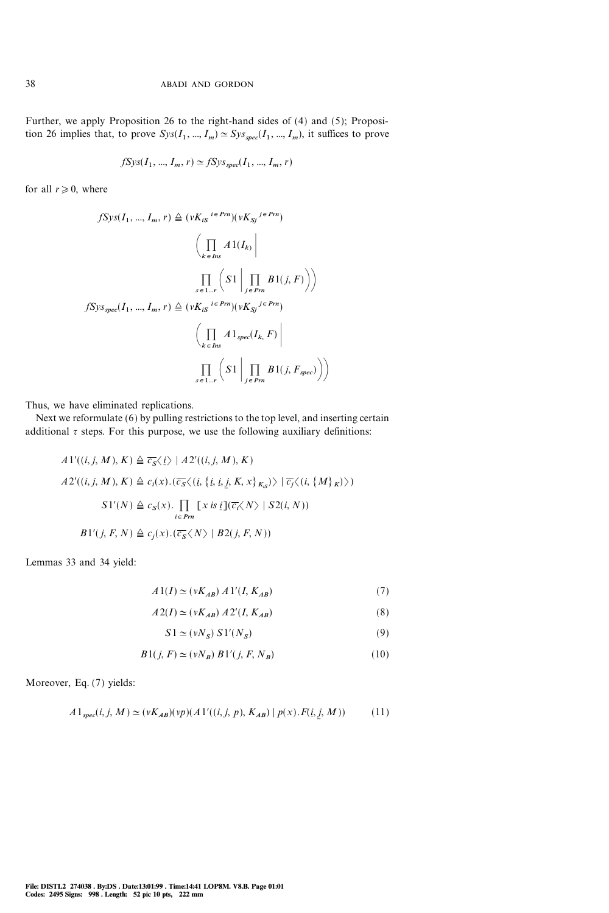Further, we apply Proposition 26 to the right-hand sides of (4) and (5); Proposition 26 implies that, to prove  $Sys(I_1, ..., I_m) \simeq Sys_{spec}(I_1, ..., I_m)$ , it suffices to prove

$$
fSys(I_1, ..., I_m, r) \simeq fSys_{spec}(I_1, ..., I_m, r)
$$

for all  $r\geqslant0$ , where

$$
fSys(I_1, ..., I_m, r) \triangleq (vK_{iS}^{i \in Prn})(vK_{Sj}^{i \in Prn})
$$

$$
\left(\prod_{k \in Ins} A1(I_k)\right)
$$

$$
fSys_{spec}(I_1, ..., I_m, r) \triangleq (vK_{iS}^{i \in Prn})(vK_{Sj}^{i \in Prn})
$$

$$
\left(\prod_{k \in Ins} A1_{spec}(I_k, F)\right)
$$

$$
\left(\prod_{k \in Ins} A1_{spec}(I_k, F)\right)
$$

$$
\prod_{s \in 1..r} \left(S1\right) \prod_{j \in Prn} B1(j, F_{spec})\right)
$$

Thus, we have eliminated replications.

Next we reformulate (6) by pulling restrictions to the top level, and inserting certain additional  $\tau$  steps. For this purpose, we use the following auxiliary definitions:

$$
A1'((i, j, M), K) \triangleq \overline{c_S} \langle i \rangle | A2'((i, j, M), K)
$$
  
\n
$$
A2'((i, j, M), K) \triangleq c_i(x).(\overline{c_S} \langle (i, \{i, i, j, K, x\}_{K_S}) \rangle | \overline{c_j} \langle (i, \{M\}_K) \rangle)
$$
  
\n
$$
S1'(N) \triangleq c_S(x). \prod_{i \in Prn} [x \text{ is } i] (\overline{c_i} \langle N \rangle | S2(i, N))
$$
  
\n
$$
B1'(j, F, N) \triangleq c_j(x).(\overline{c_S} \langle N \rangle | B2(j, F, N))
$$

Lemmas 33 and 34 yield:

$$
A1(I) \simeq (vK_{AB}) A1'(I, K_{AB})
$$
\n<sup>(7)</sup>

$$
A2(I) \simeq (vK_{AB}) A2'(I, K_{AB})
$$
\n(8)

$$
S1 \simeq (vN_S) S1'(N_S) \tag{9}
$$

$$
B1(j, F) \simeq (vN_B) B1'(j, F, N_B)
$$
\n<sup>(10)</sup>

Moreover, Eq. (7) yields:

$$
A1_{spec}(i,j,M) \simeq (\nu K_{AB})(\nu p)(A1'((i,j,p), K_{AB}) \mid p(x).F(i,j,M))
$$
 (11)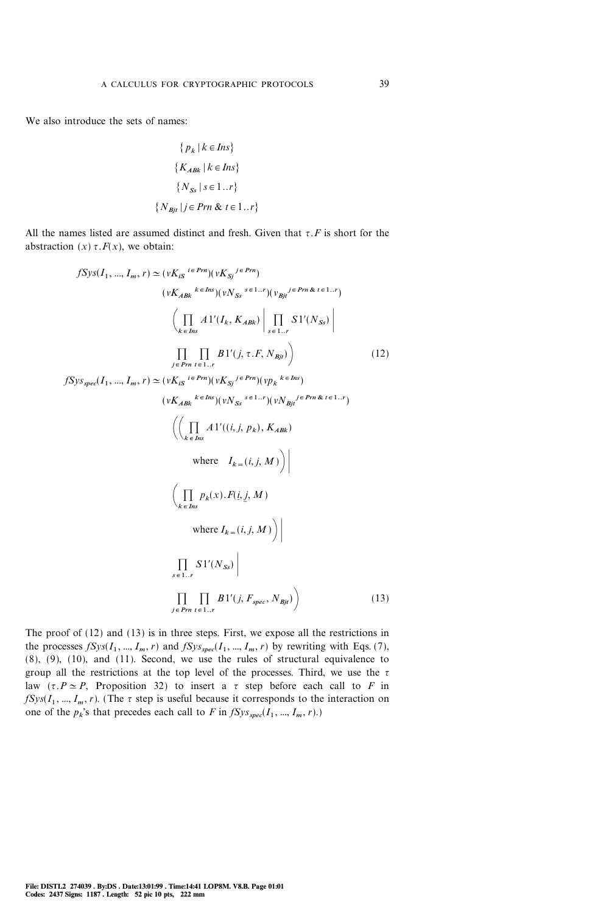We also introduce the sets of names:

$$
\{p_k | k \in Ins\}
$$
  

$$
\{K_{ABk} | k \in Ins\}
$$
  

$$
\{N_{Ss} | s \in 1..r\}
$$
  

$$
\{N_{Bjt} | j \in Prn \& t \in 1..r\}
$$

All the names listed are assumed distinct and fresh. Given that  $\tau$ . F is short for the abstraction  $(x) \tau.F(x)$ , we obtain:

$$
fSys(I_1, ..., I_m, r) \simeq (vK_{is} \stackrel{i \in Prn}{(vK_{Bk} \stackrel{k \in Ins}{})(vN_{Ss} \stackrel{s \in 1..r}{(v_{Bjl} \stackrel{j \in Prn \& t \in 1..r})}
$$
\n
$$
\left(\prod_{k \in Ins} A1'(I_k, K_{ABk}) \middle| \prod_{s \in 1..r} S1'(N_{Ss}) \middle| \prod_{s \in 1..r} I(N_{Ss}) \middle| \prod_{k \in Ins} I \middle| \prod_{s \in 1..r} B1'(j, \tau, F, N_{Bjl}) \right)
$$
\n
$$
fSys_{spec}(I_1, ..., I_m, r) \simeq (vK_{is} \stackrel{i \in Prn}{(vK_{sj} \stackrel{k \in Ins}{})(vN_{Ss} \stackrel{s \in 1..r}{(vN_{Bjl} \stackrel{s \in Ims}{(vN_{s} \stackrel{s \in 1..r}{(vN_{Bjl} \stackrel{s \in Ims}{(vN_{s} \stackrel{s \in 1..r}{(vN_{s} \stackrel{s \in 1..r}{(vN_{s} \stackrel{s \in 1..r}{(vN_{s} \stackrel{s \in 1..r}{(vN_{s} \stackrel{s \in 1..r}{(vN_{s} \stackrel{s \in 1..r}{(vN_{s} \stackrel{s \in 1..r}{(vN_{s} \stackrel{s \in 1..r}{(vN_{s} \stackrel{s \in 1..r}{(vN_{s} \stackrel{s \in 1..r}{(vN_{s} \stackrel{s \in 1..r}{(vN_{s} \stackrel{s \in 1..r}{(vN_{s} \stackrel{s \in 1..r}{(vN_{s} \stackrel{s \in 1..r}{(vN_{s} \stackrel{s \in 1..r}{(vN_{s} \stackrel{s \in 1..r}{(vN_{s} \stackrel{s \in 1..r}{(vN_{s} \stackrel{s \in 1..r}{(vN_{s} \stackrel{s \in 1..r}{(vN_{s} \stackrel{s \in 1..r}{(vN_{s} \stackrel{s \in 1..r}{(vN_{s} \stackrel{s \in 1..r}{(vN_{s} \stackrel{s \in 1..r}{(vN_{s} \stackrel{s \in 1..r}{(vN_{s} \stackrel{s \in 1..r}{
$$

The proof of (12) and (13) is in three steps. First, we expose all the restrictions in the processes  $fSys(I_1, ..., I_m, r)$  and  $fSys_{spec}(I_1, ..., I_m, r)$  by rewriting with Eqs. (7), (8), (9), (10), and (11). Second, we use the rules of structural equivalence to group all the restrictions at the top level of the processes. Third, we use the  $\tau$ law  $({\tau}, P \simeq P$ , Proposition 32) to insert a  ${\tau}$  step before each call to F in  $fSys(I_1, ..., I_m, r)$ . (The  $\tau$  step is useful because it corresponds to the interaction on one of the  $p_k$ 's that precedes each call to F in  $fSys_{spec}(I_1, ..., I_m, r)$ .)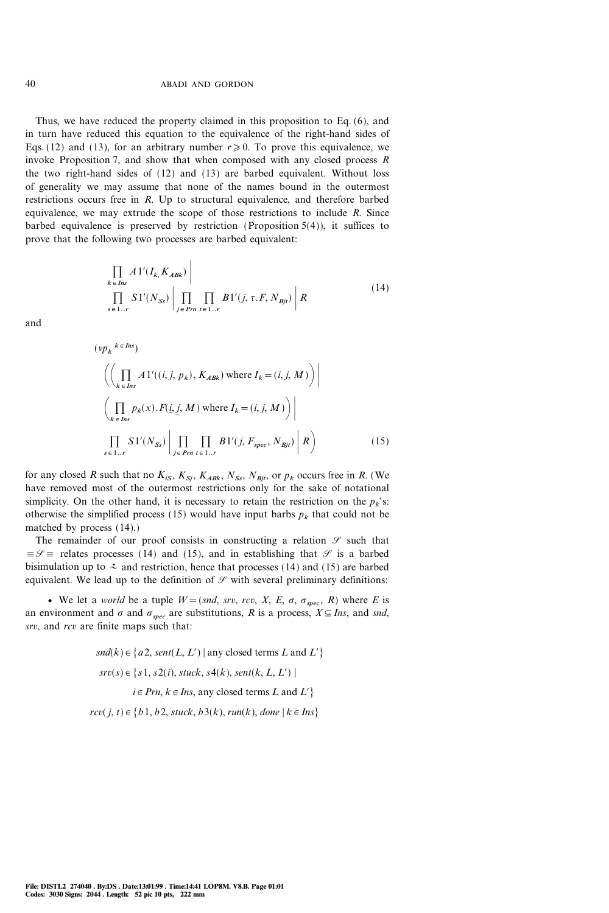Thus, we have reduced the property claimed in this proposition to Eq. (6), and in turn have reduced this equation to the equivalence of the right-hand sides of Eqs. (12) and (13), for an arbitrary number  $r \ge 0$ . To prove this equivalence, we invoke Proposition 7, and show that when composed with any closed process  $R$ the two right-hand sides of (12) and (13) are barbed equivalent. Without loss of generality we may assume that none of the names bound in the outermost restrictions occurs free in R. Up to structural equivalence, and therefore barbed equivalence, we may extrude the scope of those restrictions to include R. Since barbed equivalence is preserved by restriction (Proposition  $5(4)$ ), it suffices to prove that the following two processes are barbed equivalent:

$$
\prod_{k \in Ins} A1'(I_{k, K_{ABk}}) \Big|
$$
\n
$$
\prod_{s \in 1..r} S1'(N_{Ss}) \Big| \prod_{j \in Prn} \prod_{t \in 1..r} B1'(j, \tau. F, N_{Bjt}) \Big| R
$$
\n(14)

and

$$
(vp_k^{k \in Ins})
$$
\n
$$
\left( \left( \prod_{k \in Ins} A1'((i,j, p_k), K_{ABk}) \text{ where } I_k = (i,j, M) \right) \middle| \right)
$$
\n
$$
\left( \prod_{k \in Ins} p_k(x).F(i,j,M) \text{ where } I_k = (i,j,M) \right) \middle| \right)
$$
\n
$$
\prod_{s \in 1..r} S1'(N_{S_s}) \middle| \prod_{j \in Pm} \prod_{t \in 1..r} B1'(j, F_{spec}, N_{Bjt}) \middle| R \right) \tag{15}
$$

for any closed R such that no  $K_{iS}$ ,  $K_{Si}$ ,  $K_{ABk}$ ,  $N_{Ss}$ ,  $N_{Bi}$ , or  $p_k$  occurs free in R. (We have removed most of the outermost restrictions only for the sake of notational simplicity. On the other hand, it is necessary to retain the restriction on the  $p_k$ 's: otherwise the simplified process (15) would have input barbs  $p_k$  that could not be matched by process (14).)

The remainder of our proof consists in constructing a relation  $\mathscr S$  such that  $\equiv \mathcal{S} \equiv$  relates processes (14) and (15), and in establishing that S is a barbed bisimulation up to  $\approx$  and restriction, hence that processes (14) and (15) are barbed equivalent. We lead up to the definition of  $\mathscr S$  with several preliminary definitions:

• We let a *world* be a tuple  $W = (snd, src, rcv, X, E, σ, σ<sub>spec</sub>, R)$  where E is an environment and  $\sigma$  and  $\sigma_{spec}$  are substitutions, R is a process,  $X \subseteq Ins$ , and snd, srv, and rcv are finite maps such that:

> $snd(k) \in \{a2, sent(L, L') \mid \text{any closed terms } L \text{ and } L'\}$  $srv(s) \in \{s1, s2(i), stuck, s4(k), sent(k, L, L')\}$  $i \in Prn, k \in Ins$ , any closed terms L and  $L'$  $rcv(j, t) \in \{b1, b2, stuck, b3(k), run(k), done \mid k \in Ins\}$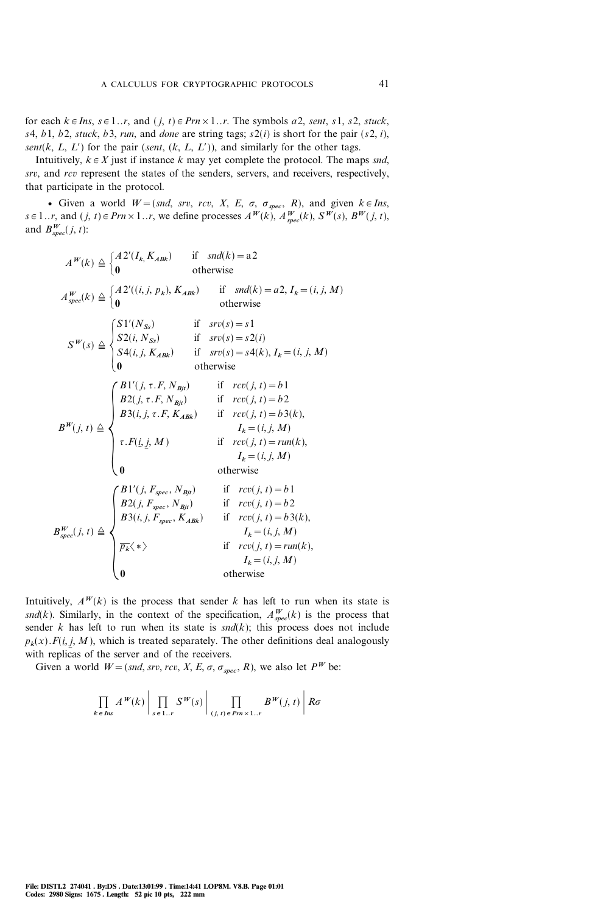for each  $k \in Ins$ ,  $s \in 1..r$ , and  $(j, t) \in Prn \times 1..r$ . The symbols a2, sent, s1, s2, stuck, s4, b1, b2, stuck, b3, run, and done are string tags;  $s2(i)$  is short for the pair (s2, i), sent(k, L, L') for the pair (sent,  $(k, L, L')$ ), and similarly for the other tags.

Intuitively,  $k \in X$  just if instance k may yet complete the protocol. The maps snd, srv, and rcv represent the states of the senders, servers, and receivers, respectively, that participate in the protocol.

• Given a world  $W = (snd, src, rcv, X, E, σ, σ<sub>spec</sub>, R)$ , and given  $k \in Ins$ ,  $s \in 1..r$ , and  $(j, t) \in Prn \times 1..r$ , we define processes  $A^{W}(k)$ ,  $A^{W}_{spec}(k)$ ,  $S^{W}(s)$ ,  $B^{W}(j, t)$ , and  $B_{spec}^W(j, t)$ :

$$
A^{W}(k) \triangleq \begin{cases} A^{2'}(I_{k,} K_{ABk}) & \text{if } snd(k) = a2 \\ 0 & \text{otherwise} \end{cases}
$$
  
\n
$$
A^{W}_{spec}(k) \triangleq \begin{cases} A^{2'}((i, j, p_{k}), K_{ABk}) & \text{if } snd(k) = a2, I_{k} = (i, j, M) \\ 0 & \text{otherwise} \end{cases}
$$
  
\n
$$
S^{W}(s) \triangleq \begin{cases} S^{1'}(N_{ss}) & \text{if } srv(s) = s1 \\ S^{2}(i, N_{ss}) & \text{if } srv(s) = s2(i) \\ S^{4}(i, j, K_{ABk}) & \text{if } srv(s) = s4(k), I_{k} = (i, j, M) \\ 0 & \text{otherwise} \end{cases}
$$
  
\n
$$
B^{W}(j, t) \triangleq \begin{cases} B^{1'}(j, \tau, F, N_{Bj}t) & \text{if } rcv(j, t) = b1 \\ B^{2}(j, \tau, F, K_{ABk}) & \text{if } rcv(j, t) = b3(k), \\ B^{3}(i, j, \tau, F, K_{ABk}) & \text{if } rcv(j, t) = b3(k), \\ T_{k} = (i, j, M) \\ 0 & \text{otherwise} \end{cases}
$$
  
\n
$$
B^{W}(j, t) \triangleq \begin{cases} B^{1'}(j, F_{spec}, N_{Bj}t) & \text{if } rcv(j, t) = b1 \\ B^{2}(j, F_{spec}, N_{Bj}t) & \text{if } rcv(j, t) = b1 \\ B^{2}(j, F_{spec}, K_{ABk}) & \text{if } rcv(j, t) = b2 \\ B^{3}(i, j, F_{spec}, K_{ABk}) & \text{if } rcv(j, t) = b3(k), \\ T_{k} = (i, j, M) \\ 0 & \text{otherwise} \end{cases}
$$
  
\n
$$
B^{W}_{spec}(j, t) \triangleq \begin{cases} B^{W}(k) & \text{if } rcv(j, t) = b1 \\ B^{2}(k, F_{spec}, K_{ABk}) & \text{if } rcv(j, t) = b4(k), \\ T_{k} = (i, j, M) \\ 0 & \text{otherwise} \end{cases}
$$

Intuitively,  $A^{W}(k)$  is the process that sender k has left to run when its state is snd(k). Similarly, in the context of the specification,  $A_{spec}^W(k)$  is the process that sender k has left to run when its state is  $snd(k)$ ; this process does not include  $p_k(x)$ .  $F(i, j, M)$ , which is treated separately. The other definitions deal analogously ֖֖֖֖֖֖֖֧ׅׅ֖֖֚֚֚֚֚֚֚֚֚֚֚֚֚֚֚֚֚֚֚֚֡֝֓֞֡֞֡֞֡֡֞֡֞֟֡֡֓֞֞֡֡֞֡֞֡֡֓֞֞֞֞֞֞ ֚֚֬ with replicas of the server and of the receivers.

Given a world  $W = (snd, src, rcv, X, E, \sigma, \sigma_{spec}, R)$ , we also let  $P^W$  be:

$$
\prod_{k \in Ins} A^{W}(k) \left| \prod_{s \in 1..r} S^{W}(s) \right| \prod_{(j, t) \in Prn \times 1..r} B^{W}(j, t) \left| R \sigma \right|
$$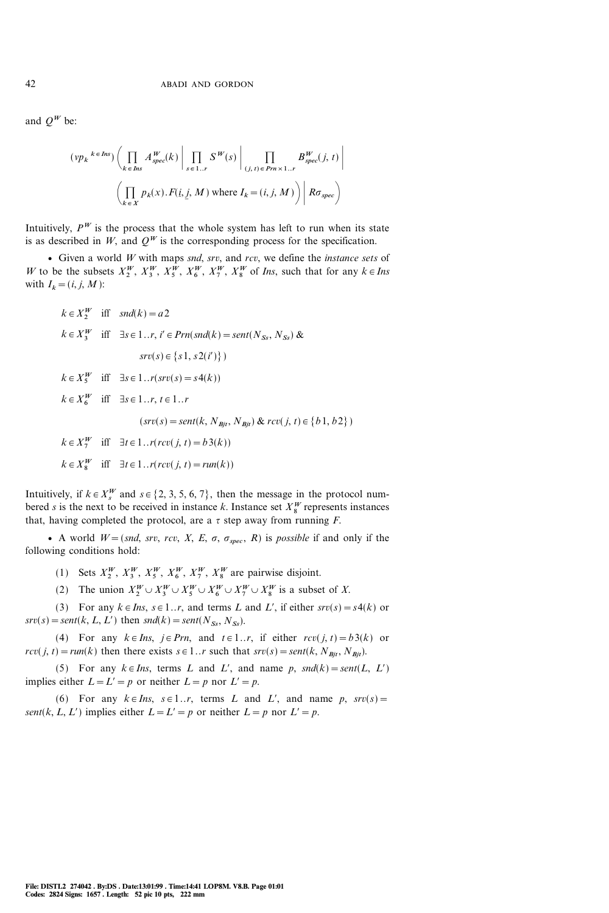and  $Q^W$  be:

$$
(vp_k^{k \in Ins}) \left( \prod_{k \in Ins} A_{spec}^W(k) \middle| \prod_{s \in 1..r} S^W(s) \middle| \prod_{(j, t) \in Prn \times 1..r} B^W_{spec}(j, t) \right)
$$

$$
\left( \prod_{k \in X} p_k(x).F(i, j, M) \text{ where } I_k = (i, j, M) \right) \middle| R\sigma_{spec} \right)
$$

Intuitively,  $P^{W}$  is the process that the whole system has left to run when its state is as described in W, and  $Q^W$  is the corresponding process for the specification.

• Given a world  $W$  with maps snd, srv, and rcv, we define the instance sets of W to be the subsets  $X_2^W$ ,  $X_3^W$ ,  $X_5^W$ ,  $X_6^W$ ,  $X_7^W$ ,  $X_8^W$  of Ins, such that for any  $k \in Ins$ with  $I_k = (i, j, M)$ :

$$
k \in X_2^W \quad \text{iff} \quad \operatorname{snd}(k) = a2
$$
\n
$$
k \in X_3^W \quad \text{iff} \quad \exists s \in 1..r, \, i' \in Prn(\operatorname{snd}(k) = \operatorname{sent}(N_{Ss}, N_{Ss}) \& \quad \operatorname{src}(s) \in \{s1, s2(i')\})
$$
\n
$$
k \in X_5^W \quad \text{iff} \quad \exists s \in 1..r(\operatorname{src}(s) = s4(k))
$$
\n
$$
k \in X_6^W \quad \text{iff} \quad \exists s \in 1..r, \, t \in 1..r
$$
\n
$$
(\operatorname{src}(s) = \operatorname{sent}(k, N_{Bjt}, N_{Bjt}) \& \operatorname{rcv}(j, t) \in \{b1, b2\})
$$
\n
$$
k \in X_7^W \quad \text{iff} \quad \exists t \in 1..r(\operatorname{rcv}(j, t) = b3(k))
$$
\n
$$
k \in X_8^W \quad \text{iff} \quad \exists t \in 1..r(\operatorname{rcv}(j, t) = \operatorname{run}(k))
$$

Intuitively, if  $k \in X_s^W$  and  $s \in \{2, 3, 5, 6, 7\}$ , then the message in the protocol numbered s is the next to be received in instance k. Instance set  $X_8^W$  represents instances that, having completed the protocol, are a  $\tau$  step away from running F.

• A world  $W=(\text{snd}, \text{ src}, \text{ rcv}, \text{ X}, \text{ E}, \sigma, \sigma_{\text{spec}}, R)$  is possible if and only if the following conditions hold:

(1) Sets  $X_2^W$ ,  $X_3^W$ ,  $X_5^W$ ,  $X_6^W$ ,  $X_7^W$ ,  $X_8^W$  are pairwise disjoint.

(2) The union  $X_2^W \cup X_3^W \cup X_5^W \cup X_6^W \cup X_7^W \cup X_8^W$  is a subset of X.

(3) For any  $k \in Ins$ ,  $s \in 1..r$ , and terms L and L', if either  $srv(s) = s4(k)$  or  $srv(s) = sent(k, L, L')$  then  $snd(k) = sent(N_{Ss}, N_{Ss}).$ 

(4) For any  $k \in Ins$ ,  $j \in Prn$ , and  $t \in 1..r$ , if either  $rcv(j, t) = b3(k)$  or  $rcv(j, t) = run(k)$  then there exists  $s \in 1..r$  such that  $sv(s) = sent(k, N_{Bjt}, N_{Bjt})$ .

(5) For any  $k \in Ins$ , terms L and L', and name p, snd(k) = sent(L, L') implies either  $L = L' = p$  or neither  $L = p$  nor  $L' = p$ .

(6) For any  $k \in Ins$ ,  $s \in 1..r$ , terms L and L', and name p,  $srv(s)$  = sent(k, L, L') implies either  $L = L' = p$  or neither  $L = p$  nor  $L' = p$ .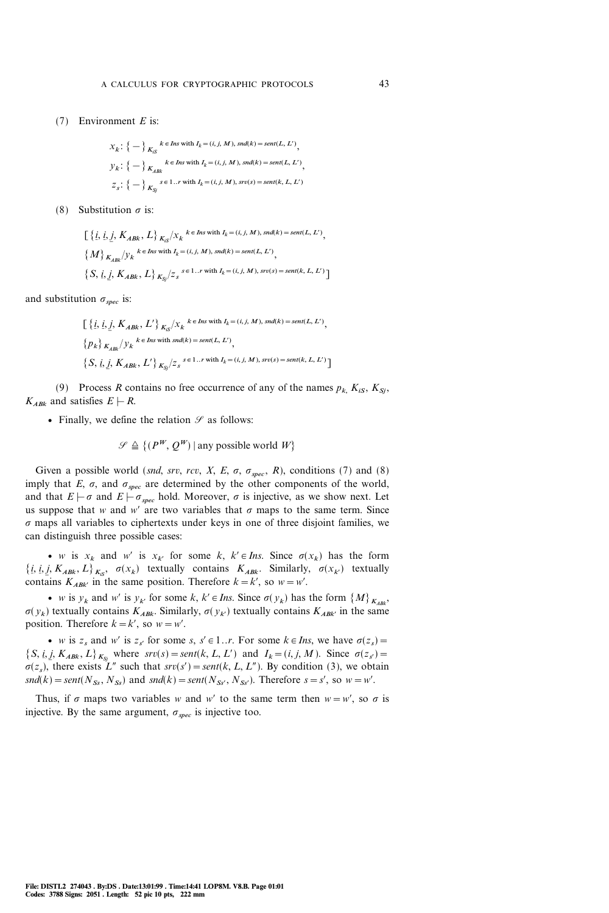$(7)$  Environment E is:

$$
X_k: \left\{ -\right\} K_{iS} \stackrel{k \in Ins \text{ with } I_k = (i, j, M), \text{ and } (k) = \text{sent}(L, L'),
$$
  

$$
y_k: \left\{ -\right\} K_{ABk} \stackrel{k \in Ins \text{ with } I_k = (i, j, M), \text{ and } (k) = \text{sent}(L, L'),
$$
  

$$
z_s: \left\{ -\right\} K_{Sj} \stackrel{s \in 1..r \text{ with } I_k = (i, j, M), \text{ srv}(s) = \text{sent}(k, L, L')
$$

(8) Substitution  $\sigma$  is:

$$
\begin{aligned}\n\left\{\n\left[i,\,i,\,j,\,K_{ABk},\,L\right\}_{K_{iS}}\n/ x_{k} & \in \text{Ins with } I_{k} = (i,j,\,M), \text{snd}(k) = \text{sent}(L,L'), \\
\left\{\n\left\{\n\left|\n\left\|\n\right\|_{K_{ABk}}\n/ y_{k} & \in \text{Ins with } I_{k} = (i,j,\,M), \text{snd}(k) = \text{sent}(L,L')\n\right.\n\right\} \\
\left\{\n\left\{\n\left.\n\left.\n\left.\n\right|\n\right\}_{K_{ABk}},\n\left.\n\left.\n\left.\n\right|\n\right\}_{K_{Sj}}\n/ z_{s} & \in 1..r \text{ with } I_{k} = (i,j,\,M), \text{src}(s) = \text{sent}(k,\,L,\,L')\n\right.\n\right\}\n\end{aligned}
$$

and substitution  $\sigma_{spec}$  is:

[[i , i , j , KABk , L\$]KiS x<sup>k</sup> <sup>k</sup> # Ins with Ik=(i, <sup>j</sup>, <sup>M</sup>), snd(k)=sent(L, <sup>L</sup>\$), [pk]KABk y<sup>k</sup> <sup>k</sup> # Ins with snd(k)=sent(L, <sup>L</sup>\$), [S, i , j , KABk , L\$]KSjz<sup>s</sup> <sup>s</sup> #1..<sup>r</sup> with Ik=(i, <sup>j</sup>, <sup>M</sup>), srv(s)=sent(k, <sup>L</sup>, <sup>L</sup>\$)]

(9) Process R contains no free occurrence of any of the names  $p_{k} K_{iS}$ ,  $K_{Si}$ ,  $K_{ABk}$  and satisfies  $E \mid R$ .

• Finally, we define the relation  $\mathscr S$  as follows:

$$
\mathcal{S} \triangleq \{ (P^W, Q^W) | \text{any possible world } W \}
$$

Given a possible world (snd, srv, rcv, X, E,  $\sigma$ ,  $\sigma_{spec}$ , R), conditions (7) and (8) imply that E,  $\sigma$ , and  $\sigma_{spec}$  are determined by the other components of the world, and that  $E |_{\sigma} \sigma$  and  $E |_{\sigma} \sigma$  hold. Moreover,  $\sigma$  is injective, as we show next. Let us suppose that w and w' are two variables that  $\sigma$  maps to the same term. Since  $\sigma$  maps all variables to ciphertexts under keys in one of three disjoint families, we can distinguish three possible cases:

• w is  $x_k$  and w' is  $x_{k'}$  for some k,  $k' \in Ins$ . Since  $\sigma(x_k)$  has the form  $\{i, i, j, K_{ABk}, L\}_{K_{iS}}, \sigma(x_k)$  textually contains  $K_{ABk}$ . Similarly,  $\sigma(x_k)$  textually ֖֖֚֚֚֚֚֚֚֚֚֚֚֚֚֡֝֝֝֝֝֝ ֚֞ ֖֖֖֖֧֧֧֚֚֚֚֚֚֚֚֚֚֚֚֚֚֚֚֚֚֚֚֚֚֚֚֚֚֚֚֚֚֬֝֓֓֓֡֓֓֡֓֓ contains  $K_{ABk}$  in the same position. Therefore  $k=k'$ , so  $w=w'$ .

• w is  $y_k$  and w' is  $y_{k'}$  for some k,  $k' \in Ins$ . Since  $\sigma(y_k)$  has the form  $\{M\}_{K_{ABk}}$ ,  $\sigma(y_k)$  textually contains  $K_{ABk}$ . Similarly,  $\sigma(y_k)$  textually contains  $K_{ABk}$  in the same position. Therefore  $k = k'$ , so  $w = w'$ .

• w is  $z_s$  and w' is  $z_{s'}$  for some s,  $s' \in 1...$ . For some  $k \in Ins$ , we have  $\sigma(z_s)=$  $\{S, i, j, K_{ABk}, L\}_{K_{Sj}}$  where  $srv(s) = sent(k, L, L')$  and  $I_k = (i, j, M)$ . Since  $\sigma(z_{s'}) =$ י<br>י ֡֡֡֡֡֡  $\sigma(z_s)$ , there exists L" such that  $srv(s') = sent(k, L, L")$ . By condition (3), we obtain  $snd(k) = sent(N_{Ss}, N_{Ss})$  and  $snd(k) = sent(N_{Ss'}, N_{Ss'})$ . Therefore  $s = s'$ , so  $w = w'$ .

Thus, if  $\sigma$  maps two variables w and w' to the same term then  $w=w'$ , so  $\sigma$  is injective. By the same argument,  $\sigma_{spec}$  is injective too.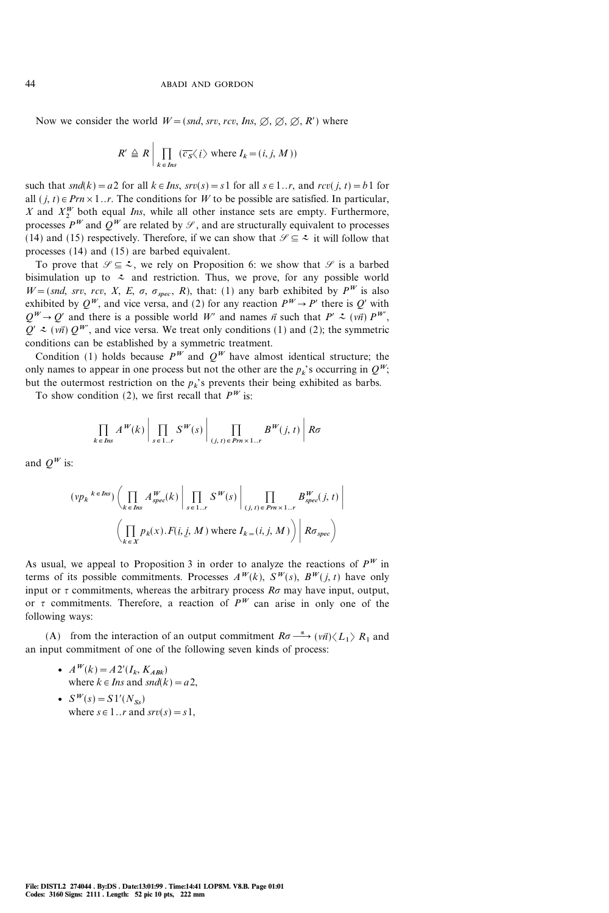Now we consider the world  $W = (snd, src, rcv, Ins, Ø, Ø, Ø, R')$  where

$$
R' \triangleq R \Big| \prod_{k \in \text{Ins}} (\overline{c_S} \langle i \rangle \text{ where } I_k = (i, j, M))
$$

such that  $\text{snd}(k) = a2$  for all  $k \in \text{Ins}, \text{src}(s) = s1$  for all  $s \in 1..r$ , and  $\text{rcv}(j, t) = b1$  for all  $(j, t) \in Prn \times 1...$ . The conditions for W to be possible are satisfied. In particular, X and  $X_2^W$  both equal Ins, while all other instance sets are empty. Furthermore, processes  $P^{W}$  and  $Q^{W}$  are related by  $\mathcal{S}$ , and are structurally equivalent to processes (14) and (15) respectively. Therefore, if we can show that  $\mathcal{S} \subseteq \mathcal{Z}$  it will follow that processes (14) and (15) are barbed equivalent.

To prove that  $\mathscr{S} \subseteq \mathscr{L}$ , we rely on Proposition 6: we show that  $\mathscr{S}$  is a barbed bisimulation up to  $\dot{\sim}$  and restriction. Thus, we prove, for any possible world  $W = (snd, src, rcv, X, E, σ, σ<sub>spec</sub>, R)$ , that: (1) any barb exhibited by  $P<sup>W</sup>$  is also exhibited by  $Q^W$ , and vice versa, and (2) for any reaction  $P^W \rightarrow P'$  there is Q' with  $Q^W \rightarrow Q'$  and there is a possible world W' and names  $\vec{n}$  such that  $P' \sim (v\vec{n}) P^{W'}$ ,  $Q' \sim (v\vec{n}) Q^{W'}$ , and vice versa. We treat only conditions (1) and (2); the symmetric conditions can be established by a symmetric treatment.

Condition (1) holds because  $P^W$  and  $Q^W$  have almost identical structure; the only names to appear in one process but not the other are the  $p_k$ 's occurring in  $Q^W$ ; but the outermost restriction on the  $p_k$ 's prevents their being exhibited as barbs.

To show condition (2), we first recall that  $P^{W}$  is:

$$
\prod_{k \in Ins} A^{W}(k) \left| \prod_{s \in 1..r} S^{W}(s) \right| \prod_{(j, t) \in Prn \times 1..r} B^{W}(j, t) \left| R \sigma \right|
$$

and  $Q^W$  is:

$$
(vp_k^{k \in Ins}) \left( \prod_{k \in Ins} A_{spec}^W(k) \middle| \prod_{s \in 1..r} S^W(s) \middle| \prod_{(j, t) \in Prn \times 1..r} B^W_{spec}(j, t) \right)
$$

$$
\left( \prod_{k \in X} p_k(x) \cdot F(i, j, M) \text{ where } I_{k} = (i, j, M) \right) \middle| R\sigma_{spec} \right)
$$

|<br>|<br>|

As usual, we appeal to Proposition 3 in order to analyze the reactions of  $P<sup>W</sup>$  in terms of its possible commitments. Processes  $A^{W}(k)$ ,  $S^{W}(s)$ ,  $B^{W}(j, t)$  have only input or  $\tau$  commitments, whereas the arbitrary process  $R\sigma$  may have input, output, or  $\tau$  commitments. Therefore, a reaction of  $P^W$  can arise in only one of the following ways:

(A) from the interaction of an output commitment  $R\sigma \stackrel{\alpha}{\longrightarrow} (\nu \vec{n}) \langle L_1 \rangle R_1$  and an input commitment of one of the following seven kinds of process:

- $A^{W}(k) = A 2'(I_k, K_{ABk})$ where  $k \in Ins$  and  $snd(k) = a2$ ,
- $S^{W}(s) = S1'(N_{Ss})$ where  $s \in 1..r$  and  $srv(s) = s1$ ,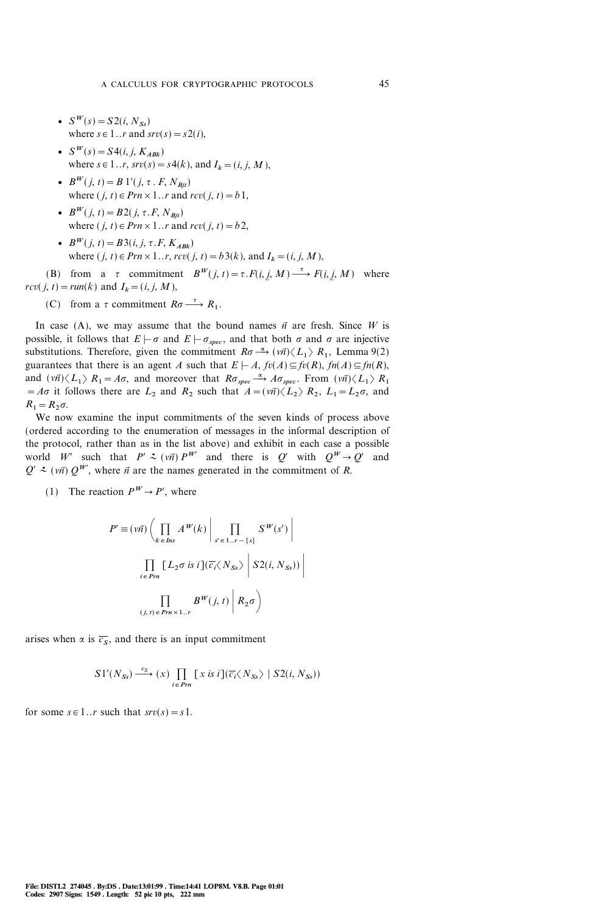- $S^{W}(s) = S2(i, N_{ss})$ where  $s \in 1$ ..*r* and  $srv(s) = s2(i)$ ,
- $S^{W}(s) = S4(i, j, K_{ABk})$ where  $s \in 1...r$ ,  $srv(s) = s4(k)$ , and  $I_k = (i, j, M)$ ,
- $B^{W}(j, t) = B 1'(j, \tau \cdot F, N_{Bjt})$ where  $(j, t) \in Prn \times 1$ ..r and rcv(  $j, t$ ) = b1,
- $B^{W}(j, t) = B2(j, \tau, F, N_{Bjt})$ where  $(j, t) \in Prn \times 1$ ..r and rcv(  $j, t$ ) = b2,
- $B^{W}(j, t) = B3(i, j, \tau, F, K_{ABk})$ where  $(j, t) \in Prn \times 1...$ ,  $rcv(j, t) = b3(k)$ , and  $I_k = (i, j, M)$ ,

(B) from a  $\tau$  commitment  $B^W(j, t) = \tau \cdot F(i, j, M) \xrightarrow{\tau} F(i, j, M)$  where ֞֘֝֬ İ ֺ֝֡  $rcv(j, t) = run(k)$  and  $I_k = (i, j, M)$ ,

(C) from a  $\tau$  commitment  $R\sigma \stackrel{\tau}{\longrightarrow} R_1$ .

In case (A), we may assume that the bound names  $\vec{n}$  are fresh. Since W is possible, it follows that  $E |_{\sigma}$  and  $E |_{\sigma}$  and that both  $\sigma$  and  $\sigma$  are injective substitutions. Therefore, given the commitment  $R\sigma \stackrel{\alpha}{\longrightarrow} (\nu \vec{n}) \langle L_1 \rangle R_1$ , Lemma 9(2) guarantees that there is an agent A such that  $E \mid A$ ,  $fv(A) \subseteq fv(R)$ ,  $fn(A) \subseteq fn(R)$ , and  $(v\vec{n})\langle L_1\rangle R_1 = A\sigma$ , and moreover that  $R\sigma_{spec} \stackrel{\alpha}{\longrightarrow} A\sigma_{spec}$ . From  $(v\vec{n})\langle L_1\rangle R_1$  $= A\sigma$  it follows there are  $L_2$  and  $R_2$  such that  $A=(\nu\vec{n})\langle L_2 \rangle R_2$ ,  $L_1=L_2\sigma$ , and  $R_1=R_2\sigma.$ 

We now examine the input commitments of the seven kinds of process above (ordered according to the enumeration of messages in the informal description of the protocol, rather than as in the list above) and exhibit in each case a possible world W' such that  $P' \sim (v\vec{n}) P^{W'}$  and there is Q' with  $Q^W \rightarrow Q'$  and  $Q' \sim (v\vec{n}) Q^{W'}$ , where  $\vec{n}$  are the names generated in the commitment of R.

(1) The reaction  $P^W \rightarrow P'$ , where

$$
P' \equiv (v\vec{n}) \left( \prod_{k \in Ins} A^W(k) \middle| \prod_{s' \in 1..r - \{s\}} S^W(s') \middle| \right)
$$

$$
\prod_{i \in Prn} [L_2 \sigma \text{ is } i] (\overline{c_i} \langle N_{Ss} \rangle \middle| S2(i, N_{Ss})) \right)
$$

$$
\prod_{(j, t) \in Prn \times 1..r} B^W(j, t) \middle| R_2 \sigma \right)
$$

arises when  $\alpha$  is  $\overline{c_s}$ , and there is an input commitment

$$
S1'(N_{Ss}) \xrightarrow{c_S} (x) \prod_{i \in Prn} [x \text{ is } i] (\overline{c_i} \langle N_{Ss} \rangle \mid S2(i, N_{Ss}))
$$

for some  $s \in 1..r$  such that  $srv(s) = s1$ .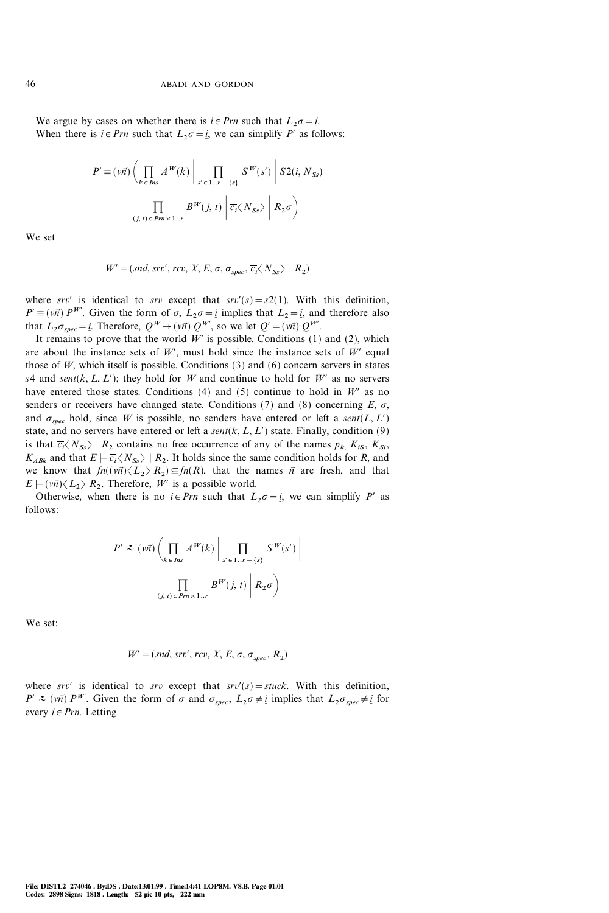We argue by cases on whether there is  $i \in Prn$  such that  $L_2 \sigma = i$ . ֚֚ When there is  $i \in Prn$  such that  $L_2 \sigma = i$ , we can simplify P' as follows: ֖֖֖֖֖֖֖֖֖֖֖֖֖֖֖֖֪֪֪ׅ֖֧֧֚֚֚֚֚֚֚֚֚֚֚֚֚֚֚֚֚֚֚֚֚֚֬֝֝֝֓֞֡֬֓֝֓֞֡֬֝֓֞֝֝֓֞֝֬֝֓֞֬֝֬֝֓֞֬֝֬֝֬

$$
P' \equiv (\nu \vec{n}) \left( \prod_{k \in Ins} A^W(k) \Big| \prod_{s' \in 1..r - \{s\}} S^W(s') \Big| S2(i, N_{SS}) \right)
$$

$$
\prod_{(j, t) \in Prn \times 1..r} B^W(j, t) \Big| \overline{c_i} \langle N_{SS} \rangle \Big| R_2 \sigma \right)
$$

We set

$$
W' = (snd, src', rcv, X, E, \sigma, \sigma_{spec}, \overline{c_i} \langle N_{Ss} \rangle \mid R_2)
$$

where srv' is identical to srv except that  $srv'(s)=s(1)$ . With this definition,  $P' \equiv (v\vec{n}) P^{W'}$ . Given the form of  $\sigma$ ,  $L_2\sigma = \vec{i}$  implies that  $L_2 = \vec{i}$ , and therefore also ֖֖֖֖֖֖֖֖֖֪ׅ֖֪֪֪֦֖֧֪֪֪֦֖֧֪֪֪֪֪֪֦֖֧֚֚֚֚֚֚֚֚֚֚֚֚֚֚֚֚֚֬֝֝֝֝֝֝֝֝֝֬ that  $L_2 \sigma_{spec} = i$ . Therefore,  $Q^W \rightarrow (v\vec{n}) Q^W$ , so we let  $Q' = (v\vec{n}) Q^W$ .

֚֕֡֡֡֡֡֡ It remains to prove that the world  $W'$  is possible. Conditions (1) and (2), which are about the instance sets of W', must hold since the instance sets of W' equal those of  $W$ , which itself is possible. Conditions (3) and (6) concern servers in states s4 and sent(k, L, L'); they hold for W and continue to hold for W' as no servers have entered those states. Conditions  $(4)$  and  $(5)$  continue to hold in W' as no senders or receivers have changed state. Conditions (7) and (8) concerning  $E, \sigma$ , and  $\sigma_{spec}$  hold, since W is possible, no senders have entered or left a sent(L, L') state, and no servers have entered or left a sent(k, L, L') state. Finally, condition (9) is that  $\overline{c_i} \langle N_{ss} \rangle \mid R_2$  contains no free occurrence of any of the names  $p_{k_i}$ ,  $K_{is}$ ,  $K_{sj}$ ,  $K_{ABk}$  and that  $E \left| \overline{c_i} \langle N_{ss} \rangle \right| R_2$ . It holds since the same condition holds for R, and we know that  $fn((\nu \vec{n})\langle L_2 \rangle R_2) \subseteq fn(R)$ , that the names  $\vec{n}$  are fresh, and that  $E \mid (v\vec{n}) \langle L_2 \rangle R_2$ . Therefore, W' is a possible world.

Otherwise, when there is no  $i \in Prn$  such that  $L_2 \sigma = i$ , we can simplify P' as İ follows:

$$
P' \sim (v\vec{n}) \left( \prod_{k \in \text{Ins}} A^{W}(k) \bigg| \prod_{s' \in 1...r - \{s\}} S^{W}(s') \bigg|
$$

$$
\prod_{(j, t) \in \text{Pm} \times 1...r} B^{W}(j, t) \bigg| R_{2} \sigma \right)
$$

We set:

$$
W' = (snd, src', rcv, X, E, \sigma, \sigma_{spec}, R_2)
$$

where srv' is identical to srv except that  $srv'(s) = stuck$ . With this definition, P'  $\sim$  ( $\nu \vec{n}$ ) P<sup>W</sup>'. Given the form of  $\sigma$  and  $\sigma_{spec}$ ,  $L_2\sigma \neq i$  implies that  $L_2\sigma_{spec} \neq i$  for ֖֖֖֖֖֖֖֖֖֪ׅ֖֪֪֪֦֖֧֪֪֪֦֖֧֪֪֪֪֪֪֦֖֧֚֚֚֚֚֚֚֚֚֚֚֚֚֚֚֚֚֬֝֝֝֝֝֝֝֝֝֬ every  $i \in Prn$ . Letting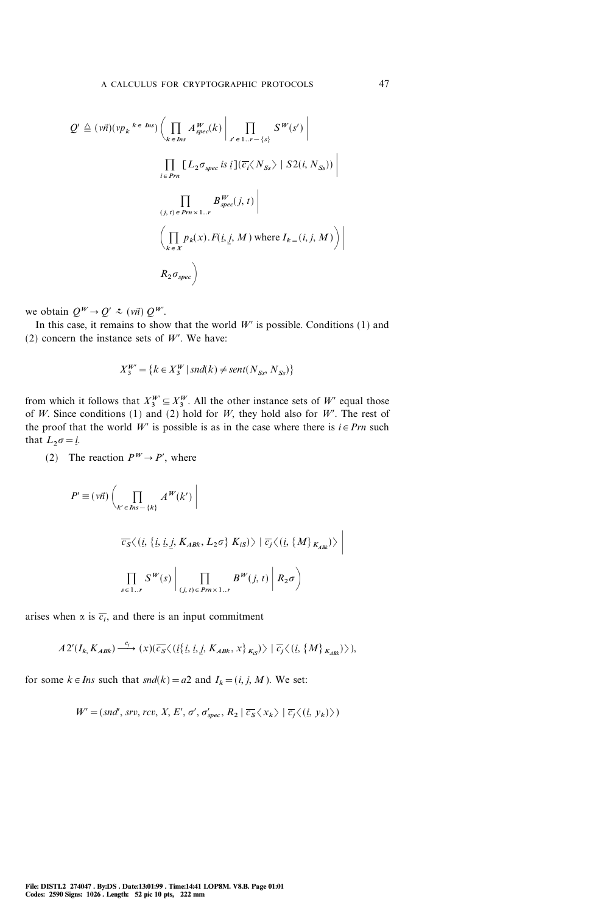$$
Q' \triangleq (v\vec{n})(vp_k^{k \in Ins}) \left( \prod_{k \in Ins} A_{spec}^W(k) \Big| \prod_{s' \in 1..r - \{s\}} S^W(s') \Big|
$$
  

$$
\prod_{i \in Prm} [L_2 \sigma_{spec} \text{ is } i] (\overline{c_i} \langle N_{Ss} \rangle \mid S2(i, N_{Ss})) \Big|
$$
  

$$
\prod_{(j, t) \in Prm \times 1..r} B^W_{spec}(j, t) \Big|
$$
  

$$
\left( \prod_{k \in X} p_k(x).F(i, j, M) \text{ where } I_{k} = (i, j, M) \right)
$$
  

$$
R_2 \sigma_{spec} \right)
$$

we obtain  $Q^W \rightarrow Q' \stackrel{*}{\sim} (v\vec{n}) Q^W$ .

In this case, it remains to show that the world  $W'$  is possible. Conditions (1) and (2) concern the instance sets of  $W'$ . We have:

$$
X_3^{W'} = \{k \in X_3^W \mid \text{snd}(k) \neq \text{sent}(N_{S_s}, N_{S_s})\}
$$

from which it follows that  $X_3^{W'} \subseteq X_3^W$ . All the other instance sets of W' equal those of W. Since conditions (1) and (2) hold for W, they hold also for W'. The rest of the proof that the world W' is possible is as in the case where there is  $i \in Prn$  such that  $L_2 \sigma = \underline{i}$ . 

(2) The reaction  $P^W \rightarrow P'$ , where

$$
P' \equiv (v\vec{n}) \left( \prod_{k' \in Ins - \{k\}} A^{W}(k') \middle| \right)
$$
  

$$
\overline{c}_{S} \langle (i, \{i, i, j, K_{ABk}, L_{2}\sigma\} K_{iS}) \rangle | \overline{c}_{j} \langle (i, \{M\}_{K_{ABk}}) \rangle \right)
$$
  

$$
\prod_{s \in 1..r} S^{W}(s) \left| \prod_{(j, t) \in Prn \times 1..r} B^{W}(j, t) \right| R_{2}\sigma
$$

arises when  $\alpha$  is  $\overline{c_i}$ , and there is an input commitment

$$
A2'(I_{k, K_{ABk}}) \xrightarrow{c_i} (x)(\overline{c_S} \langle (\underline{i} \{i, \underline{i}, \underline{j}, K_{ABk}, x \} \rangle_{K_{iS}}) \rangle | \overline{c_j} \langle (\underline{i}, \{M\} \rangle_{K_{ABk}}) \rangle),
$$

for some  $k \in Ins$  such that  $snd(k) = a2$  and  $I_k = (i, j, M)$ . We set:

$$
W' = (snd', src, rcv, X, E', \sigma', \sigma'_{spec}, R_2 | \overline{c_S} \langle x_k \rangle | \overline{c_j} \langle (i, y_k) \rangle)
$$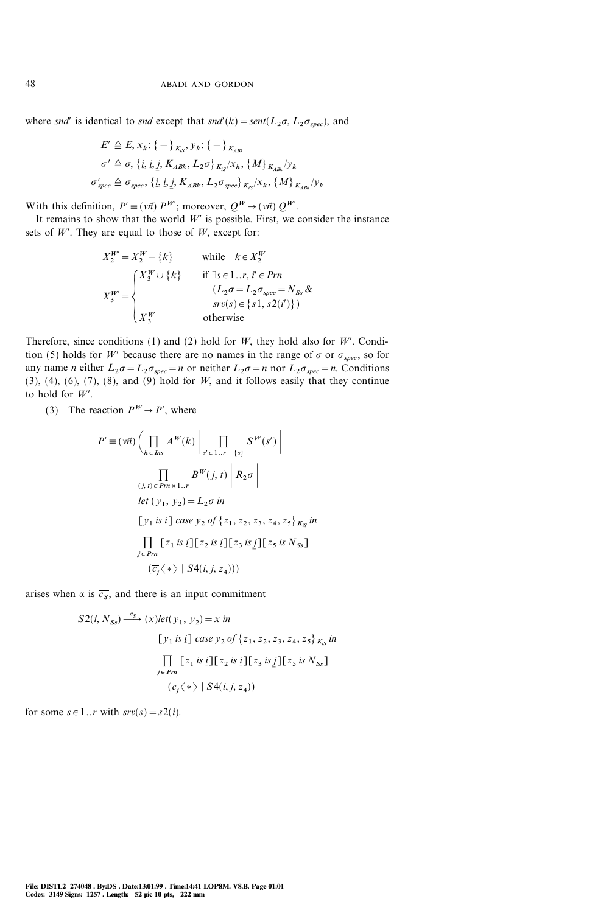where snd' is identical to snd except that snd'(k) = sent( $L_2\sigma$ ,  $L_2\sigma_{spec}$ ), and

$$
E' \triangleq E, x_k: \{-\}_{K_{iS}}, y_k: \{-\}_{K_{ABk}}
$$
  
\n
$$
\sigma' \triangleq \sigma, \{i, i, j, K_{ABk}, L_2 \sigma\}_{K_{iS}}/x_k, \{M\}_{K_{ABk}}/y_k
$$
  
\n
$$
\sigma'_{spec} \triangleq \sigma_{spec}, \{i, i, j, K_{ABk}, L_2 \sigma_{spec}\}_{K_{iS}}/x_k, \{M\}_{K_{ABk}}/y_k
$$

With this definition,  $P' \equiv (v\vec{n}) P^{W'}$ ; moreover,  $Q^{W} \rightarrow (v\vec{n}) Q^{W'}$ .

It remains to show that the world  $W'$  is possible. First, we consider the instance sets of  $W'$ . They are equal to those of  $W$ , except for:

$$
X_2^W = X_2^W - \{k\}
$$
 while  $k \in X_2^W$   
\n
$$
X_3^W = \begin{cases} X_3^W \cup \{k\} & \text{if } \exists s \in 1..r, i' \in Prn \\ & (L_2 \sigma = L_2 \sigma_{spec} = N_{ss} \& \text{srv}(s) \in \{s1, s2(i')\}) \\ X_3^W & \text{otherwise} \end{cases}
$$

Therefore, since conditions (1) and (2) hold for  $W$ , they hold also for  $W'$ . Condition (5) holds for W' because there are no names in the range of  $\sigma$  or  $\sigma_{spec}$ , so for any name *n* either  $L_2\sigma = L_2\sigma_{spec} = n$  or neither  $L_2\sigma = n$  nor  $L_2\sigma_{spec} = n$ . Conditions  $(3)$ ,  $(4)$ ,  $(6)$ ,  $(7)$ ,  $(8)$ , and  $(9)$  hold for W, and it follows easily that they continue to hold for  $W'$ .

(3) The reaction  $P^W \rightarrow P'$ , where

$$
P' \equiv (v\vec{n}) \left( \prod_{k \in \text{Ins}} A^W(k) \Big| \prod_{s' \in 1..r - \{s\}} S^W(s') \Big|
$$
  

$$
\prod_{(j, t) \in \text{Prn} \times 1..r} B^W(j, t) \Big| R_2 \sigma \Big|
$$
  
let  $(y_1, y_2) = L_2 \sigma$  in  

$$
[y_1 \text{ is } i] \text{ case } y_2 \text{ of } \{z_1, z_2, z_3, z_4, z_5\} \underset{j \in \text{Prn}}{\times} in
$$
  

$$
\prod_{j \in \text{Prm}} [z_1 \text{ is } i] [z_2 \text{ is } i] [z_3 \text{ is } j] [z_5 \text{ is } N_{Ss}]
$$

arises when  $\alpha$  is  $\overline{c_s}$ , and there is an input commitment

$$
S2(i, N_{SS}) \xrightarrow{c_S} (x) let(y_1, y_2) = x in
$$
  
\n[ $y_1$  is  $i$ ] case  $y_2$  of  $\{z_1, z_2, z_3, z_4, z_5\}_{K_{IS}}$  in  
\n
$$
\prod_{j \in Prn} [z_1 \text{ is } i] [z_2 \text{ is } i] [z_3 \text{ is } j] [z_5 \text{ is } N_{SS}]
$$
  
\n( $\overline{c_j} \langle * \rangle | S4(i, j, z_4)$ )

for some  $s \in 1..r$  with  $srv(s) = s2(i)$ .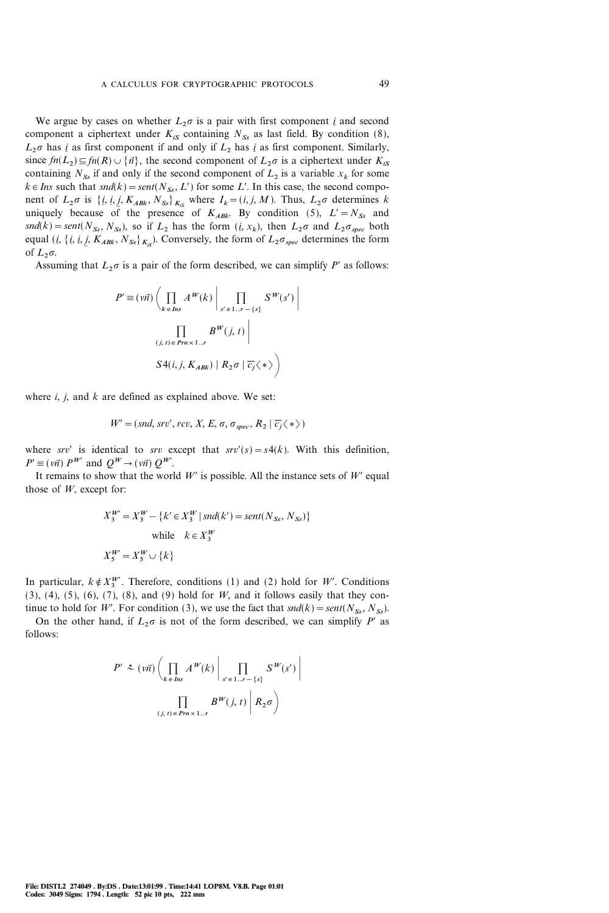We argue by cases on whether  $L_2\sigma$  is a pair with first component i and second ֚֞ component a ciphertext under  $K_{iS}$  containing  $N_{Ss}$  as last field. By condition (8),  $L_2\sigma$  has *i* as first component if and only if  $L_2$  has *i* as first component. Similarly, ֧֖֖֖֖֖֖֖֧֚֚֚֚֚֚֚֡֬֝֬<u>֚</u> ֖֖֖֖֖֖֖֪֖֪֪֖֖֚֚֚֚֚֚֚֚֚֚֡֝֬֝֝֝֝֝֝֝֝֝֝<br>֧֛֝֝ since  $fn(L_2) \subseteq fn(R) \cup \{\vec{n}\}\$ , the second component of  $L_2\sigma$  is a ciphertext under  $K_{iS}$ containing  $N_{S<sub>s</sub>}$  if and only if the second component of  $L<sub>2</sub>$  is a variable  $x<sub>k</sub>$  for some  $k \in Ins$  such that  $snd(k) = sent(N_{Ss}, L')$  for some L'. In this case, the second component of  $L_2\sigma$  is  $\{i, i, j, K_{ABk}, N_{SS}\}_{K_{iS}}$  where  $I_k = (i, j, M)$ . Thus,  $L_2\sigma$  determines k ֚֡֡֡֡֡֡֡ ֚֞ i uniquely because of the presence of  $K_{ABk}$ . By condition (5),  $L' = N_{Ss}$  and  $snd(k) = sent(N_{ss}, N_{ss})$ , so if  $L_2$  has the form  $(i, x_k)$ , then  $L_2\sigma$  and  $L_2\sigma_{spec}$  both ֚֞֘ equal (*i*, {*i*, *i*, *j*,  $K_{ABk}$ ,  $N_{Ss}$ }  $_{K_{iS}}$ ). Conversely, the form of  $L_2\sigma_{spec}$  determines the form İ İ İ İ of  $L_2\sigma$ .

Assuming that  $L_2\sigma$  is a pair of the form described, we can simplify P' as follows:

$$
P' \equiv (v\vec{n}) \left( \prod_{k \in Ins} A^{W}(k) \bigg| \prod_{s' \in 1..r - \{s\}} S^{W}(s') \bigg|
$$
  

$$
\prod_{(j, t) \in Prn \times 1..r} B^{W}(j, t) \bigg|
$$
  

$$
S4(i, j, K_{ABk}) | R_2 \sigma | \overline{c_j} \langle * \rangle
$$

where  $i, j$ , and  $k$  are defined as explained above. We set:

$$
W' = (snd, srv', rcv, X, E, \sigma, \sigma_{spec}, R_2 | \overline{c_j} \langle * \rangle)
$$

where srv' is identical to srv except that  $srv'(s)=s4(k)$ . With this definition,  $P' \equiv (v\vec{n}) P^{W'}$  and  $Q^W \rightarrow (v\vec{n}) Q^{W'}$ .

It remains to show that the world  $W'$  is possible. All the instance sets of  $W'$  equal those of  $W$ , except for:

$$
X_3^{W'} = X_3^{W} - \{k' \in X_3^{W} | \text{snd}(k') = \text{sent}(N_{S_s}, N_{S_s})\}
$$
  
while  $k \in X_3^{W}$   

$$
X_5^{W'} = X_5^{W} \cup \{k\}
$$

In particular,  $k \notin X_3^W$ . Therefore, conditions (1) and (2) hold for W'. Conditions  $(3)$ ,  $(4)$ ,  $(5)$ ,  $(6)$ ,  $(7)$ ,  $(8)$ , and  $(9)$  hold for W, and it follows easily that they continue to hold for W'. For condition (3), we use the fact that  $\mathit{snd}(k) = \mathit{sent}(N_{S<sub>s</sub>}, N_{S<sub>s</sub>}).$ 

On the other hand, if  $L_2\sigma$  is not of the form described, we can simplify P' as follows:

$$
P' \sim (\nu \vec{n}) \left( \prod_{k \in \text{Ins}} A^W(k) \Big| \prod_{s' \in 1..r - \{s\}} S^W(s') \Big|
$$

$$
\prod_{(j, t) \in \text{Prn} \times 1..r} B^W(j, t) \Big| R_2 \sigma \right)
$$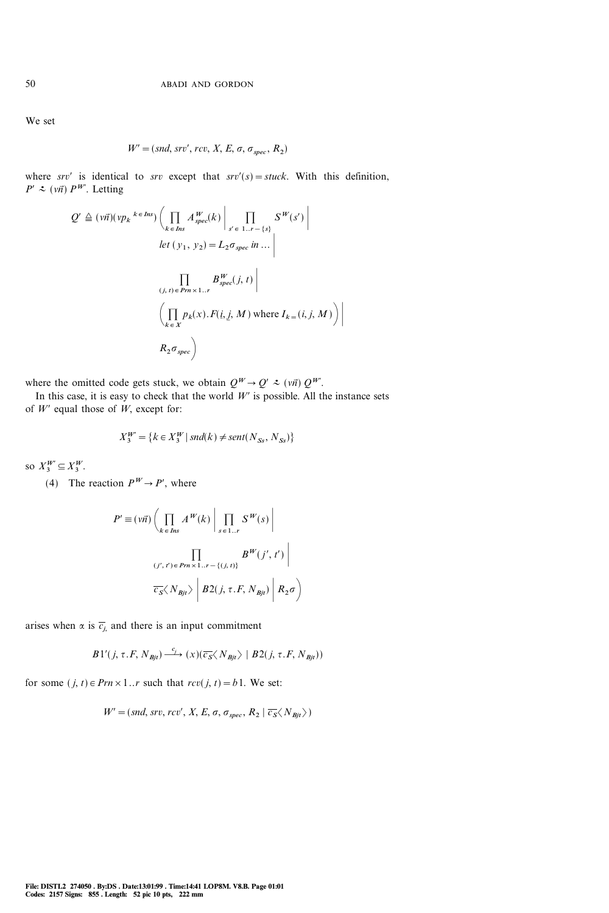We set

$$
W' = (snd, src', rcv, X, E, \sigma, \sigma_{spec}, R_2)
$$

where srv' is identical to srv except that  $srv'(s) = stuck$ . With this definition,  $P' \sim (v\vec{n}) P^{W'}$ . Letting

$$
Q' \triangleq (v\vec{n})(vp_k^{k \in Ins}) \left( \prod_{k \in Ins} A_{spec}^W(k) \Big| \prod_{s' \in 1..r - \{s\}} S^W(s') \Big|
$$
  

$$
let (y_1, y_2) = L_2 \sigma_{spec} in ...
$$
  

$$
\prod_{(j, t) \in Prn \times 1..r} B^W_{spec}(j, t) \Big|
$$
  

$$
\left( \prod_{k \in X} p_k(x).F(\underline{i}, \underline{j}, M) \text{ where } I_{k} = (i, j, M) \right)
$$
  

$$
R_2 \sigma_{spec}
$$

where the omitted code gets stuck, we obtain  $Q^W \rightarrow Q' \stackrel{\sim}{\sim} (v\vec{n}) Q^{W'}$ .

In this case, it is easy to check that the world  $W'$  is possible. All the instance sets of  $W'$  equal those of  $W$ , except for:

$$
X_3^{W'} = \{k \in X_3^W \mid \text{snd}(k) \neq \text{sent}(N_{S\circ}, N_{S\circ})\}
$$

so  $X_3^{W'} \subseteq X_3^W$ .

(4) The reaction  $P^W \rightarrow P'$ , where

$$
P' \equiv (v\vec{n}) \left( \prod_{k \in Ins} A^W(k) \middle| \prod_{s \in 1..r} S^W(s) \middle| \prod_{s \in 1..r} S^W(s) \middle| \prod_{(j',\,t') \in Pm \times 1..r - \{(j,\,t)\}} B^W(j',\,t') \middle| \right)
$$

$$
\overline{c_S} \langle N_{Bjt} \rangle \left| B2(j,\,\tau.\,F,\,N_{Bjt}) \right| R_2 \sigma \right)
$$

arises when  $\alpha$  is  $\overline{c_j}$ , and there is an input commitment

$$
B1'(j, \tau.F, N_{Bjt}) \xrightarrow{c_j} (x)(\overline{c_s} \langle N_{Bjt} \rangle \mid B2(j, \tau.F, N_{Bjt}))
$$

for some  $(j, t) \in Prn \times 1..r$  such that  $rcv(j, t) = b1$ . We set:

$$
W' = (snd, src, rcv', X, E, \sigma, \sigma_{spec}, R_2 | \overline{c_s} \langle N_{Bjt} \rangle)
$$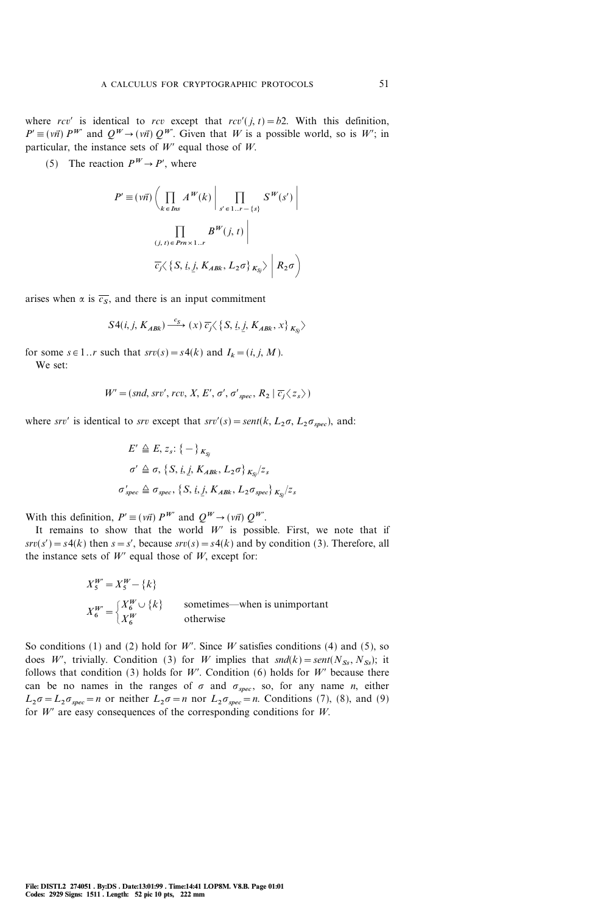where rcv' is identical to rcv except that  $rcv'(j, t) = b2$ . With this definition,  $P' \equiv (v\vec{n}) P^{W'}$  and  $Q^W \rightarrow (v\vec{n}) Q^{W'}$ . Given that W is a possible world, so is W'; in particular, the instance sets of  $W'$  equal those of  $W$ .

(5) The reaction  $P^W \rightarrow P'$ , where

$$
P' \equiv (v\vec{n}) \left( \prod_{k \in Ins} A^{W}(k) \Big| \prod_{s' \in 1..r - \{s\}} S^{W}(s') \Big|
$$
  

$$
\prod_{(j, t) \in Prn \times 1..r} B^{W}(j, t) \Big|
$$
  

$$
\overline{c_{j}} \left\langle \{S, \underline{i}, \underline{j}, K_{ABk}, L_{2} \sigma \} \right\rangle_{K_{Sj}} \right\rangle \Big| R_{2} \sigma \Big)
$$

arises when  $\alpha$  is  $\overline{c_s}$ , and there is an input commitment

$$
S4(i,j, K_{ABk}) \xrightarrow{c_S} (x) \overline{c_j} \langle \{S, \underline{i}, \underline{j}, K_{ABk}, x\} \rangle_{K_{Sj}} \rangle
$$

for some  $s \in 1..r$  such that  $srv(s) = s4(k)$  and  $I_k = (i, j, M)$ . We set:

$$
W' = (snd, src', rcv, X, E', \sigma', \sigma'_{spec}, R_2 | \overline{c_j} \langle z_s \rangle)
$$

where srv' is identical to srv except that  $srv'(s) = sent(k, L_2\sigma, L_2\sigma_{spec})$ , and:

$$
E' \triangleq E, z_s: \{-\}_{K_{Sj}}
$$
  
\n
$$
\sigma' \triangleq \sigma, \{S, i, j, K_{ABk}, L_2 \sigma\}_{K_{Sj}}/z_s
$$
  
\n
$$
\sigma'_{spec} \triangleq \sigma_{spec}, \{S, i, j, K_{ABk}, L_2 \sigma_{spec}\}_{K_{Sj}}/z_s
$$

With this definition,  $P' \equiv (v\vec{n}) P^{W'}$  and  $Q^W \rightarrow (v\vec{n}) Q^{W'}$ .

It remains to show that the world  $W'$  is possible. First, we note that if  $srv(s') = s4(k)$  then  $s = s'$ , because  $srv(s) = s4(k)$  and by condition (3). Therefore, all the instance sets of  $W'$  equal those of  $W$ , except for:

$$
X_5^{W'} = X_5^{W} - \{k\}
$$
  
\n
$$
X_6^{W'} = \begin{cases} X_6^{W} \cup \{k\} & \text{sometimes—when is unimportant} \\ X_6^{W'} & \text{otherwise} \end{cases}
$$

So conditions (1) and (2) hold for W'. Since W satisfies conditions (4) and (5), so does W', trivially. Condition (3) for W implies that  $\text{snd}(k) = \text{sent}(N_{S_s}, N_{S_s})$ ; it follows that condition (3) holds for W'. Condition (6) holds for W' because there can be no names in the ranges of  $\sigma$  and  $\sigma_{spec}$ , so, for any name *n*, either  $L_2\sigma = L_2\sigma_{spec} = n$  or neither  $L_2\sigma = n$  nor  $L_2\sigma_{spec} = n$ . Conditions (7), (8), and (9) for  $W'$  are easy consequences of the corresponding conditions for  $W$ .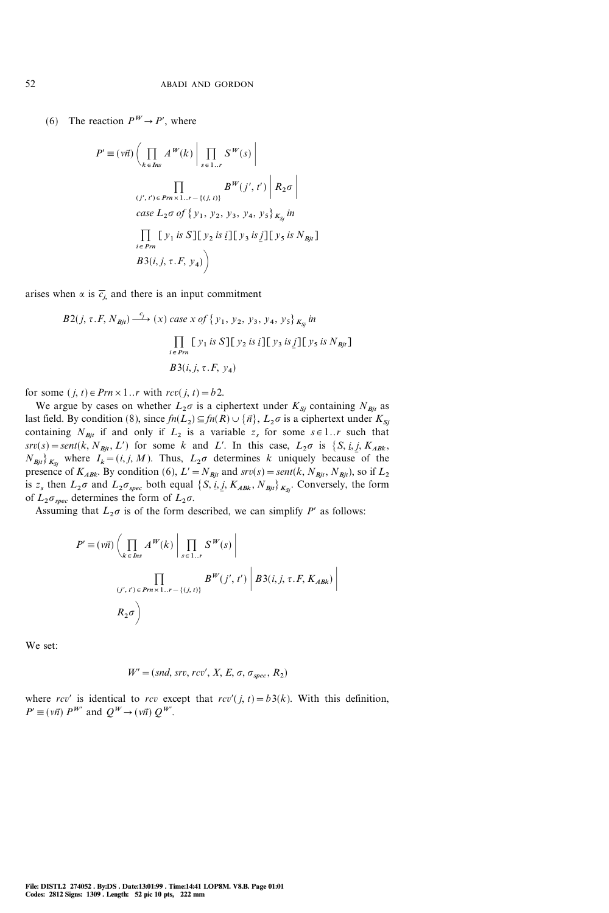(6) The reaction  $P^W \rightarrow P'$ , where

$$
P' \equiv (v\vec{n}) \left( \prod_{k \in Ins} A^W(k) \middle| \prod_{s \in 1..r} S^W(s) \middle| \prod_{s \in 1..r} B^W(j', t') \middle| R_2 \sigma \middle| \prod_{(j',\,t') \in Prn \times 1..r - \{(j,t)\}} B^W(j',\,t') \middle| R_2 \sigma \middle| \right)
$$
  
*case*  $L_2 \sigma$  *of*  $\{y_1, y_2, y_3, y_4, y_5\} \, K_{sj}$  *in*  

$$
\prod_{i \in Prn} [y_1 \, is \, S] [y_2 \, is \, i] [y_3 \, is \, j] [y_5 \, is \, N_{Bjt}]
$$

$$
B3(i, j, \tau. F, y_4)
$$

arises when  $\alpha$  is  $\overline{c_i}$  and there is an input commitment

$$
B2(j, \tau.F, N_{Bjt}) \xrightarrow{c_j} (x) \text{ case } x \text{ of } \{y_1, y_2, y_3, y_4, y_5\}_{K_{Sj}} \text{ in}
$$
\n
$$
\prod_{i \in Prn} [y_1 \text{ is } S][y_2 \text{ is } i][y_3 \text{ is } j][y_5 \text{ is } N_{Bjt}]
$$
\n
$$
B3(i, j, \tau.F, y_4)
$$

for some  $(j, t) \in Prn \times 1..r$  with  $rcv(j, t)=b2$ .

We argue by cases on whether  $L_2\sigma$  is a ciphertext under  $K_{S_i}$  containing  $N_{Bit}$  as last field. By condition (8), since  $fn(L_2) \subseteq fn(R) \cup \{\vec{n}\}, L_2\sigma$  is a ciphertext under  $K_{Si}$ containing  $N_{Bjt}$  if and only if  $L_2$  is a variable  $z_s$  for some  $s \in 1..r$  such that  $srv(s) = sent(k, N_{Bjt}, L')$  for some k and L'. In this case,  $L_2\sigma$  is  $\{S, i, j, K_{ABk}, K_{ABk}\}$ ֖֖֖ׅׅ֚֚֚֚֚֚֚֚֚֚֚֚֚֚֚֚֚֚֚֚֚֚֚֚֚֚֚֬֡֡֓֡֞֡֡֡֓֡  $(N_{\text{Bjt}})_{K_{\text{Sj}}}$  where  $I_k = (i, j, M)$ . Thus,  $L_2\sigma$  determines k uniquely because of the presence of  $K_{ABk}$ . By condition (6),  $L' = N_{Bit}$  and srv(s) = sent(k,  $N_{Bit}$ ,  $N_{Bit}$ ), so if  $L_2$ is  $z_s$  then  $L_2\sigma$  and  $L_2\sigma_{spec}$  both equal  $\{S, i, j, K_{ABk}, N_{Bjt}\}_{K_{Sj}}$ . Conversely, the form İ ֺ֝֡ of  $L_2\sigma_{spec}$  determines the form of  $L_2\sigma$ .

Assuming that  $L_2\sigma$  is of the form described, we can simplify P' as follows:

$$
P' \equiv (v\vec{n}) \left( \prod_{k \in Ins} A^W(k) \middle| \prod_{s \in 1..r} S^W(s) \middle| \prod_{s \in 1..r} S^W(s) \middle| \prod_{(j',t') \in Prm \times 1..r - \{(j,t)\}} B^W(j',t') \middle| B3(i,j,\tau.F, K_{ABk}) \middle| \right)
$$
  

$$
R_2 \sigma \right)
$$

We set:

$$
W' = (snd, src, rcv', X, E, \sigma, \sigma_{spec}, R_2)
$$

where rcv' is identical to rcv except that  $rcv'(j, t)=b3(k)$ . With this definition,  $P' \equiv (v\vec{n}) P^{W'}$  and  $Q^W \rightarrow (v\vec{n}) Q^{W'}$ .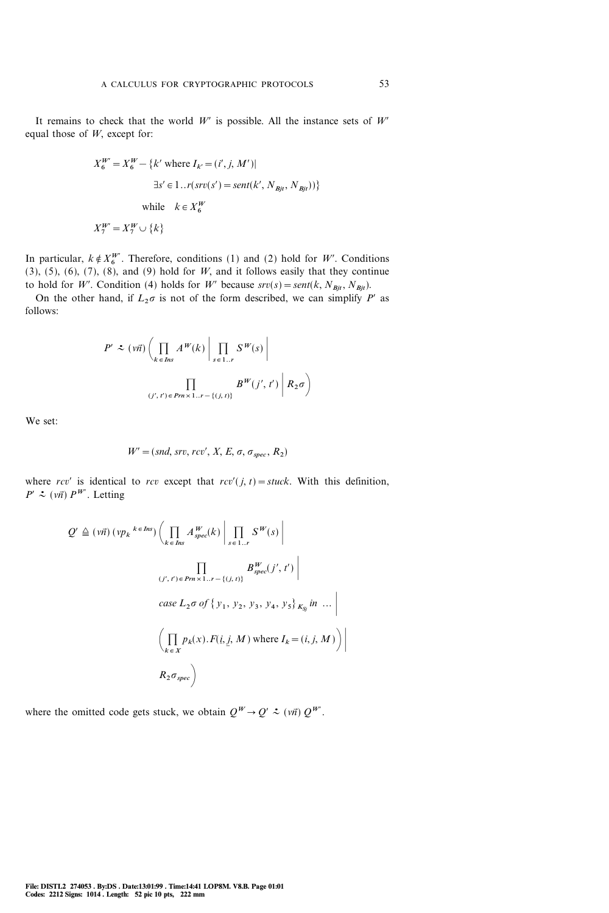It remains to check that the world  $W'$  is possible. All the instance sets of  $W'$ equal those of  $W$ , except for:

$$
X_6^{W'} = X_6^W - \{k' \text{ where } I_{k'} = (i', j, M')|
$$
  

$$
\exists s' \in 1..r(srv(s') = sent(k', N_{Bjt}, N_{Bjt}))\}
$$
  
while  $k \in X_6^W$   

$$
X_7^{W'} = X_7^W \cup \{k\}
$$

In particular,  $k \notin X_6^W$ . Therefore, conditions (1) and (2) hold for W'. Conditions  $(3)$ ,  $(5)$ ,  $(6)$ ,  $(7)$ ,  $(8)$ , and  $(9)$  hold for  $W$ , and it follows easily that they continue to hold for W'. Condition (4) holds for W' because  $srv(s)=sent(k, N_{Bit}, N_{Bit})$ .

On the other hand, if  $L_2\sigma$  is not of the form described, we can simplify P' as follows:

$$
P' \sim (\nu \vec{n}) \left( \prod_{k \in \text{Ins}} A^W(k) \middle| \prod_{s \in 1..r} S^W(s) \middle| \prod_{s \in 1..r} B^W(j', t') \middle| R_2 \sigma \right)
$$
  

$$
(j', t') \in \text{Prn} \times 1..r - \{(j, t)\}
$$

We set:

$$
W' = (snd, src, rcv', X, E, \sigma, \sigma_{spec}, R_2)
$$

where rcv' is identical to rcv except that  $rcv' ( j, t) = stuck$ . With this definition,  $P' \sim (v\vec{n}) P^{W'}$ . Letting

$$
Q' \triangleq (v\vec{n}) (v p_k^{k \in Ims}) \left( \prod_{k \in Ims} A_{spec}^{W}(k) \Big| \prod_{s \in 1..r} S^{W}(s) \Big|
$$
  

$$
\prod_{(j',\,r') \in Pm \times 1..r - \{(j,\,t)\}} B_{spec}^{W}(j',\,t') \Big|
$$
  
*case*  $L_2 \sigma$  *of* {  $y_1$ ,  $y_2$ ,  $y_3$ ,  $y_4$ ,  $y_5$ }  $\underset{K_S}{\times} \underset{m}{m} \cdots$   

$$
\left( \prod_{k \in X} p_k(x). F(\underline{i}, \underline{j}, M) \text{ where } I_k = (i, j, M) \right)
$$
  
 $R_2 \sigma_{spec}$ 

where the omitted code gets stuck, we obtain  $Q^W \rightarrow Q' \stackrel{*}{\sim} (v\vec{n}) Q^W$ .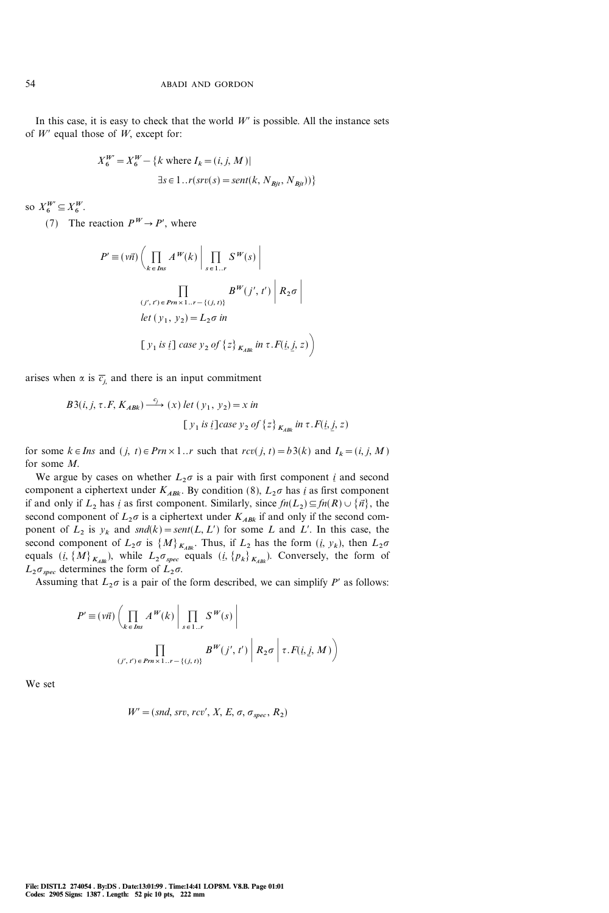In this case, it is easy to check that the world  $W'$  is possible. All the instance sets of  $W'$  equal those of  $W$ , except for:

$$
X_6^{W'} = X_6^{W} - \{k \text{ where } I_k = (i, j, M) |
$$
  

$$
\exists s \in 1.. r(srv(s) = sent(k, N_{Bjt}, N_{Bjt}))\}
$$

so  $X_6^{W'} \subseteq X_6^W$ .

(7) The reaction  $P^W \rightarrow P'$ , where

$$
P' \equiv (v\vec{n}) \left( \prod_{k \in Ins} A^W(k) \middle| \prod_{s \in 1..r} S^W(s) \middle| \prod_{s \in 1..r} B^W(j', t') \middle| R_2 \sigma \right)
$$
  

$$
\prod_{(j',\,r') \in Prn \times 1..r - \{(j, t)\}} B^W(j', t') \middle| R_2 \sigma \right)
$$
  
let  $(y_1, y_2) = L_2 \sigma$  in  

$$
[y_1 \text{ is } i] \text{ case } y_2 \text{ of } \{z\}_{K_{ABk}} \text{ in } \tau \cdot F(i, j, z)
$$

arises when  $\alpha$  is  $\overline{c_i}$  and there is an input commitment

$$
B3(i, j, \tau.F, K_{ABk}) \xrightarrow{c_j} (x) \text{ let } (y_1, y_2) = x \text{ in}
$$
  
[ $y_1 \text{ is } i \text{]} \text{case } y_2 \text{ of } \{z\}_{K_{ABk}} \text{ in } \tau.F(i, j, z)$ 

for some  $k \in Ins$  and  $(j, t) \in Prn \times 1..r$  such that  $rcv(j, t)=b3(k)$  and  $I_k=(i, j, M)$ for some M.

We argue by cases on whether  $L_2\sigma$  is a pair with first component *i* and second component a ciphertext under  $K_{ABk}$ . By condition (8),  $L_2\sigma$  has *i* as first component ֚֚֕ if and only if  $L_2$  has *i* as first component. Similarly, since  $fn(L_2) \subseteq fn(R) \cup \{\vec{n}\}\$ , the I second component of  $L_2\sigma$  is a ciphertext under  $K_{ABk}$  if and only if the second component of  $L_2$  is  $y_k$  and  $\text{snd}(k) = \text{sent}(L, L')$  for some L and L'. In this case, the second component of  $L_2\sigma$  is  $\{M\}_{K_{ABk}}$ . Thus, if  $L_2$  has the form  $(i, y_k)$ , then  $L_2\sigma$  equals  $(i, \{M\}_{K_{ABk}})$ , while  $L_2\sigma_{spec}$  equals  $(i, \{p_k\}_{K_{ABk}})$ . Conversely, the form of i  $L_2\sigma_{spec}$  determines the form of  $L_2\sigma$ .

Assuming that  $L_2\sigma$  is a pair of the form described, we can simplify P' as follows:

$$
P' \equiv (v\vec{n}) \left( \prod_{k \in Ins} A^W(k) \middle| \prod_{s \in 1..r} S^W(s) \middle| \prod_{s \in 1..r} S^W(s) \middle| \prod_{s \in 1..r} B^W(j',t') \middle| R_2 \sigma \middle| \tau.F(\underline{i},\underline{j},M) \right)
$$

We set

$$
W' = (snd, src, rcv', X, E, \sigma, \sigma_{spec}, R_2)
$$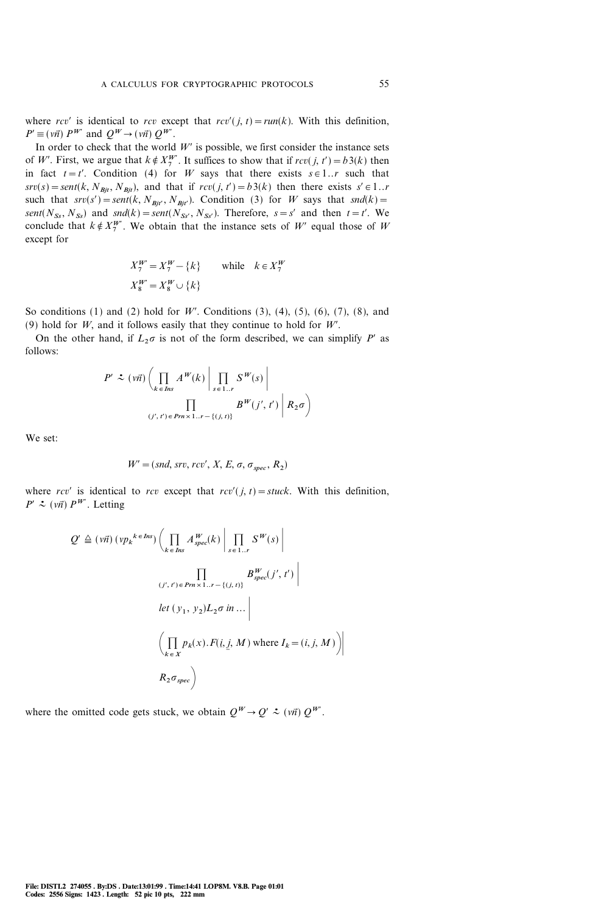where rcv' is identical to rcv except that  $rcv'(j, t) = run(k)$ . With this definition,  $P' \equiv (v\vec{n}) P^{W'}$  and  $Q^W \rightarrow (v\vec{n}) Q^W$ .

In order to check that the world  $W'$  is possible, we first consider the instance sets of W'. First, we argue that  $k \notin X_7^W$ . It suffices to show that if  $rcv(j, t') = b3(k)$  then in fact  $t = t'$ . Condition (4) for W says that there exists  $s \in 1..r$  such that  $srv(s) = sent(k, N_{Bit}, N_{Bit})$ , and that if  $rcv(j, t') = b3(k)$  then there exists  $s' \in 1..r$ such that  $srv(s') = sent(k, N_{Bjt'}, N_{Bjt'})$ . Condition (3) for W says that  $snd(k) =$ sent( $N_{S_s}$ ,  $N_{S_s}$ ) and snd(k) = sent( $N_{S_s}$ ,  $N_{S_s}$ ). Therefore,  $s=s'$  and then  $t=t'$ . We conclude that  $k \notin X^W$ . We obtain that the instance sets of W' equal those of W except for

$$
X_7^{W'} = X_7^{W} - \{k\}
$$
 while  $k \in X_7^{W}$   

$$
X_8^{W'} = X_8^{W} \cup \{k\}
$$

So conditions (1) and (2) hold for  $W'$ . Conditions (3), (4), (5), (6), (7), (8), and (9) hold for W, and it follows easily that they continue to hold for  $W'$ .

On the other hand, if  $L_2\sigma$  is not of the form described, we can simplify P' as follows:

$$
P' \sim (\nu \vec{n}) \left( \prod_{k \in \text{Ins}} A^W(k) \middle| \prod_{s \in 1..r} S^W(s) \middle| \prod_{s \in 1..r} B^W(j', t') \middle| R_2 \sigma \right)
$$
  

$$
\prod_{(j',t') \in \text{Prn} \times 1..r - \{(j, t)\}}
$$

We set:

$$
W' = (snd, src, rcv', X, E, \sigma, \sigma_{spec}, R_2)
$$

where rcv' is identical to rcv except that  $rcv' ( j, t) = stuck$ . With this definition,  $P' \sim (v\vec{n}) P^{W'}$ . Letting

$$
Q' \triangleq (v\vec{n}) (vp_k^{k \in Ins}) \left( \prod_{k \in Ins} A_{spec}^W(k) \Big| \prod_{s \in 1..r} S^W(s) \Big|
$$
  

$$
\prod_{(j',\,t') \in Prn \times 1..r - \{(j,\,t)\}} B_{spec}^W(j',\,t') \Big|
$$
  
let  $(y_1, y_2) L_2 \sigma \text{ in } ... \Big|$   

$$
\left( \prod_{k \in X} p_k(x).F(\underline{i}, \underline{j}, M) \text{ where } I_k = (i, j, M) \right)
$$
  
 $R_2 \sigma_{spec}$ 

where the omitted code gets stuck, we obtain  $Q^W \rightarrow Q' \stackrel{*}{\sim} (v\vec{n}) Q^W$ .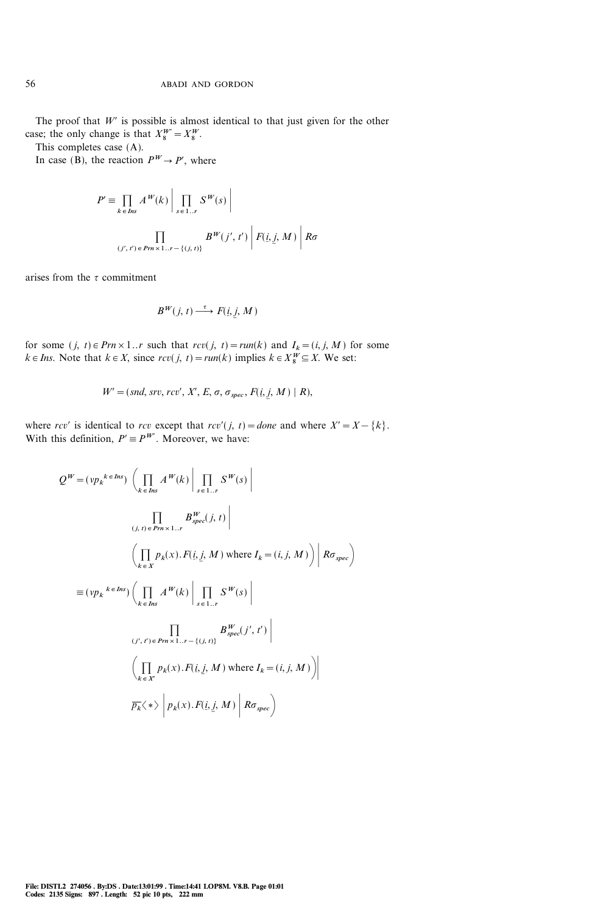The proof that  $W'$  is possible is almost identical to that just given for the other case; the only change is that  $X_8^W = X_8^W$ .

This completes case (A).

In case (B), the reaction  $P^W \rightarrow P'$ , where

$$
P' \equiv \prod_{k \in Ins} A^{W}(k) \left| \prod_{s \in 1..r} S^{W}(s) \right|
$$
  

$$
\prod_{(j',\,t') \in Prm \times 1..r - \{(j,\,t)\}} B^{W}(j',\,t') \left| F(i,\underline{j},M) \right| R\sigma
$$

arises from the  $\tau$  commitment

$$
B^W(j, t) \xrightarrow{\tau} F(\underline{i}, \underline{j}, M)
$$

Ì

for some  $(j, t) \in Prn \times 1..r$  such that  $rcv(j, t)=run(k)$  and  $I_k=(i, j, M)$  for some  $k \in Ins$ . Note that  $k \in X$ , since  $rcv(j, t) = run(k)$  implies  $k \in X_{8}^{W} \subseteq X$ . We set:

$$
W' = (snd, src, rcv', X', E, \sigma, \sigma_{spec}, F(i, \underline{j}, M) \mid R),
$$

where rcv' is identical to rcv except that  $rcv'(j, t) = done$  and where  $X' = X - \{k\}.$ With this definition,  $P' \equiv P^{W'}$ . Moreover, we have:

$$
Q^{W} = (\nu p_{k}{}^{k \in Ins}) \left( \prod_{k \in Ins} A^{W}(k) \Big| \prod_{s \in 1..r} S^{W}(s) \Big|
$$
  

$$
\prod_{(j, t) \in Prn \times 1..r} B^{W}_{spec}(j, t) \Big|
$$
  

$$
\left( \prod_{k \in X} p_{k}(x) . F(\underline{i}, \underline{j}, M) \text{ where } I_{k} = (i, j, M) \right) \Big| R \sigma_{spec} \right)
$$
  

$$
\equiv (\nu p_{k}{}^{k \in Ins}) \left( \prod_{k \in Ins} A^{W}(k) \Big| \prod_{s \in 1..r} S^{W}(s) \Big|
$$
  

$$
(j', t') \in Prn \times 1..r - \{(j, t)\}
$$
  

$$
\left( \prod_{k \in X} p_{k}(x) . F(\underline{i}, \underline{j}, M) \text{ where } I_{k} = (i, j, M) \right)
$$
  

$$
\overline{p_{k}} \Big\langle * \Big\rangle \Big| p_{k}(x) . F(\underline{i}, \underline{j}, M) \Big| R \sigma_{spec} \Big)
$$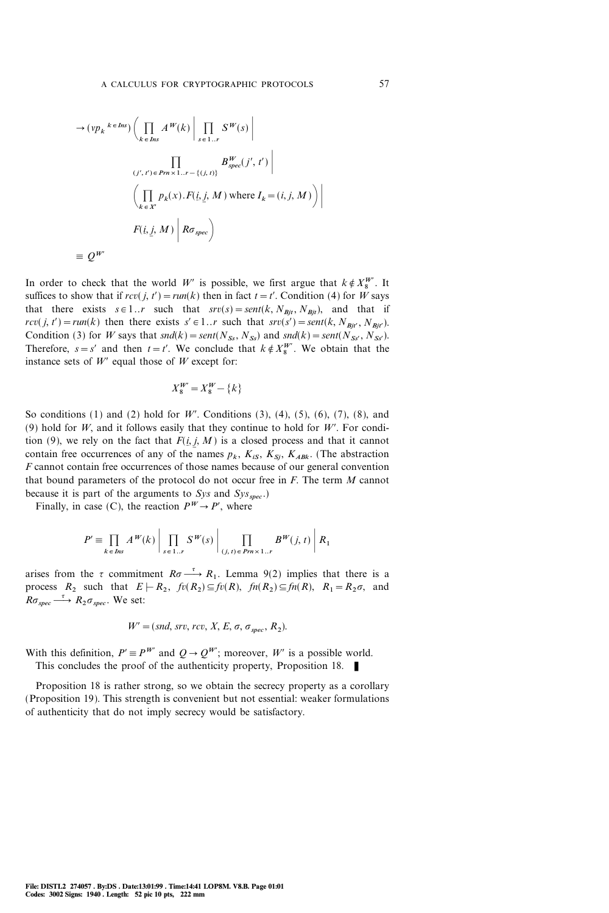$$
\rightarrow (vp_k^{k \in Ins}) \left( \prod_{k \in Ins} A^{W}(k) \middle| \prod_{s \in 1..r} S^{W}(s) \middle| \prod_{s \in 1..r} S^{W}(s) \middle| \prod_{(j',\,t') \in Prn \times 1..r - \{(j,\,t)\}} B^{W}_{spec}(j',\,t') \middle| \right)
$$

$$
\left( \prod_{k \in X'} p_k(x).F(\underline{i},\underline{j},M) \text{ where } I_k = (i,j,M) \right) \middle|
$$

$$
F(\underline{i},\underline{j},M) \middle| R\sigma_{spec} \right)
$$

$$
\equiv Q^{W'}
$$

In order to check that the world W' is possible, we first argue that  $k \notin X_8^{W}$ . It suffices to show that if  $rcv(j, t') = run(k)$  then in fact  $t = t'$ . Condition (4) for W says that there exists  $s \in 1..r$  such that  $srv(s) = sent(k, N_{Bjt}, N_{Bjt})$ , and that if  $rcv(j, t') = run(k)$  then there exists  $s' \in 1..r$  such that  $srv(s') = sent(k, N_{Bit}, N_{Bit})$ . Condition (3) for W says that  $\text{snd}(k) = \text{sent}(N_{S_s}, N_{S_s})$  and  $\text{snd}(k) = \text{sent}(N_{S_s}, N_{S_s}).$ Therefore,  $s = s'$  and then  $t = t'$ . We conclude that  $k \notin X_8^W$ . We obtain that the instance sets of  $W'$  equal those of  $W$  except for:

$$
X_8^{W'} = X_8^{W} - \{k\}
$$

So conditions (1) and (2) hold for  $W'$ . Conditions (3), (4), (5), (6), (7), (8), and (9) hold for W, and it follows easily that they continue to hold for  $W'$ . For condition (9), we rely on the fact that  $F(i, j, M)$  is a closed process and that it cannot ׇ֞֘֝ ֞֘֝֬֝ contain free occurrences of any of the names  $p_k$ ,  $K_{iS}$ ,  $K_{Si}$ ,  $K_{ABk}$ . (The abstraction F cannot contain free occurrences of those names because of our general convention that bound parameters of the protocol do not occur free in  $F$ . The term  $M$  cannot because it is part of the arguments to  $Sys_{spec}$ .)

Finally, in case (C), the reaction  $P^W \rightarrow P'$ , where

$$
P' \equiv \prod_{k \in \text{Ins}} A^W(k) \left| \prod_{s \in 1..r} S^W(s) \right| \prod_{(j, t) \in \text{Prn} \times 1..r} B^W(j, t) \left| R_1 \right|
$$

arises from the  $\tau$  commitment  $R\sigma \stackrel{\tau}{\longrightarrow} R_1$ . Lemma 9(2) implies that there is a process  $R_2$  such that  $E \mid R_2$ ,  $fv(R_2) \subseteq fv(R)$ ,  $fn(R_2) \subseteq fn(R)$ ,  $R_1 = R_2\sigma$ , and  $R\sigma_{spec} \xrightarrow{\tau} R_2\sigma_{spec}$ . We set:

$$
W' = (snd, src, rcv, X, E, \sigma, \sigma_{spec}, R_2).
$$

With this definition,  $P' \equiv P^{W'}$  and  $Q \rightarrow Q^{W'}$ ; moreover, W' is a possible world. This concludes the proof of the authenticity property, Proposition 18.  $\blacksquare$ 

Proposition 18 is rather strong, so we obtain the secrecy property as a corollary (Proposition 19). This strength is convenient but not essential: weaker formulations of authenticity that do not imply secrecy would be satisfactory.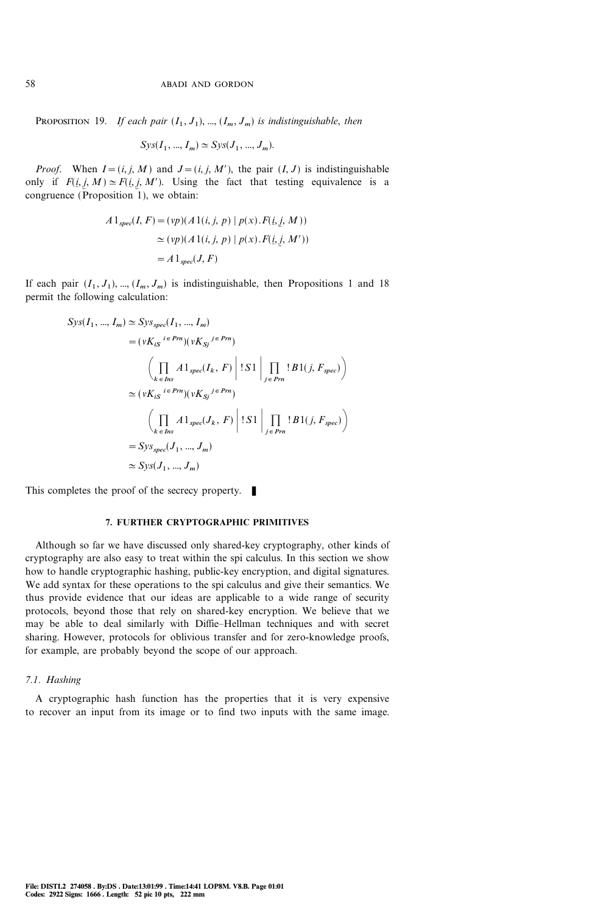PROPOSITION 19. If each pair  $(I_1, J_1)$ , ...,  $(I_m, J_m)$  is indistinguishable, then

$$
Sys(I_1, ..., I_m) \simeq Sys(J_1, ..., J_m).
$$

*Proof.* When  $I = (i, j, M)$  and  $J = (i, j, M')$ , the pair  $(I, J)$  is indistinguishable only if  $F(i, j, M) \simeq F(i, j, M')$ . Using the fact that testing equivalence is a İ i ֺ֝֡ congruence (Proposition 1), we obtain:

$$
A1_{spec}(I, F) = (vp)(A1(i,j, p) | p(x).F(i,j, M))
$$

$$
\simeq (vp)(A1(i,j, p) | p(x).F(i,j, M'))
$$

$$
= A1_{spec}(J, F)
$$

If each pair  $(I_1, J_1)$ , ...,  $(I_m, J_m)$  is indistinguishable, then Propositions 1 and 18 permit the following calculation:

$$
Sys(I_1, ..., I_m) \simeq Sys_{spec}(I_1, ..., I_m)
$$
  
\n
$$
= (vK_{iS}^{i \in Prn})(vK_{Sj}^{j \in Prn})
$$
  
\n
$$
\left(\prod_{k \in Ins} A 1_{spec}(I_k, F)\right) \cdot S1 \Big| \prod_{j \in Prn} B1(j, F_{spec})\right)
$$
  
\n
$$
\simeq (vK_{iS}^{i \in Prn})(vK_{Sj}^{j \in Prn})
$$
  
\n
$$
\left(\prod_{k \in Ins} A 1_{spec}(J_k, F)\right) \cdot S1 \Big| \prod_{j \in Prn} B1(j, F_{spec})\right)
$$
  
\n
$$
= Sys_{spec}(J_1, ..., J_m)
$$
  
\n
$$
\simeq Sys(J_1, ..., J_m)
$$

This completes the proof of the secrecy property.  $\blacksquare$ 

#### 7. FURTHER CRYPTOGRAPHIC PRIMITIVES

Although so far we have discussed only shared-key cryptography, other kinds of cryptography are also easy to treat within the spi calculus. In this section we show how to handle cryptographic hashing, public-key encryption, and digital signatures. We add syntax for these operations to the spi calculus and give their semantics. We thus provide evidence that our ideas are applicable to a wide range of security protocols, beyond those that rely on shared-key encryption. We believe that we may be able to deal similarly with Diffie-Hellman techniques and with secret sharing. However, protocols for oblivious transfer and for zero-knowledge proofs, for example, are probably beyond the scope of our approach.

#### 7.1. Hashing

A cryptographic hash function has the properties that it is very expensive to recover an input from its image or to find two inputs with the same image.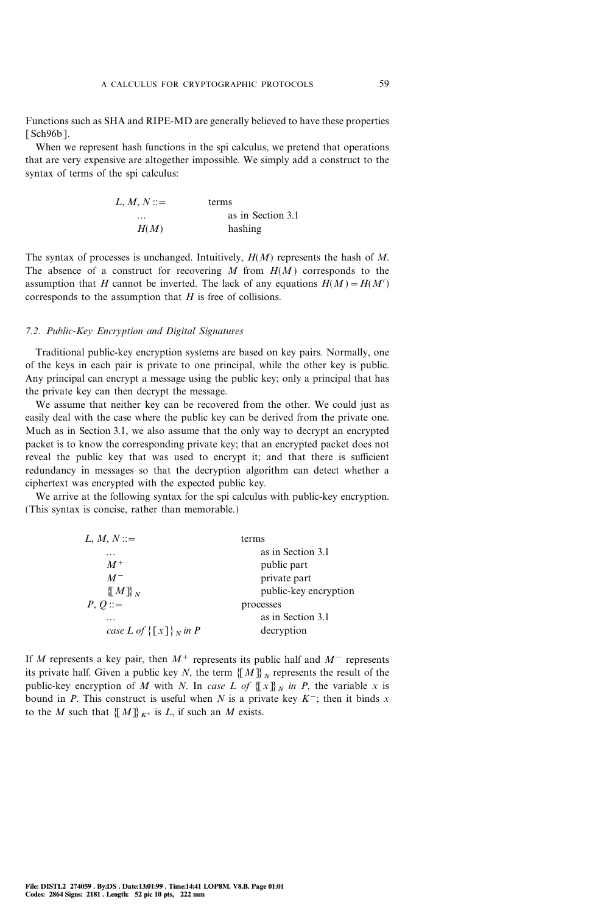Functions such as SHA and RIPE-MD are generally believed to have these properties [Sch96b].

When we represent hash functions in the spi calculus, we pretend that operations that are very expensive are altogether impossible. We simply add a construct to the syntax of terms of the spi calculus:

> L,  $M, N ::=$  terms as in Section 3.1  $H(M)$  hashing

The syntax of processes is unchanged. Intuitively,  $H(M)$  represents the hash of M. The absence of a construct for recovering  $M$  from  $H(M)$  corresponds to the assumption that H cannot be inverted. The lack of any equations  $H(M) = H(M')$ corresponds to the assumption that  $H$  is free of collisions.

#### 7.2. Public-Key Encryption and Digital Signatures

Traditional public-key encryption systems are based on key pairs. Normally, one of the keys in each pair is private to one principal, while the other key is public. Any principal can encrypt a message using the public key; only a principal that has the private key can then decrypt the message.

We assume that neither key can be recovered from the other. We could just as easily deal with the case where the public key can be derived from the private one. Much as in Section 3.1, we also assume that the only way to decrypt an encrypted packet is to know the corresponding private key; that an encrypted packet does not reveal the public key that was used to encrypt it; and that there is sufficient redundancy in messages so that the decryption algorithm can detect whether a ciphertext was encrypted with the expected public key.

We arrive at the following syntax for the spi calculus with public-key encryption. (This syntax is concise, rather than memorable.)

| L, $M, N ::=$                         | terms                 |
|---------------------------------------|-----------------------|
| $\cdots$                              | as in Section 3.1     |
| $M^+$                                 | public part           |
| $M^-$                                 | private part          |
| ${M_N \brack N}$                      | public-key encryption |
| $P, Q ::=$                            | processes             |
| .                                     | as in Section 3.1     |
| case L of $\left\{ [x] \right\}$ in P | decryption            |

If M represents a key pair, then  $M^+$  represents its public half and  $M^-$  represents its private half. Given a public key N, the term  $\{[M]\}_N$  represents the result of the public-key encryption of M with N. In case L of  $\{[x]\}_N$  in P, the variable x is bound in P. This construct is useful when N is a private key  $K^-$ ; then it binds x to the M such that  $\{[M]\}_{K^+}$  is L, if such an M exists.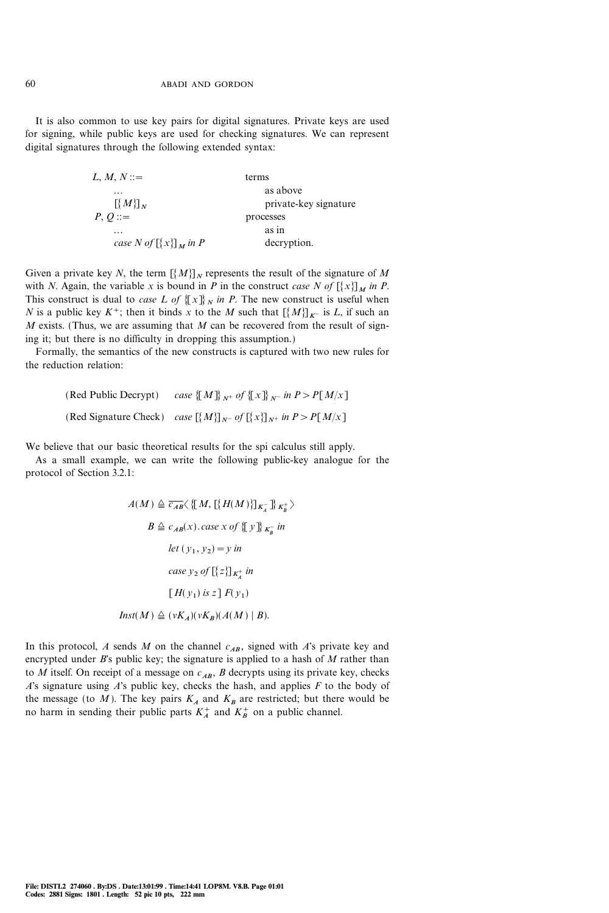It is also common to use key pairs for digital signatures. Private keys are used for signing, while public keys are used for checking signatures. We can represent digital signatures through the following extended syntax:

| $L, M, N ::=$                | terms                 |
|------------------------------|-----------------------|
| $\cdots$                     | as above              |
| $\left[\right\{M\right\}]_N$ | private-key signature |
| $P, Q ::=$                   | processes             |
| $\cdots$                     | as in                 |
| case N of $[\{x\}]_M$ in P   | decryption.           |

Given a private key N, the term  $\left[\right\{M\right\}]_N$  represents the result of the signature of M with N. Again, the variable x is bound in P in the construct case N of  $[\{x\}]_M$  in P. This construct is dual to *case L of*  $\{x\}_N$  in P. The new construct is useful when N is a public key  $K^+$ ; then it binds x to the M such that  $\left[\{M\}\right]_{K^-}$  is L, if such an M exists. (Thus, we are assuming that M can be recovered from the result of signing it; but there is no difficulty in dropping this assumption.)

Formally, the semantics of the new constructs is captured with two new rules for the reduction relation:

| (Red Public Decrypt)  | $case \{ [M] \}_{N^+} of \{ [x] \}_{N^-} in P > P [M/x]$ |
|-----------------------|----------------------------------------------------------|
| (Red Signature Check) | $case \{ [M] \}_{N^-} of \{ [x] \}_{N^+} in P > P [M/x]$ |

We believe that our basic theoretical results for the spi calculus still apply.

As a small example, we can write the following public-key analogue for the protocol of Section 3.2.1:

$$
A(M) \triangleq \overline{c_{AB}} \langle \{ [M, [\{ H(M) \}]_{K_A^-} ] \} _{K_B^+} \rangle
$$
  
\n
$$
B \triangleq c_{AB}(x).case \space x \space of \{ [y] \} _{K_B^-} \space in
$$
  
\nlet  $(y_1, y_2) = y \space in$   
\n
$$
case \space y_2 \space of \{ \{ z \} \} _{K_A^+} \space in
$$
  
\n
$$
[H(y_1) \space is \space z] \space F(y_1)
$$
  
\n
$$
Inst(M) \triangleq (vK_A)(vK_B)(A(M) \mid B).
$$

In this protocol, A sends M on the channel  $c_{AB}$ , signed with A's private key and encrypted under  $B$ 's public key; the signature is applied to a hash of  $M$  rather than to M itself. On receipt of a message on  $c_{AB}$ , B decrypts using its private key, checks A's signature using A's public key, checks the hash, and applies  $F$  to the body of the message (to M). The key pairs  $K_A$  and  $K_B$  are restricted; but there would be no harm in sending their public parts  $K_A^+$  and  $K_B^+$  on a public channel.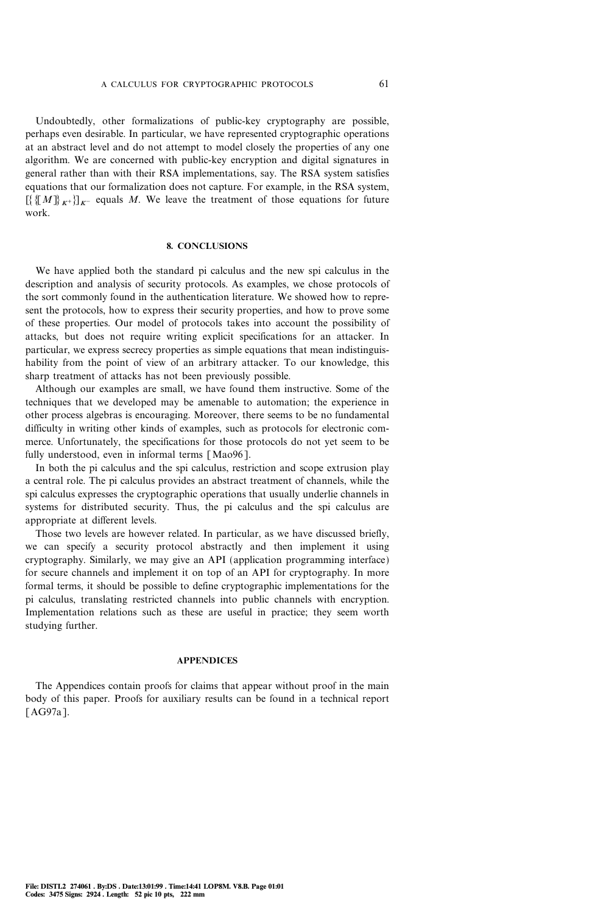Undoubtedly, other formalizations of public-key cryptography are possible, perhaps even desirable. In particular, we have represented cryptographic operations at an abstract level and do not attempt to model closely the properties of any one algorithm. We are concerned with public-key encryption and digital signatures in general rather than with their RSA implementations, say. The RSA system satisfies equations that our formalization does not capture. For example, in the RSA system,  $\left[\left\{\left\{\left\{M\right\}\right\}_{K^+}\right\}\right]_{K^-}$  equals M. We leave the treatment of those equations for future work.

#### 8. CONCLUSIONS

We have applied both the standard pi calculus and the new spi calculus in the description and analysis of security protocols. As examples, we chose protocols of the sort commonly found in the authentication literature. We showed how to represent the protocols, how to express their security properties, and how to prove some of these properties. Our model of protocols takes into account the possibility of attacks, but does not require writing explicit specifications for an attacker. In particular, we express secrecy properties as simple equations that mean indistinguishability from the point of view of an arbitrary attacker. To our knowledge, this sharp treatment of attacks has not been previously possible.

Although our examples are small, we have found them instructive. Some of the techniques that we developed may be amenable to automation; the experience in other process algebras is encouraging. Moreover, there seems to be no fundamental difficulty in writing other kinds of examples, such as protocols for electronic commerce. Unfortunately, the specifications for those protocols do not yet seem to be fully understood, even in informal terms [Mao96].

In both the pi calculus and the spi calculus, restriction and scope extrusion play a central role. The pi calculus provides an abstract treatment of channels, while the spi calculus expresses the cryptographic operations that usually underlie channels in systems for distributed security. Thus, the pi calculus and the spi calculus are appropriate at different levels.

Those two levels are however related. In particular, as we have discussed briefly, we can specify a security protocol abstractly and then implement it using cryptography. Similarly, we may give an API (application programming interface) for secure channels and implement it on top of an API for cryptography. In more formal terms, it should be possible to define cryptographic implementations for the pi calculus, translating restricted channels into public channels with encryption. Implementation relations such as these are useful in practice; they seem worth studying further.

#### APPENDICES

The Appendices contain proofs for claims that appear without proof in the main body of this paper. Proofs for auxiliary results can be found in a technical report [AG97a].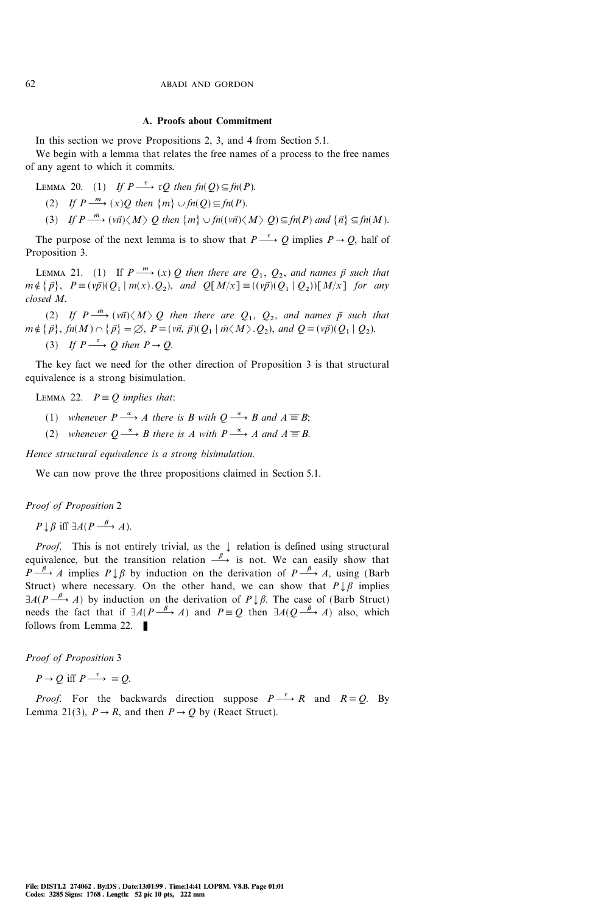## A. Proofs about Commitment

In this section we prove Propositions 2, 3, and 4 from Section 5.1.

We begin with a lemma that relates the free names of a process to the free names of any agent to which it commits.

LEMMA 20. (1) If  $P \xrightarrow{\tau} \tau Q$  then  $fn(Q) \subseteq fn(P)$ . (2) If  $P \xrightarrow{m} (x)Q$  then  $\{m\} \cup fn(Q) \subseteq fn(P)$ . (3) If  $P \xrightarrow{\bar{m}} (\nu \vec{n}) \langle M \rangle Q$  then  $\{m\} \cup \mathfrak{fn}((\nu \vec{n}) \langle M \rangle Q) \subseteq \mathfrak{fn}(P)$  and  $\{\vec{n}\} \subseteq \mathfrak{fn}(M)$ .

The purpose of the next lemma is to show that  $P \stackrel{\tau}{\longrightarrow} Q$  implies  $P \rightarrow Q$ , half of Proposition 3.

LEMMA 21. (1) If  $P \stackrel{m}{\longrightarrow} (x) Q$  then there are  $Q_1, Q_2$ , and names  $\vec{p}$  such that  $m \notin {\{\vec{p}\}}, P \equiv (v\vec{p})(Q_1 | m(x).Q_2)$ , and  $Q[M/x] \equiv ((v\vec{p})(Q_1 | Q_2)) [M/x]$  for any closed M.

(2) If  $P \stackrel{\bar{m}}{\longrightarrow} (\nu \vec{n}) \langle M \rangle Q$  then there are  $Q_1$ ,  $Q_2$ , and names  $\vec{p}$  such that  $m \notin {\{\vec{p}\}},$   $fn(M) \cap {\{\vec{p}\}} = \emptyset$ ,  $P \equiv (v\vec{n}, \vec{p})(Q_1 | \vec{m} \langle M \rangle \cdot Q_2)$ , and  $Q \equiv (v\vec{p})(Q_1 | Q_2)$ .

(3) If 
$$
P \xrightarrow{\tau} Q
$$
 then  $P \to Q$ .

The key fact we need for the other direction of Proposition 3 is that structural equivalence is a strong bisimulation.

LEMMA 22.  $P = Q$  implies that:

- (1) whenever  $P \stackrel{\alpha}{\longrightarrow} A$  there is B with  $Q \stackrel{\alpha}{\longrightarrow} B$  and  $A \equiv B$ ;
- (2) whenever  $Q \stackrel{\alpha}{\longrightarrow} B$  there is A with  $P \stackrel{\alpha}{\longrightarrow} A$  and  $A \equiv B$ .

Hence structural equivalence is a strong bisimulation.

We can now prove the three propositions claimed in Section 5.1.

Proof of Proposition 2

 $P \downarrow \beta$  iff  $\exists A(P \stackrel{\beta}{\longrightarrow} A).$ 

*Proof.* This is not entirely trivial, as the  $\downarrow$  relation is defined using structural equivalence, but the transition relation  $\stackrel{\beta}{\longrightarrow}$  is not. We can easily show that  $P \stackrel{\beta}{\longrightarrow} A$  implies  $P \downarrow \beta$  by induction on the derivation of  $P \stackrel{\beta}{\longrightarrow} A$ , using (Barb Struct) where necessary. On the other hand, we can show that  $P \downarrow \beta$  implies  $\exists A(P \xrightarrow{\beta} A)$  by induction on the derivation of  $P \downarrow \beta$ . The case of (Barb Struct) needs the fact that if  $\exists A(P \stackrel{\beta}{\longrightarrow} A)$  and  $P \equiv Q$  then  $\exists A(Q \stackrel{\beta}{\longrightarrow} A)$  also, which follows from Lemma 22.  $\blacksquare$ 

Proof of Proposition 3

 $P \rightarrow O$  iff  $P \stackrel{\tau}{\longrightarrow} \equiv O$ .

*Proof.* For the backwards direction suppose  $P \xrightarrow{\tau} R$  and  $R \equiv Q$ . By Lemma 21(3),  $P \rightarrow R$ , and then  $P \rightarrow Q$  by (React Struct).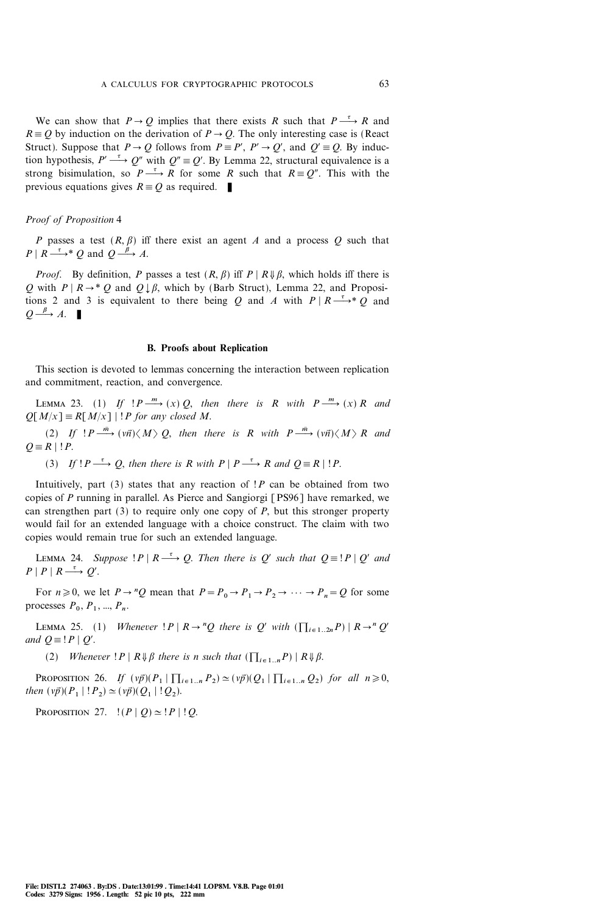We can show that  $P\rightarrow Q$  implies that there exists R such that  $P \stackrel{\tau}{\longrightarrow} R$  and  $R \equiv Q$  by induction on the derivation of  $P \rightarrow Q$ . The only interesting case is (React Struct). Suppose that  $P \to Q$  follows from  $P = P'$ ,  $P' \to Q'$ , and  $Q' = Q$ . By induction hypothesis,  $P' \stackrel{\tau}{\longrightarrow} Q''$  with  $Q'' \equiv Q'$ . By Lemma 22, structural equivalence is a strong bisimulation, so  $P \xrightarrow{\tau} R$  for some R such that  $R = Q''$ . This with the previous equations gives  $R = Q$  as required.

#### Proof of Proposition 4

P passes a test  $(R, \beta)$  iff there exist an agent A and a process Q such that  $P \mid R \longrightarrow^* Q$  and  $Q \longrightarrow^{\beta} A$ .

*Proof.* By definition, P passes a test  $(R, \beta)$  iff  $P | R \psi \beta$ , which holds iff there is Q with  $P \mid R \rightarrow^* Q$  and  $Q \downarrow \beta$ , which by (Barb Struct), Lemma 22, and Propositions 2 and 3 is equivalent to there being Q and A with  $P | R \rightarrow^* Q$  and  $Q \stackrel{\beta}{\longrightarrow} A.$ 

#### B. Proofs about Replication

This section is devoted to lemmas concerning the interaction between replication and commitment, reaction, and convergence.

LEMMA 23. (1) If  $P \longrightarrow^m (x) Q$ , then there is R with  $P \longrightarrow^m (x) R$  and  $Q[M/x] \equiv R[M/x] | ! P$  for any closed M.

(2) If  $P \longrightarrow (v\vec{n}) \langle M \rangle Q$ , then there is R with  $P \longrightarrow (v\vec{n}) \langle M \rangle R$  and  $Q = R$  | ! *P*.

(3) If  $P \longrightarrow Q$ , then there is R with  $P | P \longrightarrow R$  and  $Q \equiv R | P$ .

Intuitively, part  $(3)$  states that any reaction of  $P$  can be obtained from two copies of P running in parallel. As Pierce and Sangiorgi [PS96] have remarked, we can strengthen part  $(3)$  to require only one copy of P, but this stronger property would fail for an extended language with a choice construct. The claim with two copies would remain true for such an extended language.

LEMMA 24. Suppose  $\vert P \vert R \longrightarrow Q$ . Then there is Q' such that  $Q \equiv \vert P \vert Q'$  and  $P | P | R \longrightarrow Q'.$ 

For  $n \geq 0$ , we let  $P \to {}^{n}Q$  mean that  $P = P_0 \to P_1 \to P_2 \to \cdots \to P_n = Q$  for some processes  $P_0$ ,  $P_1$ , ...,  $P_n$ .

LEMMA 25. (1) Whenever  $\{P \mid R \to {}^nQ \text{ there is } Q' \text{ with } (\prod_{i \in 1..2n} P) \mid R \to {}^nQ' \text{ }$ and  $Q \equiv !P | Q'.$ 

(2) Whenever  $\{P \mid R \Downarrow \beta \}$  there is n such that  $(\prod_{i \in 1..n} P) \mid R \Downarrow \beta$ .

PROPOSITION 26. If  $(v\vec{p})(P_1 | \prod_{i \in 1..n} P_2) \simeq (v\vec{p})(Q_1 | \prod_{i \in 1..n} Q_2)$  for all  $n \ge 0$ , then  $(v\vec{p})(P_1 | P_2) \simeq (v\vec{p})(Q_1 | Q_2).$ 

PROPOSITION 27.  $!(P \mid Q) \simeq !P | !Q$ .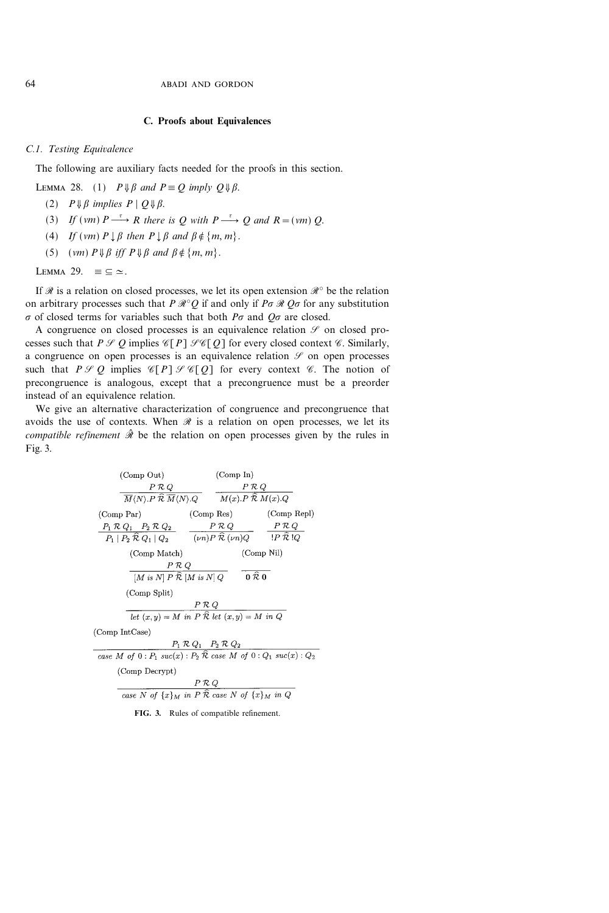## C. Proofs about Equivalences

## C.1. Testing Equivalence

The following are auxiliary facts needed for the proofs in this section.

LEMMA 28. (1)  $P \Downarrow \beta$  and  $P \equiv Q$  imply  $Q \Downarrow \beta$ .

(2)  $P \Downarrow \beta$  implies  $P \mid Q \Downarrow \beta$ .

(3) If (vm)  $P \stackrel{\tau}{\longrightarrow} R$  there is Q with  $P \stackrel{\tau}{\longrightarrow} Q$  and  $R = (vm) Q$ .

- (4) If (vm)  $P \downarrow \beta$  then  $P \downarrow \beta$  and  $\beta \notin \{m, m\}$ .
- (5) ( $vm)$   $P \Downarrow \beta$  iff  $P \Downarrow \beta$  and  $\beta \notin \{m, m\}.$

LEMMA 29.  $\equiv \subseteq \simeq$ .

If  $\mathcal{R}$  is a relation on closed processes, we let its open extension  $\mathcal{R}^{\circ}$  be the relation on arbitrary processes such that  $P \mathcal{R}^{\circ} Q$  if and only if  $P \sigma \mathcal{R} Q \sigma$  for any substitution  $\sigma$  of closed terms for variables such that both  $P\sigma$  and  $Q\sigma$  are closed.

A congruence on closed processes is an equivalence relation  $\mathscr S$  on closed processes such that  $P \mathcal{S} Q$  implies  $\mathcal{C}[P] \mathcal{S}\mathcal{C}[Q]$  for every closed context  $\mathcal{C}$ . Similarly, a congruence on open processes is an equivalence relation  $\mathscr S$  on open processes such that  $P \mathcal{L} Q$  implies  $\mathcal{C}[P] \mathcal{L} \mathcal{C}[Q]$  for every context  $\mathcal{C}$ . The notion of precongruence is analogous, except that a precongruence must be a preorder instead of an equivalence relation.

We give an alternative characterization of congruence and precongruence that avoids the use of contexts. When  $\mathcal R$  is a relation on open processes, we let its *compatible refinement*  $\hat{\mathcal{R}}$  be the relation on open processes given by the rules in Fig. 3.

| (Comp Out)                                                                                                                       |                   | (Comp In)                   |  |
|----------------------------------------------------------------------------------------------------------------------------------|-------------------|-----------------------------|--|
| $P \mathcal{R} Q$                                                                                                                |                   | $P \mathrel{\mathcal{R}} Q$ |  |
| $\overline{M}\langle N\rangle.P \widehat{\mathcal{R}} \overline{M}\langle N\rangle.Q \qquad M(x).P \widehat{\mathcal{R}} M(x).Q$ |                   |                             |  |
| (Comp Par)                                                                                                                       | (Comp Res)        | (Comp Repl)                 |  |
| $P_1 \mathcal{R} Q_1 \_ P_2 \mathcal{R} Q_2$                                                                                     | $P \mathcal{R} Q$ | $P \mathrel{\mathcal{R}} Q$ |  |
| $P_1   P_2 \hat{\mathcal{R}} Q_1   Q_2$ $\overline{(v_n)P} \hat{\mathcal{R}} (v_n)Q$ $P \hat{\mathcal{R}} Q_2$                   |                   |                             |  |
| (Comp Match)                                                                                                                     |                   | (Comp Nil)                  |  |
| P R Q                                                                                                                            |                   |                             |  |
| $0 \mathcal{R} 0$<br>$\overline{[M\;is\;N]\;P\;\widehat{\cal R}\;[M\;is\;N]\;Q}$                                                 |                   |                             |  |
| (Comp Split)                                                                                                                     |                   |                             |  |
| P R Q                                                                                                                            |                   |                             |  |
| let $(x, y) = M$ in P $\tilde{\mathcal{R}}$ let $(x, y) = M$ in Q                                                                |                   |                             |  |
| (Comp IntCase)                                                                                                                   |                   |                             |  |
| $P_1 \mathrel{\mathcal{R}} Q_1$ $P_2 \mathrel{\mathcal{R}} Q_2$                                                                  |                   |                             |  |
| case M of $0: P_1$ suc $(x): P_2 \widehat{\mathcal{R}}$ case M of $0: Q_1$ suc $(x): Q_2$                                        |                   |                             |  |
| (Comp Decrypt)                                                                                                                   |                   |                             |  |
| $P \mathcal{R} Q$                                                                                                                |                   |                             |  |
| case N of $\{x\}_M$ in P $\widehat{\mathcal{R}}$ case N of $\{x\}_M$ in Q                                                        |                   |                             |  |

FIG. 3. Rules of compatible refinement.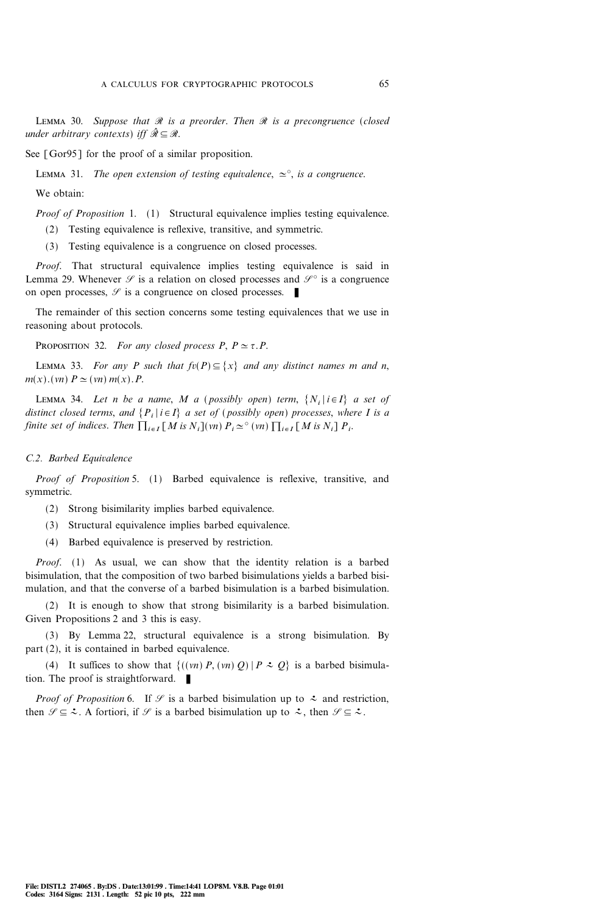LEMMA 30. Suppose that  $\Re$  is a preorder. Then  $\Re$  is a precongruence (closed under arbitrary contexts) if  $\hat{\mathcal{R}} \subseteq \mathcal{R}$ .

See [Gor95] for the proof of a similar proposition.

LEMMA 31. The open extension of testing equivalence,  $\simeq$ <sup>o</sup>, is a congruence. We obtain:

Proof of Proposition 1. (1) Structural equivalence implies testing equivalence.

- (2) Testing equivalence is reflexive, transitive, and symmetric.
- (3) Testing equivalence is a congruence on closed processes.

Proof. That structural equivalence implies testing equivalence is said in Lemma 29. Whenever  $\mathscr S$  is a relation on closed processes and  $\mathscr S$  is a congruence on open processes,  $\mathscr S$  is a congruence on closed processes.

The remainder of this section concerns some testing equivalences that we use in reasoning about protocols.

PROPOSITION 32. For any closed process P,  $P \simeq \tau.P$ .

LEMMA 33. For any P such that  $fv(P) \subseteq \{x\}$  and any distinct names m and n,  $m(x)$ .(vn)  $P \simeq (vn) m(x)$ . P.

LEMMA 34. Let n be a name, M a (possibly open) term,  $\{N_i | i \in I\}$  a set of distinct closed terms, and  $\{P_i | i \in I\}$  a set of (possibly open) processes, where I is a finite set of indices. Then  $\prod_{i \in I} [M \text{ is } N_i](m) P_i \simeq^{\circ}(m) \prod_{i \in I} [M \text{ is } N_i] P_i$ .

## C.2. Barbed Equivalence

Proof of Proposition 5. (1) Barbed equivalence is reflexive, transitive, and symmetric.

- (2) Strong bisimilarity implies barbed equivalence.
- (3) Structural equivalence implies barbed equivalence.
- (4) Barbed equivalence is preserved by restriction.

*Proof.* (1) As usual, we can show that the identity relation is a barbed bisimulation, that the composition of two barbed bisimulations yields a barbed bisimulation, and that the converse of a barbed bisimulation is a barbed bisimulation.

(2) It is enough to show that strong bisimilarity is a barbed bisimulation. Given Propositions 2 and 3 this is easy.

(3) By Lemma 22, structural equivalence is a strong bisimulation. By part (2), it is contained in barbed equivalence.

(4) It suffices to show that  $\{((vn) P, (vn) Q) | P \sim Q\}$  is a barbed bisimulation. The proof is straightforward.  $\blacksquare$ 

*Proof of Proposition* 6. If  $\mathcal{S}$  is a barbed bisimulation up to  $\dot{\sim}$  and restriction, then  $\mathscr{S} \subseteq \mathscr{L}$ . A fortiori, if  $\mathscr{S}$  is a barbed bisimulation up to  $\mathscr{L}$ , then  $\mathscr{S} \subseteq \mathscr{L}$ .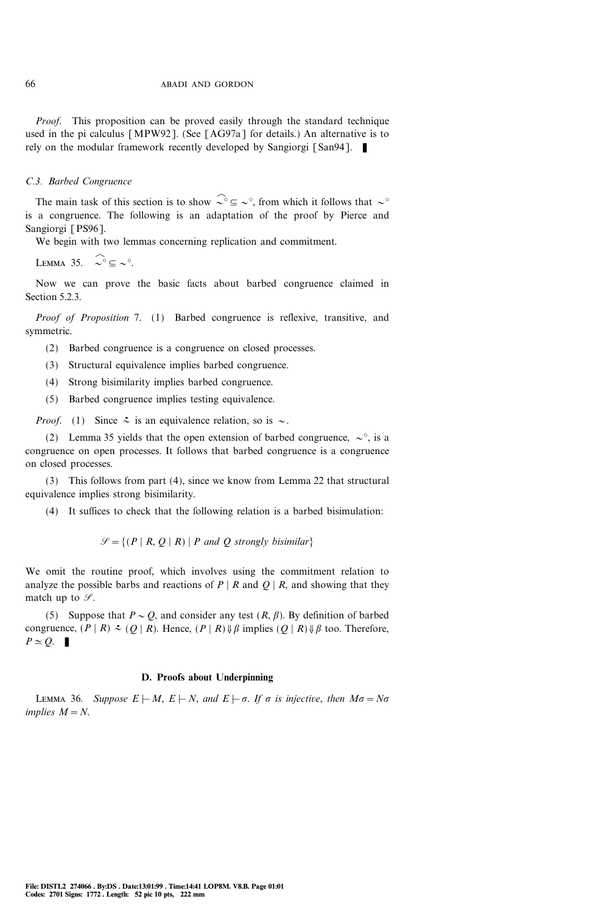*Proof.* This proposition can be proved easily through the standard technique used in the pi calculus [MPW92]. (See [AG97a] for details.) An alternative is to rely on the modular framework recently developed by Sangiorgi [San94].

#### C.3. Barbed Congruence

The main task of this section is to show  $\widehat{\lambda}^{\circ} \subseteq \infty^{\circ}$ , from which it follows that  $\sim^{\circ}$ is a congruence. The following is an adaptation of the proof by Pierce and Sangiorgi [PS96].

We begin with two lemmas concerning replication and commitment.

LEMMA 35.  $\widehat{\sim}^{\circ} \subseteq \sim^{\circ}$ .

Now we can prove the basic facts about barbed congruence claimed in Section 5.2.3.

Proof of Proposition 7. (1) Barbed congruence is reflexive, transitive, and symmetric.

- (2) Barbed congruence is a congruence on closed processes.
- (3) Structural equivalence implies barbed congruence.
- (4) Strong bisimilarity implies barbed congruence.
- (5) Barbed congruence implies testing equivalence.

*Proof.* (1) Since  $\dot{\sim}$  is an equivalence relation, so is  $\sim$ .

(2) Lemma 35 yields that the open extension of barbed congruence,  $\sim^{\circ}$ , is a congruence on open processes. It follows that barbed congruence is a congruence on closed processes.

(3) This follows from part (4), since we know from Lemma 22 that structural equivalence implies strong bisimilarity.

(4) It suffices to check that the following relation is a barbed bisimulation:

 $\mathcal{S} = \{(P | R, Q | R) | P \text{ and } Q \text{ strongly bisimilar}\}$ 

We omit the routine proof, which involves using the commitment relation to analyze the possible barbs and reactions of  $P | R$  and  $Q | R$ , and showing that they match up to  $\mathscr{S}$ .

(5) Suppose that  $P \sim Q$ , and consider any test  $(R, \beta)$ . By definition of barbed congruence,  $(P | R) \ge (Q | R)$ . Hence,  $(P | R) \Downarrow \beta$  implies  $(Q | R) \Downarrow \beta$  too. Therefore,  $P \simeq Q$ .

## D. Proofs about Underpinning

LEMMA 36. Suppose  $E \mid M, E \mid N$ , and  $E \mid \sigma$ . If  $\sigma$  is injective, then  $M\sigma = N\sigma$ implies  $M = N$ .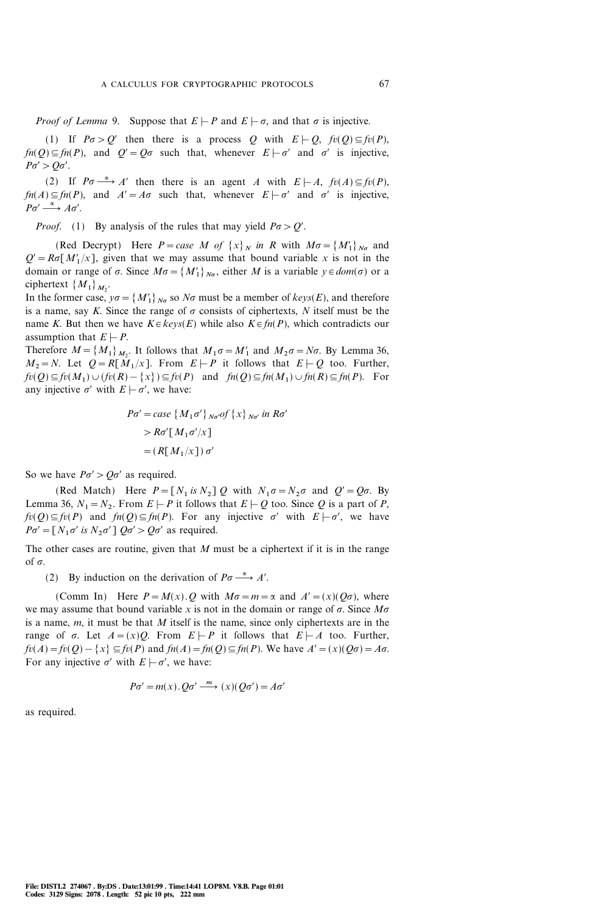*Proof of Lemma* 9. Suppose that  $E \mid P$  and  $E \mid \sigma$ , and that  $\sigma$  is injective.

(1) If  $P\sigma > Q'$  then there is a process Q with  $E |_{Q, f\nu(Q) \subseteq f\nu(P)}$ ,  $fn(Q) \subseteq fn(P)$ , and  $Q' = Q\sigma$  such that, whenever  $E | \sigma'$  and  $\sigma'$  is injective,  $P\sigma' > Q\sigma'.$ 

(2) If  $P\sigma \stackrel{\alpha}{\longrightarrow} A'$  then there is an agent A with  $E \mid A, f v(A) \subseteq f v(P)$ ,  $fn(A) \subseteq fn(P)$ , and  $A' = A\sigma$  such that, whenever  $E | \sigma'$  and  $\sigma'$  is injective,  $P\sigma' \stackrel{\alpha}{\longrightarrow} A\sigma'.$ 

*Proof.* (1) By analysis of the rules that may yield  $P\sigma > Q'$ .

(Red Decrypt) Here  $P = case M$  of  $\{x\}_N$  in R with  $M\sigma = \{M'_1\}_{N\sigma}$  and  $Q' = R\sigma[M_1'/x]$ , given that we may assume that bound variable x is not in the domain or range of  $\sigma$ . Since  $M\sigma = \{M'_1\}_{N\sigma}$ , either M is a variable  $y \in dom(\sigma)$  or a ciphertext  $\{M_1\}_{M_2}$ .

In the former case,  $y\sigma = \{M'_1\}_{N\sigma}$  so  $N\sigma$  must be a member of  $keys(E)$ , and therefore is a name, say K. Since the range of  $\sigma$  consists of ciphertexts, N itself must be the name K. But then we have  $K \in keys(E)$  while also  $K \in fn(P)$ , which contradicts our assumption that  $E \mid P$ .

Therefore  $M = \{M_1\}_{M_2}$ . It follows that  $M_1 \sigma = M'_1$  and  $M_2 \sigma = N \sigma$ . By Lemma 36,  $M_2 = N$ . Let  $Q = R[M_1/x]$ . From  $E \mid P$  it follows that  $E \mid Q$  too. Further,  $f(v(Q)) \subseteq fv(M_1) \cup (fv(R) - \{x\}) \subseteq fv(P)$  and  $fn(Q) \subseteq fn(M_1) \cup fn(R) \subseteq fn(P)$ . For any injective  $\sigma'$  with  $E \mid \sigma'$ , we have:

$$
P\sigma' = case \{ M_1 \sigma' \}_{N\sigma'} \text{ of } \{x\}_{N\sigma'} \text{ in } R\sigma'
$$

$$
> R\sigma' [M_1 \sigma'/x]
$$

$$
= (R[M_1/x]) \sigma'
$$

So we have  $P\sigma' > Q\sigma'$  as required.

(Red Match) Here  $P = [N_1 \text{ is } N_2]$  Q with  $N_1\sigma = N_2\sigma$  and  $Q' = Q\sigma$ . By Lemma 36,  $N_1 = N_2$ . From  $E \vdash P$  it follows that  $E \vdash Q$  too. Since Q is a part of P,  $f(v(Q)) \subseteq fv(P)$  and  $fn(Q) \subseteq fn(P)$ . For any injective  $\sigma'$  with  $E | \sigma'$ , we have  $P\sigma' = [N_1 \sigma' \text{ is } N_2 \sigma']$   $Q\sigma' > Q\sigma'$  as required.

The other cases are routine, given that  $M$  must be a ciphertext if it is in the range of  $\sigma$ .

(2) By induction on the derivation of  $P\sigma \stackrel{\alpha}{\longrightarrow} A'.$ 

(Comm In) Here  $P=M(x)$ . Q with  $M\sigma=m=\alpha$  and  $A'=(x)(Q\sigma)$ , where we may assume that bound variable x is not in the domain or range of  $\sigma$ . Since  $M\sigma$ is a name,  $m$ , it must be that M itself is the name, since only ciphertexts are in the range of  $\sigma$ . Let  $A=(x)Q$ . From  $E \mid P$  it follows that  $E \mid A$  too. Further,  $fv(A) = fv(Q) - \{x\} \subseteq fv(P)$  and  $fn(A) = fn(Q) \subseteq fn(P)$ . We have  $A' = (x)(Q\sigma) = A\sigma$ . For any injective  $\sigma'$  with  $E | \sigma'$ , we have:

$$
P\sigma' = m(x).Q\sigma' \xrightarrow{m} (x)(Q\sigma') = A\sigma'
$$

as required.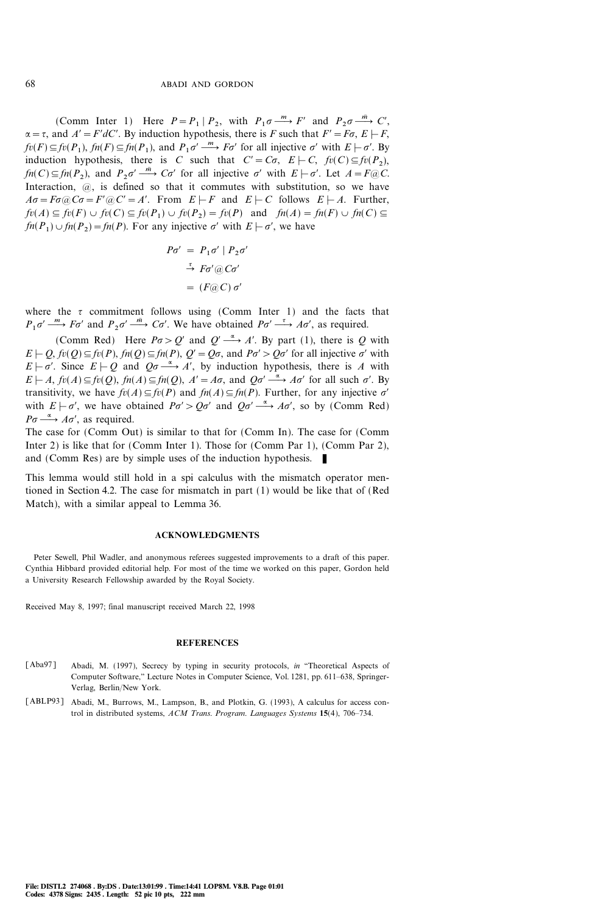(Comm Inter 1) Here  $P = P_1 | P_2$ , with  $P_1 \sigma \xrightarrow{m} F'$  and  $P_2 \sigma \xrightarrow{m} C'$ ,  $\alpha = \tau$ , and  $A' = F'dC'$ . By induction hypothesis, there is F such that  $F' = F\sigma, E \models F$ ,  $fv(F) \subseteq fv(P_1)$ ,  $fn(F) \subseteq fn(P_1)$ , and  $P_1 \sigma' \xrightarrow{m} Fo'$  for all injective  $\sigma'$  with  $E |_{\sigma'}$ . By induction hypothesis, there is C such that  $C' = C\sigma$ ,  $E | -C$ ,  $fv(C) \subseteq fv(P_2)$ ,  $fn(C) \subseteq fn(P_2)$ , and  $P_2\sigma' \stackrel{\bar{m}}{\longrightarrow} C\sigma'$  for all injective  $\sigma'$  with  $E | \sigma'$ . Let  $A = F@C$ . Interaction,  $\omega$ , is defined so that it commutes with substitution, so we have  $A\sigma = F\sigma\omega C\sigma = F'\omega C' = A'.$  From  $E |F$  and  $E |C$  follows  $E |A$ . Further,  $fv(A) \subseteq fv(F) \cup fv(C) \subseteq fv(P_1) \cup fv(P_2) = fv(P)$  and  $fn(A) = fn(F) \cup fn(C) \subseteq$  $fn(P_1) \cup fn(P_2) = fn(P)$ . For any injective  $\sigma'$  with  $E | \sigma'$ , we have

$$
P\sigma' = P_1\sigma' | P_2\sigma'
$$
  
\n
$$
\stackrel{\tau}{\rightarrow} F\sigma'\textcircled{a}C\sigma'
$$
  
\n
$$
= (F\textcircled{a}C)\sigma'
$$

where the  $\tau$  commitment follows using (Comm Inter 1) and the facts that  $P_1 \sigma' \xrightarrow{m} F \sigma'$  and  $P_2 \sigma' \xrightarrow{\bar{m}} C \sigma'$ . We have obtained  $P \sigma' \xrightarrow{\tau} A \sigma'$ , as required.

(Comm Red) Here  $P\sigma > Q'$  and  $Q' \stackrel{\alpha}{\longrightarrow} A'$ . By part (1), there is Q with  $E \models Q, f \circ (Q) \subseteq f \circ (P), f \circ (Q) \subseteq f \circ (P), Q' = Q \sigma$ , and  $P \sigma' > Q \sigma'$  for all injective  $\sigma'$  with  $E \mid \sigma'$ . Since  $E \mid Q$  and  $Q\sigma \stackrel{\alpha}{\longrightarrow} A'$ , by induction hypothesis, there is A with  $E \mid A, fv(A) \subseteq fv(Q), fn(A) \subseteq fn(Q), A' = A\sigma$ , and  $Q\sigma' \stackrel{\alpha}{\longrightarrow} A\sigma'$  for all such  $\sigma'$ . By transitivity, we have  $fv(A) \subseteq fv(P)$  and  $fn(A) \subseteq fn(P)$ . Further, for any injective  $\sigma'$ with  $E \models \sigma'$ , we have obtained  $P\sigma' > Q\sigma'$  and  $Q\sigma' \stackrel{\alpha}{\longrightarrow} A\sigma'$ , so by (Comm Red)  $P\sigma \longrightarrow A\sigma'$ , as required.

The case for (Comm Out) is similar to that for (Comm In). The case for (Comm Inter 2) is like that for (Comm Inter 1). Those for (Comm Par 1), (Comm Par 2), and (Comm Res) are by simple uses of the induction hypothesis.  $\blacksquare$ 

This lemma would still hold in a spi calculus with the mismatch operator mentioned in Section 4.2. The case for mismatch in part (1) would be like that of (Red Match), with a similar appeal to Lemma 36.

#### ACKNOWLEDGMENTS

Peter Sewell, Phil Wadler, and anonymous referees suggested improvements to a draft of this paper. Cynthia Hibbard provided editorial help. For most of the time we worked on this paper, Gordon held a University Research Fellowship awarded by the Royal Society.

Received May 8, 1997; final manuscript received March 22, 1998

#### REFERENCES

- [Aba97] Abadi, M. (1997), Secrecy by typing in security protocols, in "Theoretical Aspects of Computer Software," Lecture Notes in Computer Science, Vol. 1281, pp. 611-638, Springer-Verlag, Berlin/New York.
- [ABLP93] Abadi, M., Burrows, M., Lampson, B., and Plotkin, G. (1993), A calculus for access control in distributed systems, ACM Trans. Program. Languages Systems 15(4), 706–734.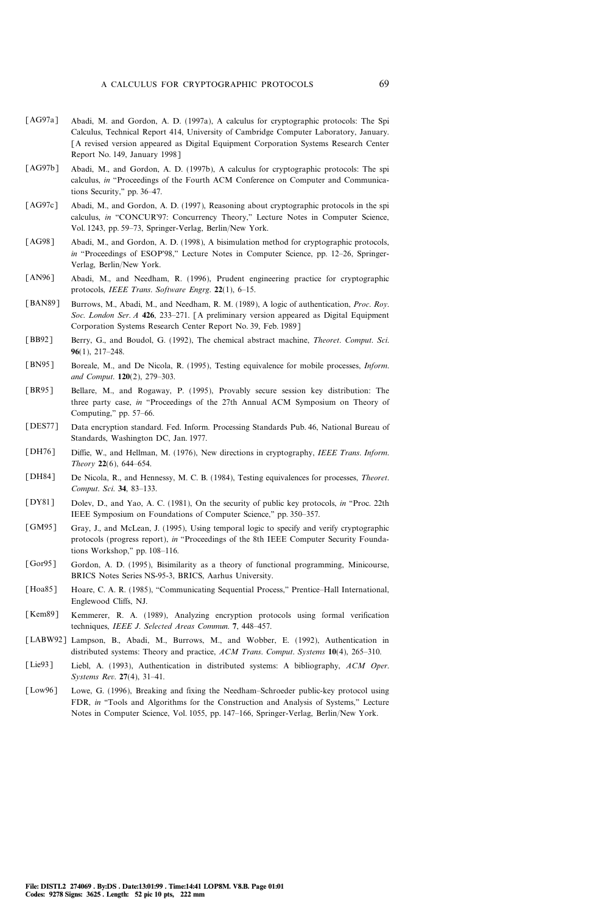- [AG97a] Abadi, M. and Gordon, A. D. (1997a), A calculus for cryptographic protocols: The Spi Calculus, Technical Report 414, University of Cambridge Computer Laboratory, January. [A revised version appeared as Digital Equipment Corporation Systems Research Center Report No. 149, January 1998]
- [AG97b] Abadi, M., and Gordon, A. D. (1997b), A calculus for cryptographic protocols: The spi calculus, in "Proceedings of the Fourth ACM Conference on Computer and Communications Security," pp. 36-47.
- [AG97c] Abadi, M., and Gordon, A. D. (1997), Reasoning about cryptographic protocols in the spi calculus, in "CONCUR'97: Concurrency Theory," Lecture Notes in Computer Science, Vol. 1243, pp. 59-73, Springer-Verlag, Berlin/New York.
- [AG98] Abadi, M., and Gordon, A. D. (1998), A bisimulation method for cryptographic protocols, in "Proceedings of ESOP'98," Lecture Notes in Computer Science, pp.  $12-26$ , Springer-Verlag, Berlin/New York.
- [AN96] Abadi, M., and Needham, R. (1996), Prudent engineering practice for cryptographic protocols, IEEE Trans. Software Engrg. 22(1), 6-15.
- [BAN89] Burrows, M., Abadi, M., and Needham, R. M. (1989), A logic of authentication, *Proc. Roy.* Soc. London Ser. A 426, 233-271. [A preliminary version appeared as Digital Equipment Corporation Systems Research Center Report No. 39, Feb. 1989]
- [BB92] Berry, G., and Boudol, G. (1992), The chemical abstract machine, *Theoret. Comput. Sci.*  $96(1)$ , 217-248.
- [BN95] Boreale, M., and De Nicola, R. (1995), Testing equivalence for mobile processes, *Inform.* and Comput.  $120(2)$ ,  $279-303$ .
- [BR95] Bellare, M., and Rogaway, P. (1995), Provably secure session key distribution: The three party case, in "Proceedings of the 27th Annual ACM Symposium on Theory of Computing," pp.  $57-66$ .
- [DES77] Data encryption standard. Fed. Inform. Processing Standards Pub. 46, National Bureau of Standards, Washington DC, Jan. 1977.
- [DH76] Diffie, W., and Hellman, M. (1976), New directions in cryptography, IEEE Trans. Inform. Theory  $22(6)$ , 644-654.
- [DH84] De Nicola, R., and Hennessy, M. C. B. (1984), Testing equivalences for processes, Theoret. Comput. Sci. 34, 83-133.
- [DY81] Dolev, D., and Yao, A. C. (1981), On the security of public key protocols, in "Proc. 22th IEEE Symposium on Foundations of Computer Science," pp. 350-357.
- [GM95] Gray, J., and McLean, J. (1995), Using temporal logic to specify and verify cryptographic protocols (progress report), in "Proceedings of the 8th IEEE Computer Security Foundations Workshop," pp.  $108-116$ .
- [Gor95] Gordon, A. D. (1995), Bisimilarity as a theory of functional programming, Minicourse, BRICS Notes Series NS-95-3, BRICS, Aarhus University.
- [Hoa85] Hoare, C. A. R. (1985), "Communicating Sequential Process," Prentice-Hall International, Englewood Cliffs, NJ.
- [Kem89] Kemmerer, R. A. (1989), Analyzing encryption protocols using formal verification techniques, IEEE J. Selected Areas Commun. 7, 448-457.
- [LABW92] Lampson, B., Abadi, M., Burrows, M., and Wobber, E. (1992), Authentication in distributed systems: Theory and practice,  $ACM$  Trans. Comput. Systems  $10(4)$ , 265-310.
- [Lie93] Liebl, A. (1993), Authentication in distributed systems: A bibliography, ACM Oper. Systems Rev.  $27(4)$ ,  $31-41$ .
- [Low96] Lowe, G. (1996), Breaking and fixing the Needham–Schroeder public-key protocol using FDR, in "Tools and Algorithms for the Construction and Analysis of Systems," Lecture Notes in Computer Science, Vol. 1055, pp. 147–166, Springer-Verlag, Berlin/New York.